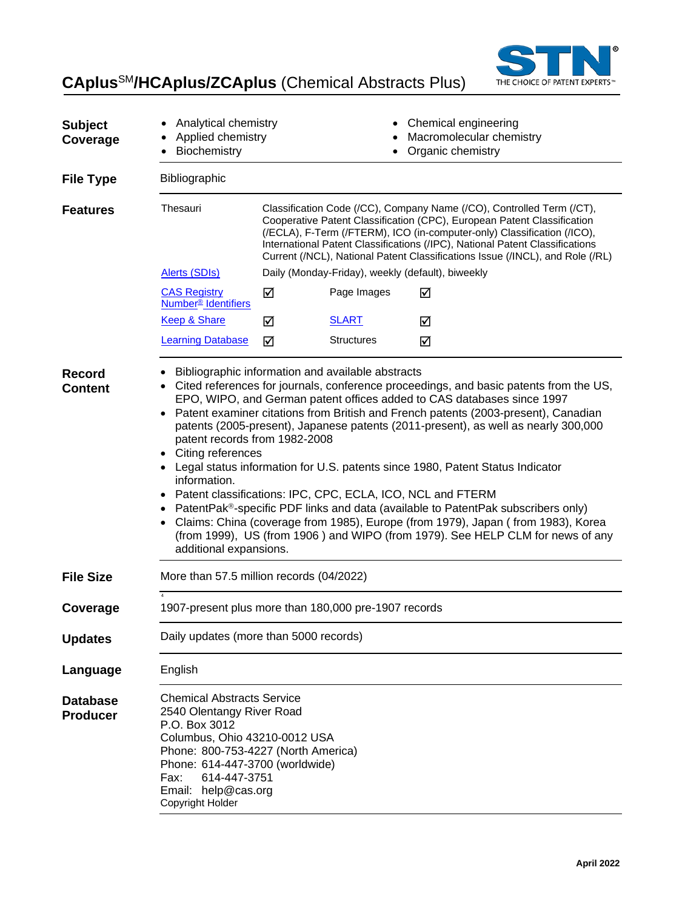

# **CAplus**SM**/HCAplus/ZCAplus** (Chemical Abstracts Plus)

| <b>Subject</b><br>Coverage         | Analytical chemistry<br>Applied chemistry<br>Biochemistry                                                                                                                                                                                                                                                                                                                                                                                                                                                                                                                                                                                                                                                                                                                                                                                                                                                   |                                                                                                                                                                                                                                                                                                                                                                                              |                   | Chemical engineering<br>Macromolecular chemistry<br>Organic chemistry |
|------------------------------------|-------------------------------------------------------------------------------------------------------------------------------------------------------------------------------------------------------------------------------------------------------------------------------------------------------------------------------------------------------------------------------------------------------------------------------------------------------------------------------------------------------------------------------------------------------------------------------------------------------------------------------------------------------------------------------------------------------------------------------------------------------------------------------------------------------------------------------------------------------------------------------------------------------------|----------------------------------------------------------------------------------------------------------------------------------------------------------------------------------------------------------------------------------------------------------------------------------------------------------------------------------------------------------------------------------------------|-------------------|-----------------------------------------------------------------------|
| <b>File Type</b>                   | Bibliographic                                                                                                                                                                                                                                                                                                                                                                                                                                                                                                                                                                                                                                                                                                                                                                                                                                                                                               |                                                                                                                                                                                                                                                                                                                                                                                              |                   |                                                                       |
| <b>Features</b>                    | Thesauri                                                                                                                                                                                                                                                                                                                                                                                                                                                                                                                                                                                                                                                                                                                                                                                                                                                                                                    | Classification Code (/CC), Company Name (/CO), Controlled Term (/CT),<br>Cooperative Patent Classification (CPC), European Patent Classification<br>(/ECLA), F-Term (/FTERM), ICO (in-computer-only) Classification (/ICO),<br>International Patent Classifications (/IPC), National Patent Classifications<br>Current (/NCL), National Patent Classifications Issue (/INCL), and Role (/RL) |                   |                                                                       |
|                                    | <b>Alerts (SDIs)</b>                                                                                                                                                                                                                                                                                                                                                                                                                                                                                                                                                                                                                                                                                                                                                                                                                                                                                        |                                                                                                                                                                                                                                                                                                                                                                                              |                   | Daily (Monday-Friday), weekly (default), biweekly                     |
|                                    | <b>CAS Registry</b><br><b>Number<sup>®</sup></b> Identifiers                                                                                                                                                                                                                                                                                                                                                                                                                                                                                                                                                                                                                                                                                                                                                                                                                                                | ☑                                                                                                                                                                                                                                                                                                                                                                                            | Page Images       | ☑                                                                     |
|                                    | <b>Keep &amp; Share</b>                                                                                                                                                                                                                                                                                                                                                                                                                                                                                                                                                                                                                                                                                                                                                                                                                                                                                     | ☑                                                                                                                                                                                                                                                                                                                                                                                            | <b>SLART</b>      | ☑                                                                     |
|                                    | <b>Learning Database</b>                                                                                                                                                                                                                                                                                                                                                                                                                                                                                                                                                                                                                                                                                                                                                                                                                                                                                    | ☑                                                                                                                                                                                                                                                                                                                                                                                            | <b>Structures</b> | ☑                                                                     |
| <b>Record</b><br><b>Content</b>    | Bibliographic information and available abstracts<br>Cited references for journals, conference proceedings, and basic patents from the US,<br>EPO, WIPO, and German patent offices added to CAS databases since 1997<br>Patent examiner citations from British and French patents (2003-present), Canadian<br>patents (2005-present), Japanese patents (2011-present), as well as nearly 300,000<br>patent records from 1982-2008<br>Citing references<br>• Legal status information for U.S. patents since 1980, Patent Status Indicator<br>information.<br>Patent classifications: IPC, CPC, ECLA, ICO, NCL and FTERM<br>PatentPak®-specific PDF links and data (available to PatentPak subscribers only)<br>Claims: China (coverage from 1985), Europe (from 1979), Japan (from 1983), Korea<br>(from 1999), US (from 1906) and WIPO (from 1979). See HELP CLM for news of any<br>additional expansions. |                                                                                                                                                                                                                                                                                                                                                                                              |                   |                                                                       |
| <b>File Size</b>                   | More than 57.5 million records (04/2022)                                                                                                                                                                                                                                                                                                                                                                                                                                                                                                                                                                                                                                                                                                                                                                                                                                                                    |                                                                                                                                                                                                                                                                                                                                                                                              |                   |                                                                       |
| Coverage                           | 1907-present plus more than 180,000 pre-1907 records                                                                                                                                                                                                                                                                                                                                                                                                                                                                                                                                                                                                                                                                                                                                                                                                                                                        |                                                                                                                                                                                                                                                                                                                                                                                              |                   |                                                                       |
| <b>Updates</b>                     | Daily updates (more than 5000 records)                                                                                                                                                                                                                                                                                                                                                                                                                                                                                                                                                                                                                                                                                                                                                                                                                                                                      |                                                                                                                                                                                                                                                                                                                                                                                              |                   |                                                                       |
| Language                           | English                                                                                                                                                                                                                                                                                                                                                                                                                                                                                                                                                                                                                                                                                                                                                                                                                                                                                                     |                                                                                                                                                                                                                                                                                                                                                                                              |                   |                                                                       |
| <b>Database</b><br><b>Producer</b> | <b>Chemical Abstracts Service</b><br>2540 Olentangy River Road<br>P.O. Box 3012<br>Columbus, Ohio 43210-0012 USA<br>Phone: 800-753-4227 (North America)<br>Phone: 614-447-3700 (worldwide)<br>614-447-3751<br>Fax:<br>Email: help@cas.org<br>Copyright Holder                                                                                                                                                                                                                                                                                                                                                                                                                                                                                                                                                                                                                                               |                                                                                                                                                                                                                                                                                                                                                                                              |                   |                                                                       |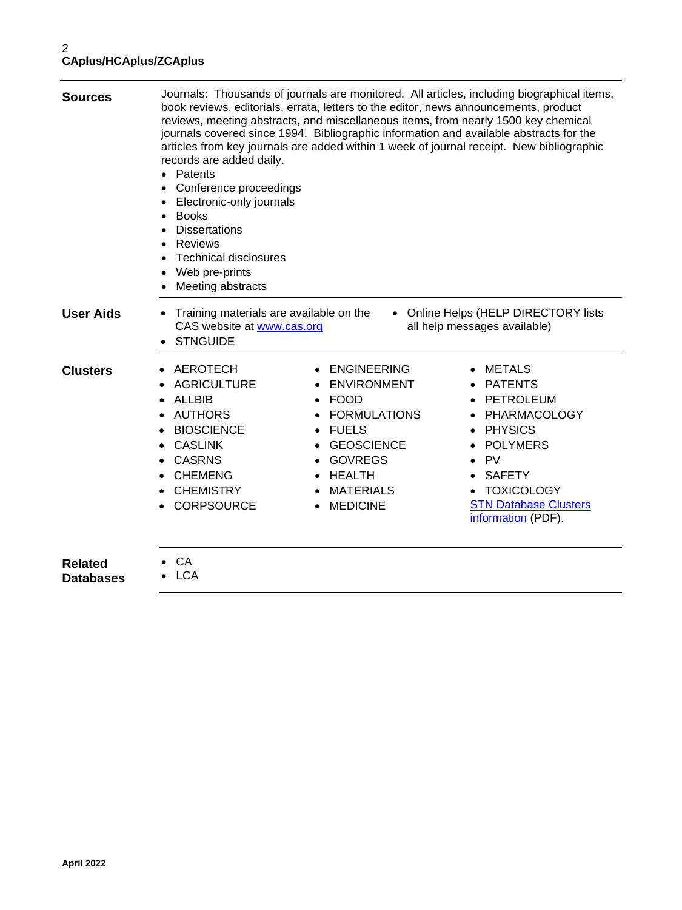| <b>Sources</b>                     | records are added daily.<br>Patents<br>$\bullet$<br>Conference proceedings<br>Electronic-only journals<br><b>Books</b><br><b>Dissertations</b><br><b>Reviews</b><br><b>Technical disclosures</b><br>Web pre-prints<br>Meeting abstracts | Journals: Thousands of journals are monitored. All articles, including biographical items,<br>book reviews, editorials, errata, letters to the editor, news announcements, product<br>reviews, meeting abstracts, and miscellaneous items, from nearly 1500 key chemical<br>journals covered since 1994. Bibliographic information and available abstracts for the<br>articles from key journals are added within 1 week of journal receipt. New bibliographic |                                                                                                                                                                                                           |
|------------------------------------|-----------------------------------------------------------------------------------------------------------------------------------------------------------------------------------------------------------------------------------------|----------------------------------------------------------------------------------------------------------------------------------------------------------------------------------------------------------------------------------------------------------------------------------------------------------------------------------------------------------------------------------------------------------------------------------------------------------------|-----------------------------------------------------------------------------------------------------------------------------------------------------------------------------------------------------------|
| <b>User Aids</b>                   | Training materials are available on the<br>$\bullet$<br>CAS website at www.cas.org<br><b>STNGUIDE</b>                                                                                                                                   |                                                                                                                                                                                                                                                                                                                                                                                                                                                                | • Online Helps (HELP DIRECTORY lists<br>all help messages available)                                                                                                                                      |
| <b>Clusters</b>                    | <b>AEROTECH</b><br><b>AGRICULTURE</b><br><b>ALLBIB</b><br><b>AUTHORS</b><br><b>BIOSCIENCE</b><br>$\bullet$<br><b>CASLINK</b><br><b>CASRNS</b><br><b>CHEMENG</b><br><b>CHEMISTRY</b><br><b>CORPSOURCE</b>                                | <b>ENGINEERING</b><br><b>ENVIRONMENT</b><br><b>FOOD</b><br><b>FORMULATIONS</b><br><b>FUELS</b><br><b>GEOSCIENCE</b><br><b>GOVREGS</b><br><b>HEALTH</b><br><b>MATERIALS</b><br><b>MEDICINE</b>                                                                                                                                                                                                                                                                  | METALS<br><b>PATENTS</b><br>PETROLEUM<br>PHARMACOLOGY<br><b>PHYSICS</b><br>$\bullet$<br><b>POLYMERS</b><br>PV<br><b>SAFETY</b><br><b>TOXICOLOGY</b><br><b>STN Database Clusters</b><br>information (PDF). |
| <b>Related</b><br><b>Databases</b> | CA<br><b>LCA</b>                                                                                                                                                                                                                        |                                                                                                                                                                                                                                                                                                                                                                                                                                                                |                                                                                                                                                                                                           |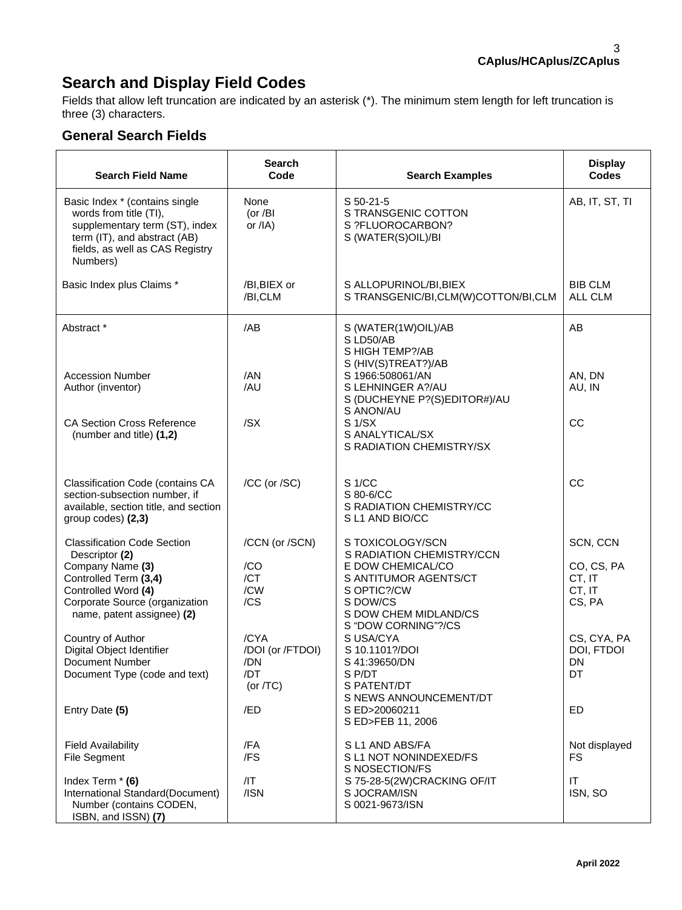# **Search and Display Field Codes**

Fields that allow left truncation are indicated by an asterisk (\*). The minimum stem length for left truncation is three (3) characters.

## **General Search Fields**

| <b>Search Field Name</b>                                                                                                                                                                 | Search<br>Code                                        | <b>Search Examples</b>                                                                                                                          | <b>Display</b><br><b>Codes</b>                       |
|------------------------------------------------------------------------------------------------------------------------------------------------------------------------------------------|-------------------------------------------------------|-------------------------------------------------------------------------------------------------------------------------------------------------|------------------------------------------------------|
| Basic Index * (contains single<br>words from title (TI),<br>supplementary term (ST), index<br>term (IT), and abstract (AB)<br>fields, as well as CAS Registry<br>Numbers)                | None<br>(or / $BI$<br>or $/IA$ )                      | S 50-21-5<br>S TRANSGENIC COTTON<br>S ?FLUOROCARBON?<br>S (WATER(S)OIL)/BI                                                                      | AB, IT, ST, TI                                       |
| Basic Index plus Claims *                                                                                                                                                                | /BI, BIEX or<br>/BI,CLM                               | S ALLOPURINOL/BI, BIEX<br>S TRANSGENIC/BI,CLM(W)COTTON/BI,CLM                                                                                   | <b>BIB CLM</b><br>ALL CLM                            |
| Abstract *                                                                                                                                                                               | /AB                                                   | S (WATER(1W)OIL)/AB<br>S LD50/AB<br>S HIGH TEMP?/AB                                                                                             | AB                                                   |
| <b>Accession Number</b><br>Author (inventor)                                                                                                                                             | /AN<br>/AU                                            | S (HIV(S)TREAT?)/AB<br>S 1966:508061/AN<br>S LEHNINGER A?/AU<br>S (DUCHEYNE P?(S)EDITOR#)/AU<br>S ANON/AU                                       | AN, DN<br>AU, IN                                     |
| <b>CA Section Cross Reference</b><br>(number and title) (1,2)                                                                                                                            | /SX                                                   | S <sub>1</sub> /SX<br>S ANALYTICAL/SX<br>S RADIATION CHEMISTRY/SX                                                                               | CC                                                   |
| Classification Code (contains CA<br>section-subsection number, if<br>available, section title, and section<br>group codes) (2,3)                                                         | /CC (or /SC)                                          | S <sub>1</sub> /CC<br>S 80-6/CC<br>S RADIATION CHEMISTRY/CC<br>S L1 AND BIO/CC                                                                  | CC                                                   |
| <b>Classification Code Section</b><br>Descriptor (2)<br>Company Name (3)<br>Controlled Term (3,4)<br>Controlled Word (4)<br>Corporate Source (organization<br>name, patent assignee) (2) | /CCN (or /SCN)<br>/CO<br>/CT<br>/CW<br>/CS            | S TOXICOLOGY/SCN<br>S RADIATION CHEMISTRY/CCN<br>E DOW CHEMICAL/CO<br>S ANTITUMOR AGENTS/CT<br>S OPTIC?/CW<br>S DOW/CS<br>S DOW CHEM MIDLAND/CS | SCN, CCN<br>CO, CS, PA<br>CT, IT<br>CT, IT<br>CS, PA |
| Country of Author<br>Digital Object Identifier<br>Document Number<br>Document Type (code and text)                                                                                       | /CYA<br>/DOI (or /FTDOI)<br>/DN<br>/DT<br>(or $/TC$ ) | S "DOW CORNING"?/CS<br>S USA/CYA<br>S 10.1101?/DOI<br>S 41:39650/DN<br>S P/DT<br>S PATENT/DT                                                    | CS, CYA, PA<br>DOI, FTDOI<br>DN<br>DT                |
| Entry Date (5)                                                                                                                                                                           | /ED                                                   | S NEWS ANNOUNCEMENT/DT<br>S ED>20060211<br>S ED>FEB 11, 2006                                                                                    | ED                                                   |
| <b>Field Availability</b><br>File Segment                                                                                                                                                | /FA<br>/FS                                            | S L1 AND ABS/FA<br>S L1 NOT NONINDEXED/FS<br>S NOSECTION/FS                                                                                     | Not displayed<br>FS                                  |
| Index Term * (6)<br>International Standard(Document)<br>Number (contains CODEN,<br>ISBN, and ISSN) (7)                                                                                   | $/$  T<br>/ISN                                        | S 75-28-5(2W)CRACKING OF/IT<br>S JOCRAM/ISN<br>S 0021-9673/ISN                                                                                  | ΙT<br>ISN, SO                                        |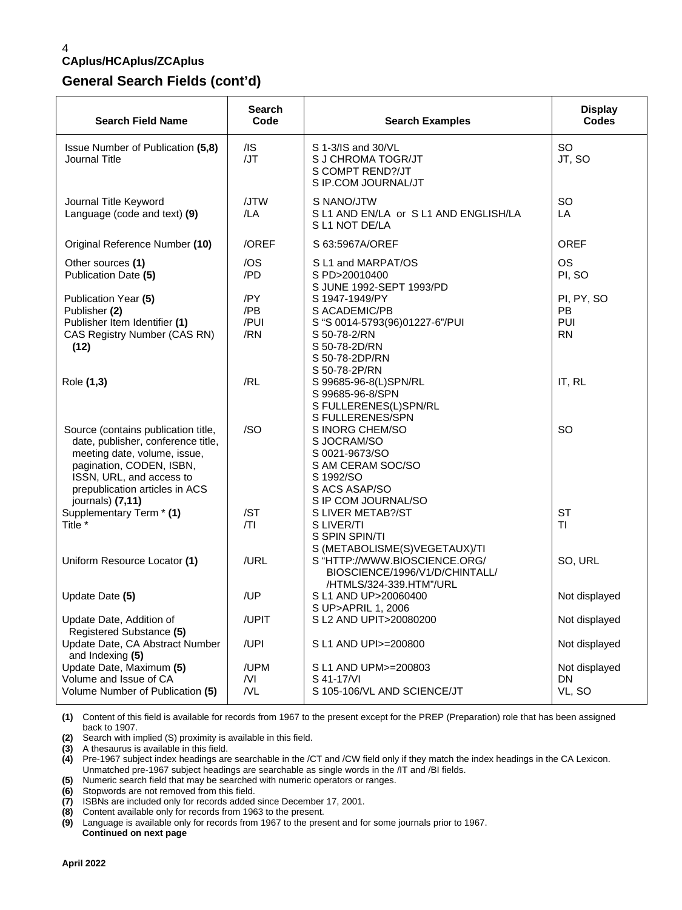### **General Search Fields (cont'd)**

| <b>Search Field Name</b>                                                                                                                                                                                                | <b>Search</b><br>Code     | <b>Search Examples</b>                                                                                                                | <b>Display</b><br><b>Codes</b>              |
|-------------------------------------------------------------------------------------------------------------------------------------------------------------------------------------------------------------------------|---------------------------|---------------------------------------------------------------------------------------------------------------------------------------|---------------------------------------------|
| Issue Number of Publication (5,8)<br>Journal Title                                                                                                                                                                      | $/$ IS<br>/JT             | S 1-3/IS and 30/VL<br>S J CHROMA TOGR/JT<br>S COMPT REND?/JT<br>S IP.COM JOURNAL/JT                                                   | SO<br>JT, SO                                |
| Journal Title Keyword<br>Language (code and text) (9)                                                                                                                                                                   | /JTW<br>/LA               | S NANO/JTW<br>S L1 AND EN/LA or S L1 AND ENGLISH/LA<br>S L1 NOT DE/LA                                                                 | <b>SO</b><br>LA                             |
| Original Reference Number (10)                                                                                                                                                                                          | /OREF                     | S 63:5967A/OREF                                                                                                                       | <b>OREF</b>                                 |
| Other sources (1)<br>Publication Date (5)                                                                                                                                                                               | /OS<br>/PD                | S L1 and MARPAT/OS<br>S PD>20010400<br>S JUNE 1992-SEPT 1993/PD                                                                       | <b>OS</b><br>PI, SO                         |
| Publication Year (5)<br>Publisher (2)<br>Publisher Item Identifier (1)<br>CAS Registry Number (CAS RN)<br>(12)                                                                                                          | /PY<br>/PB<br>/PUI<br>/RN | S 1947-1949/PY<br>S ACADEMIC/PB<br>S "S 0014-5793(96)01227-6"/PUI<br>S 50-78-2/RN<br>S 50-78-2D/RN<br>S 50-78-2DP/RN<br>S 50-78-2P/RN | PI, PY, SO<br><b>PB</b><br>PUI<br><b>RN</b> |
| Role (1,3)                                                                                                                                                                                                              | /RL                       | S 99685-96-8(L)SPN/RL<br>S 99685-96-8/SPN<br>S FULLERENES(L)SPN/RL<br>S FULLERENES/SPN                                                | IT, RL                                      |
| Source (contains publication title,<br>date, publisher, conference title,<br>meeting date, volume, issue,<br>pagination, CODEN, ISBN,<br>ISSN, URL, and access to<br>prepublication articles in ACS<br>journals) (7,11) | /SO                       | S INORG CHEM/SO<br>S JOCRAM/SO<br>S 0021-9673/SO<br>S AM CERAM SOC/SO<br>S 1992/SO<br>S ACS ASAP/SO<br>S IP COM JOURNAL/SO            | SO                                          |
| Supplementary Term * (1)<br>Title *                                                                                                                                                                                     | /ST<br> T                 | S LIVER METAB?/ST<br>S LIVER/TI<br>S SPIN SPIN/TI                                                                                     | <b>ST</b><br><b>TI</b>                      |
| Uniform Resource Locator (1)                                                                                                                                                                                            | /URL                      | S (METABOLISME(S)VEGETAUX)/TI<br>S "HTTP://WWW.BIOSCIENCE.ORG/<br>BIOSCIENCE/1996/V1/D/CHINTALL/<br>/HTMLS/324-339.HTM"/URL           | SO, URL                                     |
| Update Date (5)                                                                                                                                                                                                         | /UP                       | S L1 AND UP>20060400<br>S UP>APRIL 1, 2006                                                                                            | Not displayed                               |
| Update Date, Addition of<br>Registered Substance (5)                                                                                                                                                                    | /UPIT                     | S L2 AND UPIT>20080200                                                                                                                | Not displayed                               |
| Update Date, CA Abstract Number<br>and Indexing (5)                                                                                                                                                                     | /UPI                      | S L1 AND UPI>=200800                                                                                                                  | Not displayed                               |
| Update Date, Maximum (5)<br>Volume and Issue of CA                                                                                                                                                                      | /UPM<br>/VI               | S L1 AND UPM>=200803<br>S 41-17/VI                                                                                                    | Not displayed<br>DN.                        |
| Volume Number of Publication (5)                                                                                                                                                                                        | N <sub>L</sub>            | S 105-106/VL AND SCIENCE/JT                                                                                                           | VL, SO                                      |

**(1)** Content of this field is available for records from 1967 to the present except for the PREP (Preparation) role that has been assigned back to 1907.

**(2)** Search with implied (S) proximity is available in this field.

**(3)** A thesaurus is available in this field.

**(4)** Pre-1967 subject index headings are searchable in the /CT and /CW field only if they match the index headings in the CA Lexicon. Unmatched pre-1967 subject headings are searchable as single words in the /IT and /BI fields.

**(5)** Numeric search field that may be searched with numeric operators or ranges.

**(6)** Stopwords are not removed from this field. **(7)** ISBNs are included only for records added since December 17, 2001.

**(8)** Content available only for records from 1963 to the present.

**(9)** Language is available only for records from 1967 to the present and for some journals prior to 1967.  **Continued on next page**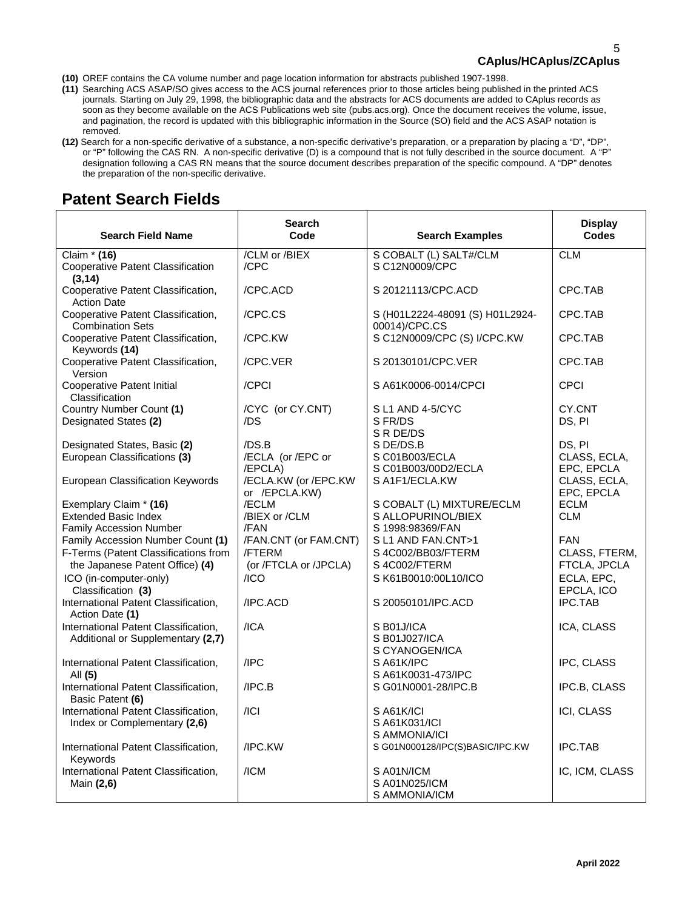- **(10)** OREF contains the CA volume number and page location information for abstracts published 1907-1998.
- **(11)** Searching ACS ASAP/SO gives access to the ACS journal references prior to those articles being published in the printed ACS journals. Starting on July 29, 1998, the bibliographic data and the abstracts for ACS documents are added to CAplus records as soon as they become available on the ACS Publications web site (pubs.acs.org). Once the document receives the volume, issue, and pagination, the record is updated with this bibliographic information in the Source (SO) field and the ACS ASAP notation is removed.
- **(12)** Search for a non-specific derivative of a substance, a non-specific derivative's preparation, or a preparation by placing a "D", "DP", or "P" following the CAS RN. A non-specific derivative (D) is a compound that is not fully described in the source document. A "P" designation following a CAS RN means that the source document describes preparation of the specific compound. A "DP" denotes the preparation of the non-specific derivative.

## **Patent Search Fields**

| <b>Search Field Name</b>                                                                | <b>Search</b><br>Code                 | <b>Search Examples</b>                                              | <b>Display</b><br>Codes                  |
|-----------------------------------------------------------------------------------------|---------------------------------------|---------------------------------------------------------------------|------------------------------------------|
| Claim * (16)<br><b>Cooperative Patent Classification</b>                                | /CLM or /BIEX<br>/CPC                 | S COBALT (L) SALT#/CLM<br>S C12N0009/CPC                            | <b>CLM</b>                               |
| (3, 14)<br>Cooperative Patent Classification,                                           | /CPC.ACD                              | S 20121113/CPC.ACD                                                  | CPC.TAB                                  |
| <b>Action Date</b><br>Cooperative Patent Classification,                                | /CPC.CS                               | S (H01L2224-48091 (S) H01L2924-<br>00014)/CPC.CS                    | CPC.TAB                                  |
| <b>Combination Sets</b><br>Cooperative Patent Classification,<br>Keywords (14)          | /CPC.KW                               | S C12N0009/CPC (S) I/CPC.KW                                         | CPC.TAB                                  |
| Cooperative Patent Classification,<br>Version                                           | /CPC.VER                              | S 20130101/CPC.VER                                                  | CPC.TAB                                  |
| <b>Cooperative Patent Initial</b><br>Classification                                     | /CPCI                                 | SA61K0006-0014/CPCI                                                 | <b>CPCI</b>                              |
| Country Number Count (1)<br>Designated States (2)                                       | /CYC (or CY.CNT)<br>/DS               | S L1 AND 4-5/CYC<br>S FR/DS<br>S R DE/DS                            | CY.CNT<br>DS, PI                         |
| Designated States, Basic (2)<br>European Classifications (3)                            | /DS.B<br>/ECLA (or /EPC or<br>/EPCLA) | S DE/DS.B<br>S C01B003/ECLA<br>S C01B003/00D2/ECLA                  | DS, PI<br>CLASS, ECLA,<br>EPC, EPCLA     |
| European Classification Keywords                                                        | /ECLA.KW (or /EPC.KW<br>or /EPCLA.KW) | S A1F1/ECLA.KW                                                      | CLASS, ECLA,<br>EPC, EPCLA               |
| Exemplary Claim * (16)<br><b>Extended Basic Index</b><br><b>Family Accession Number</b> | /ECLM<br>/BIEX or /CLM<br>/FAN        | S COBALT (L) MIXTURE/ECLM<br>S ALLOPURINOL/BIEX<br>S 1998:98369/FAN | <b>ECLM</b><br><b>CLM</b>                |
| Family Accession Number Count (1)<br>F-Terms (Patent Classifications from               | /FAN.CNT (or FAM.CNT)<br>/FTERM       | S L1 AND FAN.CNT>1<br>S 4C002/BB03/FTERM                            | <b>FAN</b><br>CLASS, FTERM,              |
| the Japanese Patent Office) (4)<br>ICO (in-computer-only)<br>Classification (3)         | (or /FTCLA or /JPCLA)<br>/ICO         | S 4C002/FTERM<br>S K61B0010:00L10/ICO                               | FTCLA, JPCLA<br>ECLA, EPC,<br>EPCLA, ICO |
| International Patent Classification,<br>Action Date (1)                                 | /IPC.ACD                              | S 20050101/IPC.ACD                                                  | <b>IPC.TAB</b>                           |
| International Patent Classification,<br>Additional or Supplementary (2,7)               | $/$ ICA                               | S B01J/ICA<br>S B01J027/ICA<br>S CYANOGEN/ICA                       | ICA, CLASS                               |
| International Patent Classification,<br>All (5)                                         | IPC                                   | SA61K/IPC<br>S A61K0031-473/IPC                                     | IPC, CLASS                               |
| International Patent Classification,<br>Basic Patent (6)                                | IPC.B                                 | S G01N0001-28/IPC.B                                                 | IPC.B, CLASS                             |
| International Patent Classification,<br>Index or Complementary (2,6)                    | / Cl                                  | SA61K/ICI<br>S A61K031/ICI<br>S AMMONIA/ICI                         | ICI, CLASS                               |
| International Patent Classification,<br>Keywords                                        | /IPC.KW                               | S G01N000128/IPC(S)BASIC/IPC.KW                                     | <b>IPC.TAB</b>                           |
| International Patent Classification,<br>Main (2,6)                                      | /ICM                                  | S A01N/ICM<br>S A01N025/ICM<br>S AMMONIA/ICM                        | IC, ICM, CLASS                           |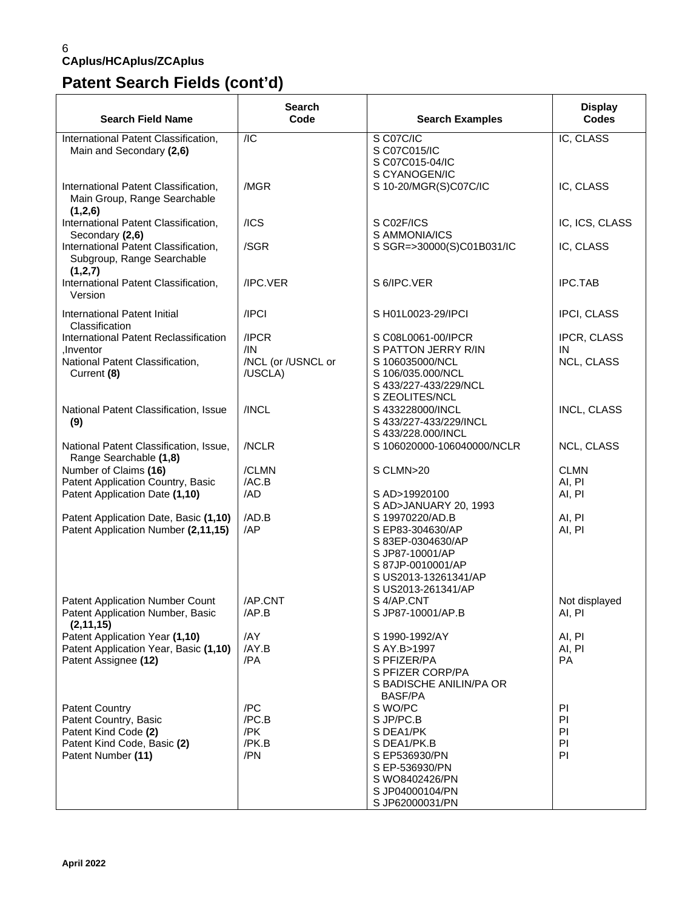# **Patent Search Fields (cont'd)**

| <b>Search Field Name</b>                                                        | Search<br>Code                | <b>Search Examples</b>                                                                                                      | <b>Display</b><br><b>Codes</b> |
|---------------------------------------------------------------------------------|-------------------------------|-----------------------------------------------------------------------------------------------------------------------------|--------------------------------|
| International Patent Classification,<br>Main and Secondary (2,6)                | $\overline{AC}$               | S C07C/IC<br>S C07C015/IC<br>S C07C015-04/IC<br>S CYANOGEN/IC                                                               | IC, CLASS                      |
| International Patent Classification,<br>Main Group, Range Searchable<br>(1,2,6) | /MGR                          | S 10-20/MGR(S)C07C/IC                                                                                                       | IC, CLASS                      |
| International Patent Classification,<br>Secondary (2,6)                         | /ICS                          | S C02F/ICS<br>S AMMONIA/ICS                                                                                                 | IC, ICS, CLASS                 |
| International Patent Classification,<br>Subgroup, Range Searchable<br>(1,2,7)   | /SGR                          | S SGR=>30000(S)C01B031/IC                                                                                                   | IC, CLASS                      |
| International Patent Classification,<br>Version                                 | /IPC.VER                      | S 6/IPC.VER                                                                                                                 | <b>IPC.TAB</b>                 |
| International Patent Initial<br>Classification                                  | /IPCI                         | S H01L0023-29/IPCI                                                                                                          | IPCI, CLASS                    |
| International Patent Reclassification<br>.Inventor                              | /IPCR<br>/IN                  | S C08L0061-00/IPCR<br>S PATTON JERRY R/IN                                                                                   | IPCR, CLASS<br>IN              |
| National Patent Classification,<br>Current (8)                                  | /NCL (or /USNCL or<br>/USCLA) | S 106035000/NCL<br>S 106/035.000/NCL<br>S 433/227-433/229/NCL<br>S ZEOLITES/NCL                                             | NCL, CLASS                     |
| National Patent Classification, Issue<br>(9)                                    | /INCL                         | S 433228000/INCL<br>S 433/227-433/229/INCL<br>S 433/228.000/INCL                                                            | <b>INCL, CLASS</b>             |
| National Patent Classification, Issue,<br>Range Searchable (1,8)                | /NCLR                         | S 106020000-106040000/NCLR                                                                                                  | NCL, CLASS                     |
| Number of Claims (16)<br>Patent Application Country, Basic                      | /CLMN<br>/AC.B                | S CLMN>20                                                                                                                   | <b>CLMN</b><br>AI, PI          |
| Patent Application Date (1,10)                                                  | /AD                           | S AD>19920100<br>S AD>JANUARY 20, 1993                                                                                      | AI, PI                         |
| Patent Application Date, Basic (1,10)                                           | /AD.B<br>/AP                  | S 19970220/AD.B                                                                                                             | AI, PI                         |
| Patent Application Number (2,11,15)                                             |                               | S EP83-304630/AP<br>S 83EP-0304630/AP<br>S JP87-10001/AP<br>S 87JP-0010001/AP<br>S US2013-13261341/AP<br>S US2013-261341/AP | AI, PI                         |
| <b>Patent Application Number Count</b>                                          | /AP.CNT                       | S 4/AP.CNT                                                                                                                  | Not displayed                  |
| Patent Application Number, Basic<br>(2, 11, 15)                                 | /AP.B                         | S JP87-10001/AP.B                                                                                                           | AI, PI                         |
| Patent Application Year (1,10)<br>Patent Application Year, Basic (1,10)         | /AY<br>/AY.B                  | S 1990-1992/AY<br>S AY.B>1997                                                                                               | AI, PI<br>AI, PI               |
| Patent Assignee (12)                                                            | /PA                           | S PFIZER/PA<br>S PFIZER CORP/PA<br>S BADISCHE ANILIN/PA OR<br><b>BASF/PA</b>                                                | <b>PA</b>                      |
| <b>Patent Country</b><br>Patent Country, Basic                                  | /PC<br>/PC.B                  | S WO/PC<br>S JP/PC.B                                                                                                        | PI<br>PI                       |
| Patent Kind Code (2)                                                            | /PK                           | S DEA1/PK                                                                                                                   | PI                             |
| Patent Kind Code, Basic (2)                                                     | /PK.B                         | S DEA1/PK.B                                                                                                                 | PI                             |
| Patent Number (11)                                                              | /PN                           | S EP536930/PN                                                                                                               | PI                             |
|                                                                                 |                               | S EP-536930/PN<br>S WO8402426/PN                                                                                            |                                |
|                                                                                 |                               | S JP04000104/PN                                                                                                             |                                |
|                                                                                 |                               | S JP62000031/PN                                                                                                             |                                |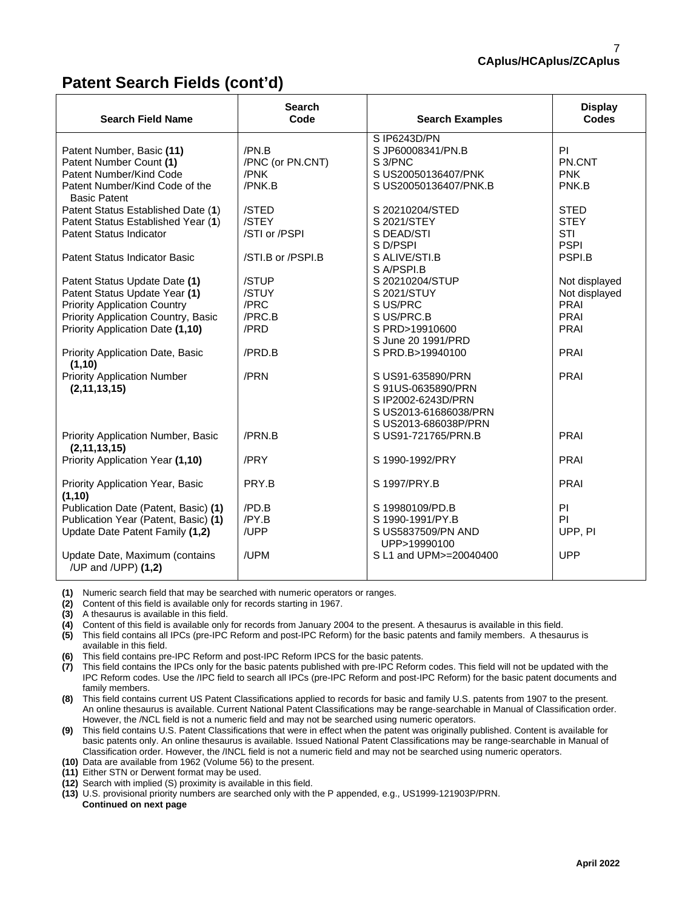## **Patent Search Fields (cont'd)**

| <b>Search Field Name</b>                              | <b>Search</b><br>Code | <b>Search Examples</b> | <b>Display</b><br><b>Codes</b> |
|-------------------------------------------------------|-----------------------|------------------------|--------------------------------|
|                                                       |                       | S IP6243D/PN           |                                |
| Patent Number, Basic (11)                             | /PN.B                 | S JP60008341/PN.B      | PI.                            |
| Patent Number Count (1)                               | /PNC (or PN.CNT)      | S <sub>3</sub> /PNC    | PN.CNT                         |
| Patent Number/Kind Code                               | /PNK                  | S US20050136407/PNK    | <b>PNK</b>                     |
| Patent Number/Kind Code of the<br><b>Basic Patent</b> | /PNK.B                | S US20050136407/PNK.B  | PNK.B                          |
| Patent Status Established Date (1)                    | /STED                 | S 20210204/STED        | <b>STED</b>                    |
| Patent Status Established Year (1)                    | /STEY                 | S 2021/STEY            | <b>STEY</b>                    |
| <b>Patent Status Indicator</b>                        | /STI or /PSPI         | S DEAD/STI             | <b>STI</b>                     |
|                                                       |                       | S D/PSPI               | <b>PSPI</b>                    |
| <b>Patent Status Indicator Basic</b>                  | /STI.B or /PSPI.B     | S ALIVE/STI.B          | PSPI.B                         |
|                                                       |                       | S A/PSPI.B             |                                |
| Patent Status Update Date (1)                         | /STUP                 | S 20210204/STUP        | Not displayed                  |
| Patent Status Update Year (1)                         | /STUY                 | S 2021/STUY            | Not displayed                  |
| <b>Priority Application Country</b>                   | /PRC                  | S US/PRC               | <b>PRAI</b>                    |
| Priority Application Country, Basic                   | /PRC.B                | S US/PRC.B             | PRAI                           |
| Priority Application Date (1,10)                      | /PRD                  | S PRD>19910600         | <b>PRAI</b>                    |
|                                                       |                       | S June 20 1991/PRD     |                                |
| Priority Application Date, Basic<br>(1, 10)           | /PRD.B                | S PRD.B>19940100       | PRAI                           |
| <b>Priority Application Number</b>                    | /PRN                  | S US91-635890/PRN      | <b>PRAI</b>                    |
| (2, 11, 13, 15)                                       |                       | S 91US-0635890/PRN     |                                |
|                                                       |                       | S IP2002-6243D/PRN     |                                |
|                                                       |                       | S US2013-61686038/PRN  |                                |
|                                                       | /PRN.B                | S US2013-686038P/PRN   | <b>PRAI</b>                    |
| Priority Application Number, Basic<br>(2, 11, 13, 15) |                       | S US91-721765/PRN.B    |                                |
| Priority Application Year (1,10)                      | /PRY                  | S 1990-1992/PRY        | PRAI                           |
|                                                       |                       |                        |                                |
| Priority Application Year, Basic                      | PRY.B                 | S 1997/PRY.B           | PRAI                           |
| (1, 10)                                               |                       |                        |                                |
| Publication Date (Patent, Basic) (1)                  | /PD.B                 | S 19980109/PD.B        | <b>PI</b>                      |
| Publication Year (Patent, Basic) (1)                  | /PY.B                 | S 1990-1991/PY.B       | PI                             |
| Update Date Patent Family (1,2)                       | /UPP                  | S US5837509/PN AND     | UPP, PI                        |
|                                                       |                       | UPP>19990100           |                                |
| Update Date, Maximum (contains<br>/UP and /UPP) (1,2) | /UPM                  | S L1 and UPM>=20040400 | <b>UPP</b>                     |

**(1)** Numeric search field that may be searched with numeric operators or ranges.

**(2)** Content of this field is available only for records starting in 1967.

**(3)** A thesaurus is available in this field.

**(4)** Content of this field is available only for records from January 2004 to the present. A thesaurus is available in this field.

**(5)** This field contains all IPCs (pre-IPC Reform and post-IPC Reform) for the basic patents and family members. A thesaurus is available in this field.

**(6)** This field contains pre-IPC Reform and post-IPC Reform IPCS for the basic patents.

**(7)** This field contains the IPCs only for the basic patents published with pre-IPC Reform codes. This field will not be updated with the IPC Reform codes. Use the /IPC field to search all IPCs (pre-IPC Reform and post-IPC Reform) for the basic patent documents and family members.

**(8)** This field contains current US Patent Classifications applied to records for basic and family U.S. patents from 1907 to the present. An online thesaurus is available. Current National Patent Classifications may be range-searchable in Manual of Classification order. However, the /NCL field is not a numeric field and may not be searched using numeric operators.

**(9)** This field contains U.S. Patent Classifications that were in effect when the patent was originally published. Content is available for basic patents only. An online thesaurus is available. Issued National Patent Classifications may be range-searchable in Manual of Classification order. However, the /INCL field is not a numeric field and may not be searched using numeric operators.

**(10)** Data are available from 1962 (Volume 56) to the present.

**(11)** Either STN or Derwent format may be used.

**(12)** Search with implied (S) proximity is available in this field.

**(13)** U.S. provisional priority numbers are searched only with the P appended, e.g., US1999-121903P/PRN.  **Continued on next page**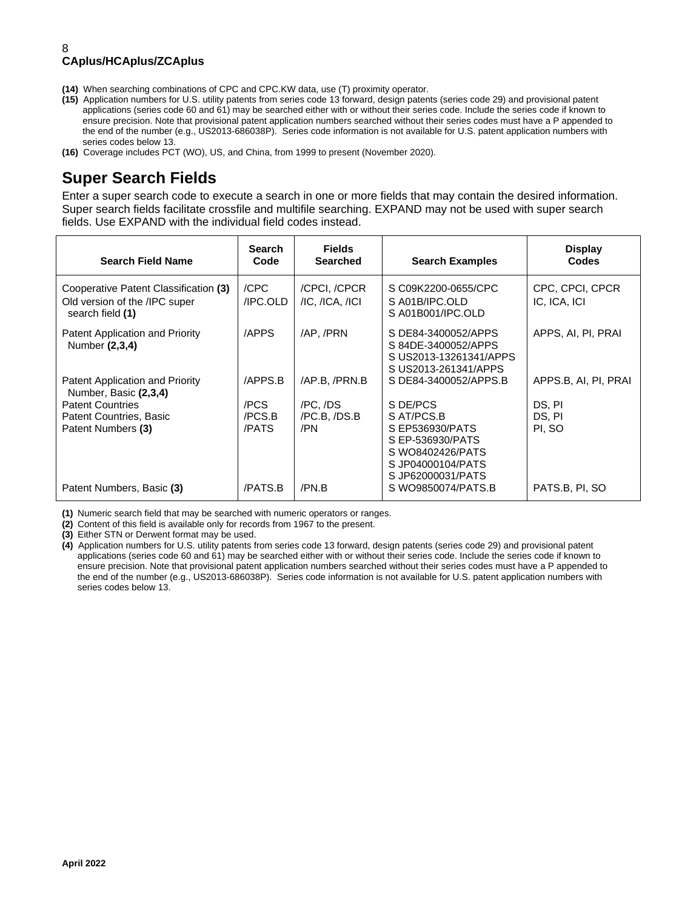- **(14)** When searching combinations of CPC and CPC.KW data, use (T) proximity operator.
- **(15)** Application numbers for U.S. utility patents from series code 13 forward, design patents (series code 29) and provisional patent applications (series code 60 and 61) may be searched either with or without their series code. Include the series code if known to ensure precision. Note that provisional patent application numbers searched without their series codes must have a P appended to the end of the number (e.g., US2013-686038P). Series code information is not available for U.S. patent application numbers with series codes below 13.
- **(16)** Coverage includes PCT (WO), US, and China, from 1999 to present (November 2020).

## **Super Search Fields**

Enter a super search code to execute a search in one or more fields that may contain the desired information. Super search fields facilitate crossfile and multifile searching. EXPAND may not be used with super search fields. Use EXPAND with the individual field codes instead.

| <b>Search Field Name</b>                                                                   | <b>Search</b><br>Code | <b>Fields</b><br><b>Searched</b>        | <b>Search Examples</b>                                                                            | <b>Display</b><br>Codes         |
|--------------------------------------------------------------------------------------------|-----------------------|-----------------------------------------|---------------------------------------------------------------------------------------------------|---------------------------------|
| Cooperative Patent Classification (3)<br>Old version of the /IPC super<br>search field (1) | /CPC<br>/IPC.OLD      | /CPCI, /CPCR<br>$/IC$ , $/ICA$ , $/ICI$ | S C09K2200-0655/CPC<br>SA01B/IPC.OLD<br>SA01B001/IPC.OLD                                          | CPC, CPCI, CPCR<br>IC, ICA, ICI |
| Patent Application and Priority<br>Number (2,3,4)                                          | /APPS                 | /AP, /PRN                               | S DE84-3400052/APPS<br>S 84DE-3400052/APPS<br>S US2013-13261341/APPS<br>S US2013-261341/APPS      | APPS, AI, PI, PRAI              |
| Patent Application and Priority<br>Number, Basic (2,3,4)                                   | /APPS.B               | /AP.B. /PRN.B                           | S DE84-3400052/APPS.B                                                                             | APPS.B, AI, PI, PRAI            |
| <b>Patent Countries</b>                                                                    | /PCS                  | /PC, /DS                                | S DE/PCS                                                                                          | DS, PI                          |
| Patent Countries, Basic                                                                    | /PCS.B                | /PC.B, /DS.B                            | S AT/PCS.B                                                                                        | DS, PI                          |
| Patent Numbers (3)                                                                         | /PATS                 | /PN                                     | S EP536930/PATS<br>S EP-536930/PATS<br>S WO8402426/PATS<br>S JP04000104/PATS<br>S JP62000031/PATS | PI, SO                          |
| Patent Numbers, Basic (3)                                                                  | /PATS.B               | /PN.B                                   | S WO9850074/PATS.B                                                                                | PATS.B, PI, SO                  |

**(1)** Numeric search field that may be searched with numeric operators or ranges.

**(2)** Content of this field is available only for records from 1967 to the present.

**(3)** Either STN or Derwent format may be used.

**(4)** Application numbers for U.S. utility patents from series code 13 forward, design patents (series code 29) and provisional patent applications (series code 60 and 61) may be searched either with or without their series code. Include the series code if known to ensure precision. Note that provisional patent application numbers searched without their series codes must have a P appended to the end of the number (e.g., US2013-686038P). Series code information is not available for U.S. patent application numbers with series codes below 13.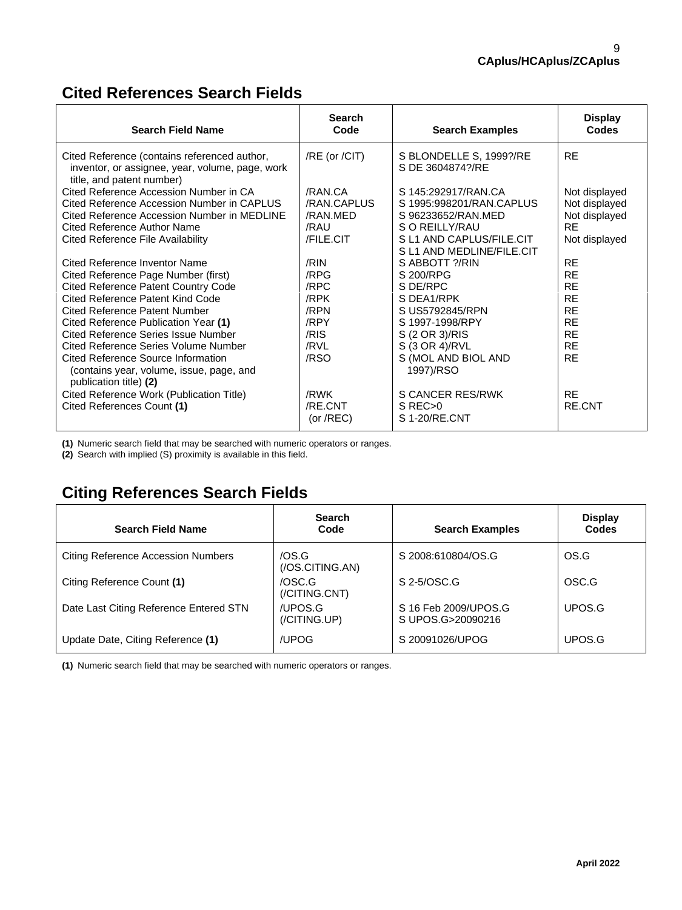## **Cited References Search Fields**

| <b>Search Field Name</b>                                                                                                     | <b>Search</b><br>Code  | <b>Search Examples</b>                                | <b>Display</b><br><b>Codes</b> |
|------------------------------------------------------------------------------------------------------------------------------|------------------------|-------------------------------------------------------|--------------------------------|
| Cited Reference (contains referenced author,<br>inventor, or assignee, year, volume, page, work<br>title, and patent number) | /RE (or /CIT)          | S BLONDELLE S, 1999?/RE<br>S DE 3604874?/RE           | <b>RE</b>                      |
| Cited Reference Accession Number in CA<br>Cited Reference Accession Number in CAPLUS                                         | /RAN.CA<br>/RAN.CAPLUS | S 145:292917/RAN.CA<br>S 1995:998201/RAN.CAPLUS       | Not displayed<br>Not displayed |
| Cited Reference Accession Number in MEDLINE                                                                                  | /RAN.MED               | S 96233652/RAN.MED                                    | Not displayed                  |
| Cited Reference Author Name                                                                                                  | /RAU                   | S O REILLY/RAU                                        | <b>RE</b>                      |
| Cited Reference File Availability                                                                                            | <b>/FILE.CIT</b>       | S L1 AND CAPLUS/FILE.CIT<br>S L1 AND MEDLINE/FILE.CIT | Not displayed                  |
| Cited Reference Inventor Name                                                                                                | /RIN                   | S ABBOTT ?/RIN                                        | <b>RE</b>                      |
| Cited Reference Page Number (first)                                                                                          | /RPG                   | S 200/RPG                                             | <b>RE</b>                      |
| <b>Cited Reference Patent Country Code</b>                                                                                   | /RPC                   | S DE/RPC                                              | <b>RE</b>                      |
| Cited Reference Patent Kind Code                                                                                             | /RPK                   | S DEA1/RPK                                            | <b>RE</b>                      |
| Cited Reference Patent Number                                                                                                | /RPN                   | S US5792845/RPN                                       | <b>RE</b>                      |
| Cited Reference Publication Year (1)                                                                                         | /RPY                   | S 1997-1998/RPY                                       | <b>RE</b>                      |
| <b>Cited Reference Series Issue Number</b>                                                                                   | /RIS                   | S (2 OR 3)/RIS                                        | <b>RE</b>                      |
| Cited Reference Series Volume Number                                                                                         | /RVL                   | S (3 OR 4)/RVL                                        | <b>RE</b>                      |
| Cited Reference Source Information<br>(contains year, volume, issue, page, and<br>publication title) (2)                     | /RSO                   | S (MOL AND BIOL AND<br>1997)/RSO                      | <b>RE</b>                      |
| Cited Reference Work (Publication Title)                                                                                     | /RWK                   | S CANCER RES/RWK                                      | <b>RE</b>                      |
| Cited References Count (1)                                                                                                   | /RE.CNT                | S REC <sub>&gt;0</sub>                                | <b>RE.CNT</b>                  |
|                                                                                                                              | (or $/$ REC)           | S 1-20/RE.CNT                                         |                                |

**(1)** Numeric search field that may be searched with numeric operators or ranges.

**(2)** Search with implied (S) proximity is available in this field.

## **Citing References Search Fields**

| <b>Search Field Name</b>                  | <b>Search</b><br>Code                    | <b>Search Examples</b>                    | <b>Display</b><br>Codes |
|-------------------------------------------|------------------------------------------|-------------------------------------------|-------------------------|
| <b>Citing Reference Accession Numbers</b> | /OS.G<br>(/OS.CITING.AN)                 | S 2008:610804/OS.G                        | OS.G                    |
| Citing Reference Count (1)                | /OSC.G<br>$\left($ /CITING.CNT $\right)$ | S 2-5/OSC.G                               | OSC.G                   |
| Date Last Citing Reference Entered STN    | /UPOS.G<br>(/CITING.UP)                  | S 16 Feb 2009/UPOS.G<br>S UPOS.G>20090216 | UPOS.G                  |
| Update Date, Citing Reference (1)         | /UPOG                                    | S 20091026/UPOG                           | UPOS.G                  |

**(1)** Numeric search field that may be searched with numeric operators or ranges.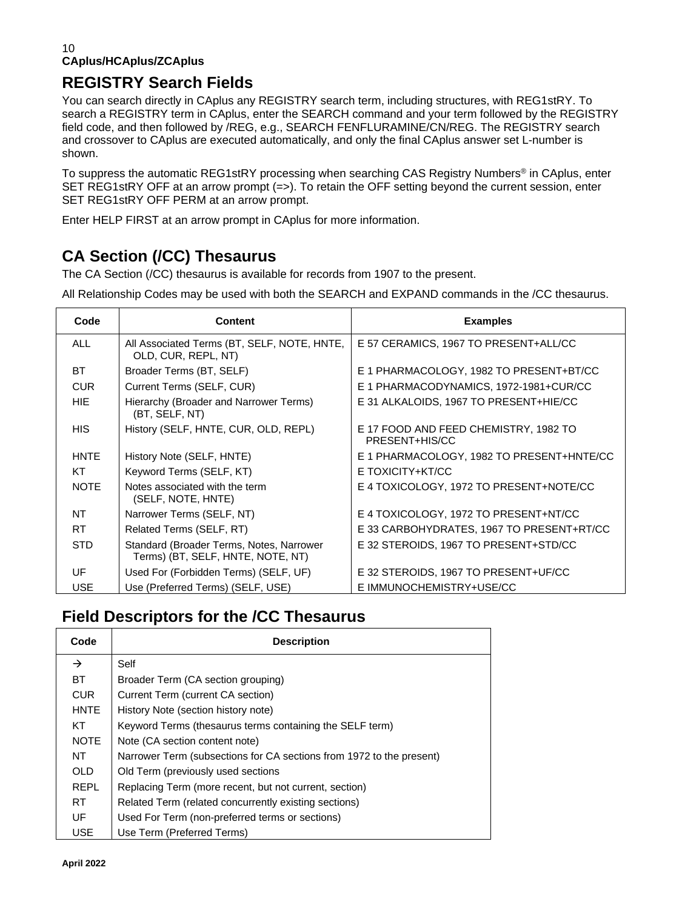# **REGISTRY Search Fields**

You can search directly in CAplus any REGISTRY search term, including structures, with REG1stRY. To search a REGISTRY term in CAplus, enter the SEARCH command and your term followed by the REGISTRY field code, and then followed by /REG, e.g., SEARCH FENFLURAMINE/CN/REG. The REGISTRY search and crossover to CAplus are executed automatically, and only the final CAplus answer set L-number is shown.

To suppress the automatic REG1stRY processing when searching CAS Registry Numbers® in CAplus, enter SET REG1stRY OFF at an arrow prompt (=>). To retain the OFF setting beyond the current session, enter SET REG1stRY OFF PERM at an arrow prompt.

Enter HELP FIRST at an arrow prompt in CAplus for more information.

# **CA Section (/CC) Thesaurus**

The CA Section (/CC) thesaurus is available for records from 1907 to the present.

All Relationship Codes may be used with both the SEARCH and EXPAND commands in the /CC thesaurus.

| Code        | <b>Content</b>                                                                | <b>Examples</b>                                         |
|-------------|-------------------------------------------------------------------------------|---------------------------------------------------------|
| <b>ALL</b>  | All Associated Terms (BT, SELF, NOTE, HNTE,<br>OLD, CUR, REPL, NT)            | E 57 CERAMICS, 1967 TO PRESENT+ALL/CC                   |
| <b>BT</b>   | Broader Terms (BT, SELF)                                                      | E 1 PHARMACOLOGY, 1982 TO PRESENT+BT/CC                 |
| <b>CUR</b>  | Current Terms (SELF, CUR)                                                     | E 1 PHARMACODYNAMICS, 1972-1981+CUR/CC                  |
| HIE.        | Hierarchy (Broader and Narrower Terms)<br>(BT, SELF, NT)                      | E 31 ALKALOIDS, 1967 TO PRESENT+HIE/CC                  |
| <b>HIS</b>  | History (SELF, HNTE, CUR, OLD, REPL)                                          | E 17 FOOD AND FEED CHEMISTRY, 1982 TO<br>PRESENT+HIS/CC |
| <b>HNTE</b> | History Note (SELF, HNTE)                                                     | E 1 PHARMACOLOGY, 1982 TO PRESENT+HNTE/CC               |
| KT          | Keyword Terms (SELF, KT)                                                      | E TOXICITY+KT/CC                                        |
| <b>NOTE</b> | Notes associated with the term<br>(SELF, NOTE, HNTE)                          | E 4 TOXICOLOGY, 1972 TO PRESENT+NOTE/CC                 |
| NT.         | Narrower Terms (SELF, NT)                                                     | E 4 TOXICOLOGY, 1972 TO PRESENT+NT/CC                   |
| RT.         | Related Terms (SELF, RT)                                                      | E 33 CARBOHYDRATES, 1967 TO PRESENT+RT/CC               |
| <b>STD</b>  | Standard (Broader Terms, Notes, Narrower<br>Terms) (BT, SELF, HNTE, NOTE, NT) | E 32 STEROIDS, 1967 TO PRESENT+STD/CC                   |
| UF          | Used For (Forbidden Terms) (SELF, UF)                                         | E 32 STEROIDS, 1967 TO PRESENT+UF/CC                    |
| <b>USE</b>  | Use (Preferred Terms) (SELF, USE)                                             | E IMMUNOCHEMISTRY+USE/CC                                |

## **Field Descriptors for the /CC Thesaurus**

| Code          | <b>Description</b>                                                   |
|---------------|----------------------------------------------------------------------|
| $\rightarrow$ | Self                                                                 |
| BT.           | Broader Term (CA section grouping)                                   |
| <b>CUR</b>    | Current Term (current CA section)                                    |
| <b>HNTE</b>   | History Note (section history note)                                  |
| KT            | Keyword Terms (thesaurus terms containing the SELF term)             |
| <b>NOTE</b>   | Note (CA section content note)                                       |
| NT            | Narrower Term (subsections for CA sections from 1972 to the present) |
| OLD.          | Old Term (previously used sections                                   |
| <b>REPL</b>   | Replacing Term (more recent, but not current, section)               |
| RT.           | Related Term (related concurrently existing sections)                |
| UF            | Used For Term (non-preferred terms or sections)                      |
| <b>USE</b>    | Use Term (Preferred Terms)                                           |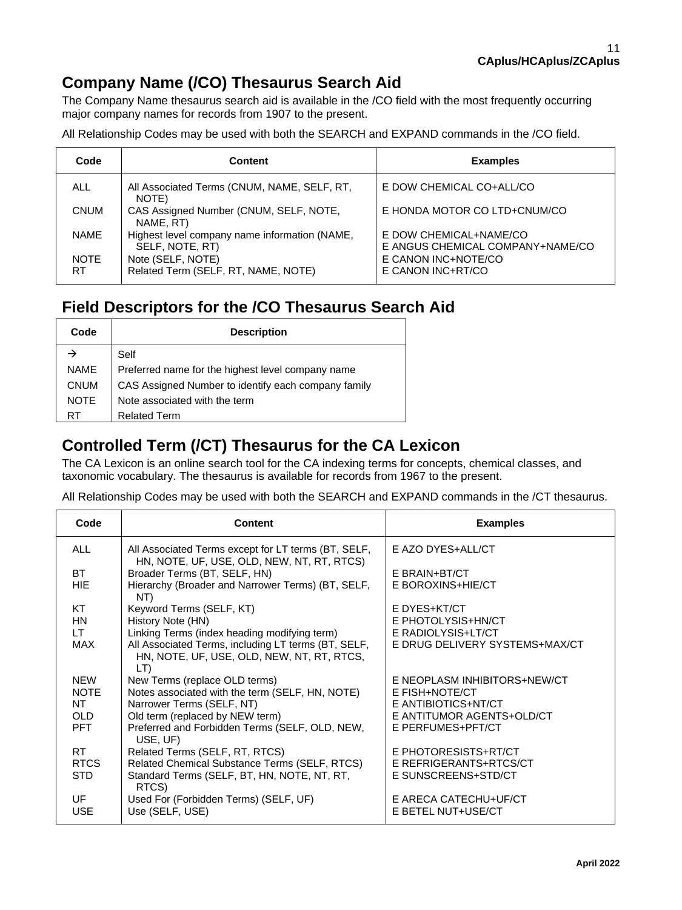## **Company Name (/CO) Thesaurus Search Aid**

The Company Name thesaurus search aid is available in the /CO field with the most frequently occurring major company names for records from 1907 to the present.

All Relationship Codes may be used with both the SEARCH and EXPAND commands in the /CO field.

| Code               | <b>Content</b>                                                   | <b>Examples</b>                                            |
|--------------------|------------------------------------------------------------------|------------------------------------------------------------|
| <b>ALL</b>         | All Associated Terms (CNUM, NAME, SELF, RT,<br>NOTE)             | E DOW CHEMICAL CO+ALL/CO                                   |
| <b>CNUM</b>        | CAS Assigned Number (CNUM, SELF, NOTE,<br>NAME, RT)              | E HONDA MOTOR CO LTD+CNUM/CO                               |
| <b>NAME</b>        | Highest level company name information (NAME,<br>SELF, NOTE, RT) | E DOW CHEMICAL+NAME/CO<br>E ANGUS CHEMICAL COMPANY+NAME/CO |
| <b>NOTE</b><br>RT. | Note (SELF, NOTE)<br>Related Term (SELF, RT, NAME, NOTE)         | E CANON INC+NOTE/CO<br>E CANON INC+RT/CO                   |

## **Field Descriptors for the /CO Thesaurus Search Aid**

| Code        | <b>Description</b>                                  |
|-------------|-----------------------------------------------------|
|             | Self                                                |
| <b>NAMF</b> | Preferred name for the highest level company name   |
| <b>CNUM</b> | CAS Assigned Number to identify each company family |
| <b>NOTE</b> | Note associated with the term                       |
| RT          | <b>Related Term</b>                                 |

## **Controlled Term (/CT) Thesaurus for the CA Lexicon**

The CA Lexicon is an online search tool for the CA indexing terms for concepts, chemical classes, and taxonomic vocabulary. The thesaurus is available for records from 1967 to the present.

All Relationship Codes may be used with both the SEARCH and EXPAND commands in the /CT thesaurus.

| Code        | <b>Content</b>                                                                                           | <b>Examples</b>                |
|-------------|----------------------------------------------------------------------------------------------------------|--------------------------------|
| <b>ALL</b>  | All Associated Terms except for LT terms (BT, SELF,<br>HN, NOTE, UF, USE, OLD, NEW, NT, RT, RTCS)        | E AZO DYES+ALL/CT              |
| <b>BT</b>   | Broader Terms (BT, SELF, HN)                                                                             | E BRAIN+BT/CT                  |
| HIE.        | Hierarchy (Broader and Narrower Terms) (BT, SELF,<br>NT)                                                 | E BOROXINS+HIE/CT              |
| KT          | Keyword Terms (SELF, KT)                                                                                 | E DYES+KT/CT                   |
| <b>HN</b>   | History Note (HN)                                                                                        | E PHOTOLYSIS+HN/CT             |
| LT.         | Linking Terms (index heading modifying term)                                                             | E RADIOLYSIS+LT/CT             |
| MAX         | All Associated Terms, including LT terms (BT, SELF,<br>HN, NOTE, UF, USE, OLD, NEW, NT, RT, RTCS,<br>LT) | E DRUG DELIVERY SYSTEMS+MAX/CT |
| <b>NEW</b>  | New Terms (replace OLD terms)                                                                            | E NEOPLASM INHIBITORS+NEW/CT   |
| <b>NOTE</b> | Notes associated with the term (SELF, HN, NOTE)                                                          | E FISH+NOTE/CT                 |
| <b>NT</b>   | Narrower Terms (SELF, NT)                                                                                | E ANTIBIOTICS+NT/CT            |
| OLD.        | Old term (replaced by NEW term)                                                                          | E ANTITUMOR AGENTS+OLD/CT      |
| <b>PFT</b>  | Preferred and Forbidden Terms (SELF, OLD, NEW,<br>USE, UF)                                               | E PERFUMES+PFT/CT              |
| RT.         | Related Terms (SELF, RT, RTCS)                                                                           | E PHOTORESISTS+RT/CT           |
| <b>RTCS</b> | Related Chemical Substance Terms (SELF, RTCS)                                                            | E REFRIGERANTS+RTCS/CT         |
| STD.        | Standard Terms (SELF, BT, HN, NOTE, NT, RT,<br>RTCS)                                                     | E SUNSCREENS+STD/CT            |
| UF          | Used For (Forbidden Terms) (SELF, UF)                                                                    | E ARECA CATECHU+UF/CT          |
| <b>USE</b>  | Use (SELF, USE)                                                                                          | E BETEL NUT+USE/CT             |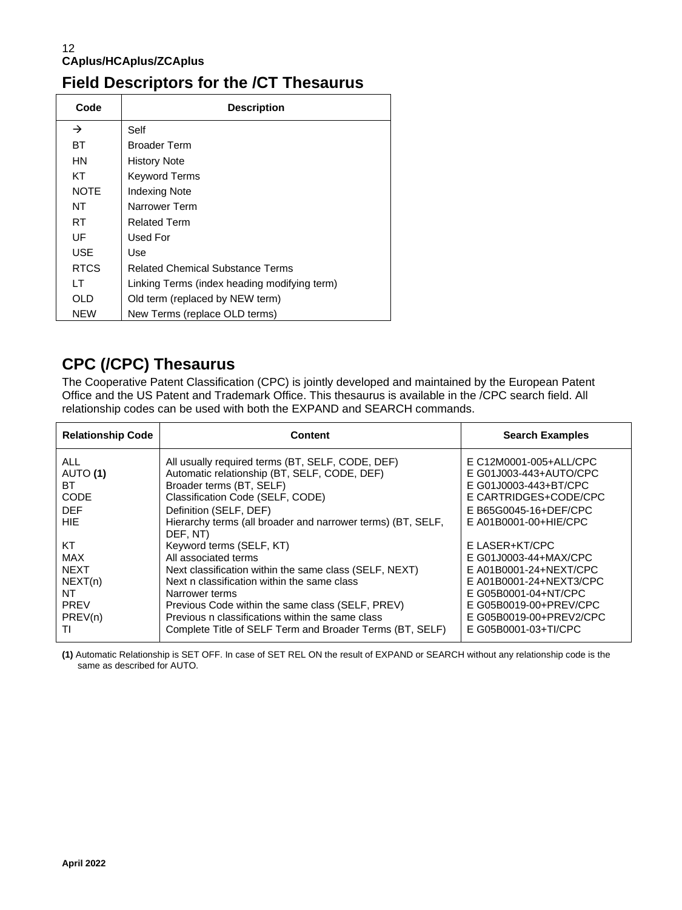## **Field Descriptors for the /CT Thesaurus**

| Code        | <b>Description</b>                           |
|-------------|----------------------------------------------|
| →           | Self                                         |
| BТ          | <b>Broader Term</b>                          |
| HN          | <b>History Note</b>                          |
| КT          | <b>Keyword Terms</b>                         |
| <b>NOTE</b> | <b>Indexing Note</b>                         |
| NT          | Narrower Term                                |
| RT          | <b>Related Term</b>                          |
| UF          | Used For                                     |
| USE         | Use                                          |
| <b>RTCS</b> | <b>Related Chemical Substance Terms</b>      |
| ΙT          | Linking Terms (index heading modifying term) |
| OL D        | Old term (replaced by NEW term)              |
| <b>NEW</b>  | New Terms (replace OLD terms)                |

## **CPC (/CPC) Thesaurus**

The Cooperative Patent Classification (CPC) is jointly developed and maintained by the European Patent Office and the US Patent and Trademark Office. This thesaurus is available in the /CPC search field. All relationship codes can be used with both the EXPAND and SEARCH commands.

| <b>Relationship Code</b>                                                  | <b>Content</b>                                                                                                                                                                                                                                                                                                                                              | <b>Search Examples</b>                                                                                                                                                                            |
|---------------------------------------------------------------------------|-------------------------------------------------------------------------------------------------------------------------------------------------------------------------------------------------------------------------------------------------------------------------------------------------------------------------------------------------------------|---------------------------------------------------------------------------------------------------------------------------------------------------------------------------------------------------|
| <b>ALL</b><br>AUTO (1)<br>ВT<br><b>CODE</b><br><b>DEF</b><br>HIE.         | All usually required terms (BT, SELF, CODE, DEF)<br>Automatic relationship (BT, SELF, CODE, DEF)<br>Broader terms (BT, SELF)<br>Classification Code (SELF, CODE)<br>Definition (SELF, DEF)<br>Hierarchy terms (all broader and narrower terms) (BT, SELF,                                                                                                   | E C12M0001-005+ALL/CPC<br>E G01J003-443+AUTO/CPC<br>E G01J0003-443+BT/CPC<br>E CARTRIDGES+CODE/CPC<br>E B65G0045-16+DEF/CPC<br>$E$ A01B0001-00+HIE/CPC                                            |
| KT<br>MAX<br><b>NEXT</b><br>NEXT(n)<br>NT<br><b>PREV</b><br>PREV(n)<br>TI | DEF, NT)<br>Keyword terms (SELF, KT)<br>All associated terms<br>Next classification within the same class (SELF, NEXT)<br>Next n classification within the same class<br>Narrower terms<br>Previous Code within the same class (SELF, PREV)<br>Previous n classifications within the same class<br>Complete Title of SELF Term and Broader Terms (BT, SELF) | E LASER+KT/CPC<br>E G01J0003-44+MAX/CPC<br>E A01B0001-24+NEXT/CPC<br>E A01B0001-24+NEXT3/CPC<br>E G05B0001-04+NT/CPC<br>E G05B0019-00+PREV/CPC<br>E G05B0019-00+PREV2/CPC<br>E G05B0001-03+TI/CPC |

**(1)** Automatic Relationship is SET OFF. In case of SET REL ON the result of EXPAND or SEARCH without any relationship code is the same as described for AUTO.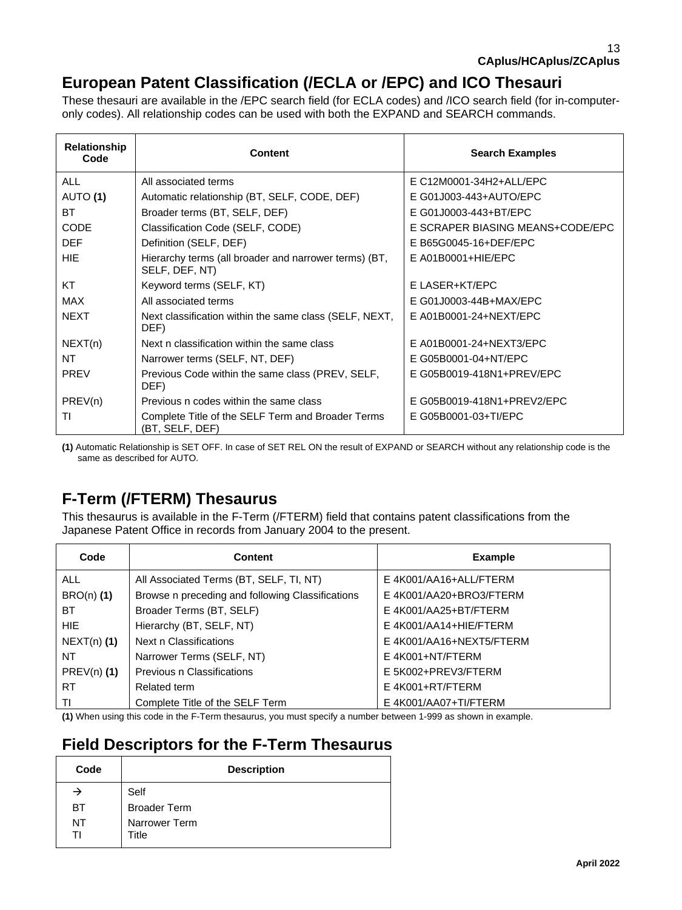## **European Patent Classification (/ECLA or /EPC) and ICO Thesauri**

These thesauri are available in the /EPC search field (for ECLA codes) and /ICO search field (for in-computeronly codes). All relationship codes can be used with both the EXPAND and SEARCH commands.

| Relationship<br>Code | <b>Content</b>                                                          | <b>Search Examples</b>           |
|----------------------|-------------------------------------------------------------------------|----------------------------------|
| <b>ALL</b>           | All associated terms                                                    | E C12M0001-34H2+ALL/EPC          |
| AUTO (1)             | Automatic relationship (BT, SELF, CODE, DEF)                            | E G01J003-443+AUTO/EPC           |
| ВT                   | Broader terms (BT, SELF, DEF)                                           | E G01J0003-443+BT/EPC            |
| <b>CODE</b>          | Classification Code (SELF, CODE)                                        | E SCRAPER BIASING MEANS+CODE/EPC |
| <b>DEF</b>           | Definition (SELF, DEF)                                                  | E B65G0045-16+DEF/EPC            |
| <b>HIE</b>           | Hierarchy terms (all broader and narrower terms) (BT,<br>SELF, DEF, NT) | $E$ A01B0001+HIE/EPC             |
| КT                   | Keyword terms (SELF, KT)                                                | E LASER+KT/EPC                   |
| <b>MAX</b>           | All associated terms                                                    | E G01J0003-44B+MAX/EPC           |
| <b>NEXT</b>          | Next classification within the same class (SELF, NEXT,<br>DEF)          | E A01B0001-24+NEXT/EPC           |
| NEXT(n)              | Next n classification within the same class                             | E A01B0001-24+NEXT3/EPC          |
| NT                   | Narrower terms (SELF, NT, DEF)                                          | E G05B0001-04+NT/EPC             |
| <b>PREV</b>          | Previous Code within the same class (PREV, SELF,<br>DEF)                | E G05B0019-418N1+PREV/EPC        |
| PREV(n)              | Previous n codes within the same class                                  | E G05B0019-418N1+PREV2/EPC       |
| TI                   | Complete Title of the SELF Term and Broader Terms<br>(BT, SELF, DEF)    | E G05B0001-03+TI/EPC             |

**(1)** Automatic Relationship is SET OFF. In case of SET REL ON the result of EXPAND or SEARCH without any relationship code is the same as described for AUTO.

## **F-Term (/FTERM) Thesaurus**

This thesaurus is available in the F-Term (/FTERM) field that contains patent classifications from the Japanese Patent Office in records from January 2004 to the present.

| Code          | <b>Content</b>                                   | <b>Example</b>           |
|---------------|--------------------------------------------------|--------------------------|
| ALL.          | All Associated Terms (BT, SELF, TI, NT)          | E 4K001/AA16+ALL/FTERM   |
| $BRO(n)$ (1)  | Browse n preceding and following Classifications | E 4K001/AA20+BRO3/FTERM  |
| ВT            | Broader Terms (BT, SELF)                         | E 4K001/AA25+BT/FTERM    |
| HIE.          | Hierarchy (BT, SELF, NT)                         | E 4K001/AA14+HIE/FTERM   |
| $NEXT(n)$ (1) | Next n Classifications                           | E 4K001/AA16+NEXT5/FTERM |
| NT            | Narrower Terms (SELF, NT)                        | E 4K001+NT/FTERM         |
| $PREV(n)$ (1) | Previous n Classifications                       | E 5K002+PREV3/FTERM      |
| RT.           | Related term                                     | E 4K001+RT/FTERM         |
| ΤI            | Complete Title of the SELF Term                  | E 4K001/AA07+TI/FTERM    |

**(1)** When using this code in the F-Term thesaurus, you must specify a number between 1-999 as shown in example.

## **Field Descriptors for the F-Term Thesaurus**

| Code     | <b>Description</b>     |  |
|----------|------------------------|--|
| →        | Self                   |  |
| BТ       | <b>Broader Term</b>    |  |
| NT<br>TI | Narrower Term<br>Title |  |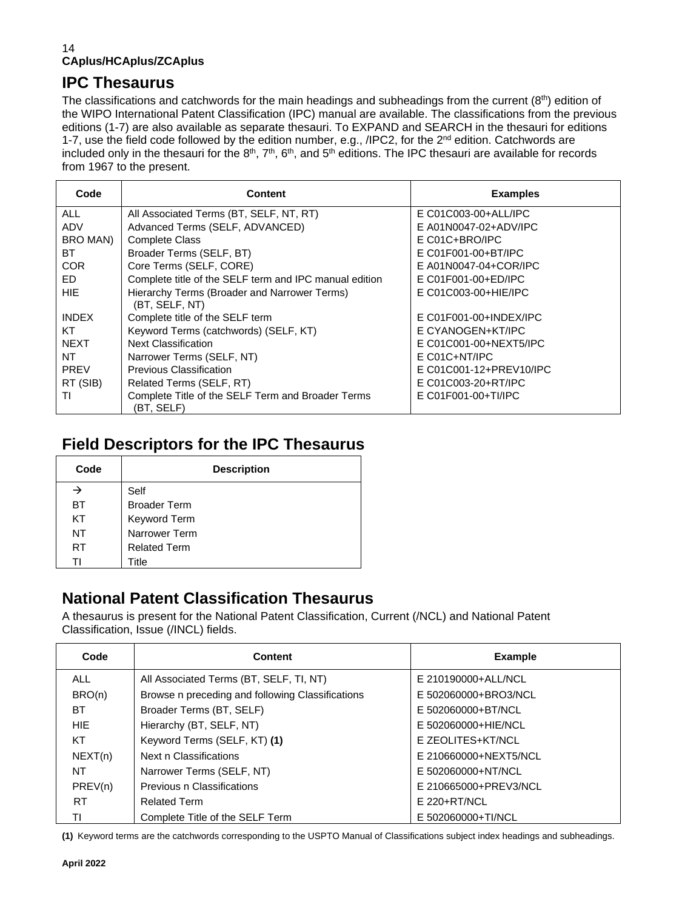## **IPC Thesaurus**

The classifications and catchwords for the main headings and subheadings from the current (8<sup>th</sup>) edition of the WIPO International Patent Classification (IPC) manual are available. The classifications from the previous editions (1-7) are also available as separate thesauri. To EXPAND and SEARCH in the thesauri for editions 1-7, use the field code followed by the edition number, e.g., /IPC2, for the 2<sup>nd</sup> edition. Catchwords are included only in the thesauri for the  $8<sup>th</sup>$ ,  $7<sup>th</sup>$ ,  $6<sup>th</sup>$ , and  $5<sup>th</sup>$  editions. The IPC thesauri are available for records from 1967 to the present.

| Code         | <b>Content</b>                                                  | <b>Examples</b>          |
|--------------|-----------------------------------------------------------------|--------------------------|
| <b>ALL</b>   | All Associated Terms (BT, SELF, NT, RT)                         | E C01C003-00+ALL/IPC     |
| ADV          | Advanced Terms (SELF, ADVANCED)                                 | E A01N0047-02+ADV/IPC    |
| BRO MAN)     | <b>Complete Class</b>                                           | $E CO1C + BRO/IPC$       |
| BT.          | Broader Terms (SELF, BT)                                        | E C01F001-00+BT/IPC      |
| <b>COR</b>   | Core Terms (SELF, CORE)                                         | E A01N0047-04+COR/IPC    |
| FD.          | Complete title of the SELF term and IPC manual edition          | E C01F001-00+ED/IPC      |
| HIE.         | Hierarchy Terms (Broader and Narrower Terms)<br>(BT, SELF, NT)  | E C01C003-00+HIE/IPC     |
| <b>INDEX</b> | Complete title of the SELF term                                 | $E$ C01F001-00+INDEX/IPC |
| KT           | Keyword Terms (catchwords) (SELF, KT)                           | E CYANOGEN+KT/IPC        |
| <b>NEXT</b>  | <b>Next Classification</b>                                      | E C01C001-00+NEXT5/IPC   |
| NT           | Narrower Terms (SELF, NT)                                       | $E$ C01C+NT/IPC          |
| <b>PREV</b>  | <b>Previous Classification</b>                                  | E C01C001-12+PREV10/IPC  |
| RT (SIB)     | Related Terms (SELF, RT)                                        | E C01C003-20+RT/IPC      |
| ΤI           | Complete Title of the SELF Term and Broader Terms<br>(BT. SELF) | E C01F001-00+TI/IPC      |

## **Field Descriptors for the IPC Thesaurus**

| Code      | <b>Description</b>  |
|-----------|---------------------|
| →         | Self                |
| ВT        | <b>Broader Term</b> |
| KT        | Keyword Term        |
| NT        | Narrower Term       |
| <b>RT</b> | <b>Related Term</b> |
| Τl        | Title               |

## **National Patent Classification Thesaurus**

A thesaurus is present for the National Patent Classification, Current (/NCL) and National Patent Classification, Issue (/INCL) fields.

| Code      | <b>Content</b>                                   | <b>Example</b>        |
|-----------|--------------------------------------------------|-----------------------|
| ALL       | All Associated Terms (BT, SELF, TI, NT)          | E 210190000+ALL/NCL   |
| BRO(n)    | Browse n preceding and following Classifications | E 502060000+BRO3/NCL  |
| BT        | Broader Terms (BT, SELF)                         | E 502060000+BT/NCL    |
| HIE.      | Hierarchy (BT, SELF, NT)                         | E 502060000+HIE/NCL   |
| KT        | Keyword Terms (SELF, KT) (1)                     | E ZEOLITES+KT/NCL     |
| NEXT(n)   | Next n Classifications                           | E 210660000+NEXT5/NCL |
| NT        | Narrower Terms (SELF, NT)                        | E 502060000+NT/NCL    |
| PREV(n)   | Previous n Classifications                       | E 210665000+PREV3/NCL |
| <b>RT</b> | <b>Related Term</b>                              | $E$ 220+RT/NCL        |
| ΤI        | Complete Title of the SELF Term                  | E 502060000+TI/NCL    |

**(1)** Keyword terms are the catchwords corresponding to the USPTO Manual of Classifications subject index headings and subheadings.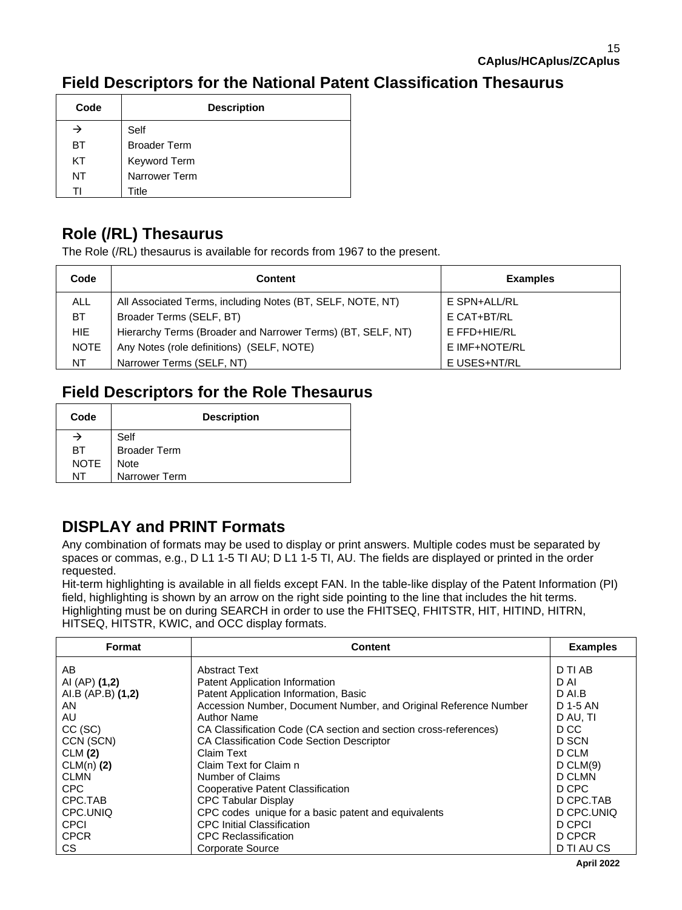## **Field Descriptors for the National Patent Classification Thesaurus**

| Code | <b>Description</b>  |
|------|---------------------|
|      | Self                |
| BT   | <b>Broader Term</b> |
| KT   | Keyword Term        |
| NT   | Narrower Term       |
|      | Title               |

## **Role (/RL) Thesaurus**

The Role (/RL) thesaurus is available for records from 1967 to the present.

| Code        | <b>Content</b>                                              | <b>Examples</b> |
|-------------|-------------------------------------------------------------|-----------------|
| <b>ALL</b>  | All Associated Terms, including Notes (BT, SELF, NOTE, NT)  | E SPN+ALL/RL    |
| BT.         | Broader Terms (SELF, BT)                                    | E CAT+BT/RL     |
| HIE.        | Hierarchy Terms (Broader and Narrower Terms) (BT, SELF, NT) | E FFD+HIE/RL    |
| <b>NOTE</b> | Any Notes (role definitions) (SELF, NOTE)                   | E IMF+NOTE/RL   |
| NT          | Narrower Terms (SELF, NT)                                   | E USES+NT/RL    |

## **Field Descriptors for the Role Thesaurus**

| Code | <b>Description</b>  |
|------|---------------------|
|      | Self                |
| BT.  | <b>Broader Term</b> |
| NOTE | <b>Note</b>         |
| NT   | Narrower Term       |

## **DISPLAY and PRINT Formats**

Any combination of formats may be used to display or print answers. Multiple codes must be separated by spaces or commas, e.g., D L1 1-5 TI AU; D L1 1-5 TI, AU. The fields are displayed or printed in the order requested.

Hit-term highlighting is available in all fields except FAN. In the table-like display of the Patent Information (PI) field, highlighting is shown by an arrow on the right side pointing to the line that includes the hit terms. Highlighting must be on during SEARCH in order to use the FHITSEQ, FHITSTR, HIT, HITIND, HITRN, HITSEQ, HITSTR, KWIC, and OCC display formats.

| Format            | <b>Content</b>                                                   | <b>Examples</b> |
|-------------------|------------------------------------------------------------------|-----------------|
| AB.               | <b>Abstract Text</b>                                             | D TI AB         |
| AI (AP) (1,2)     | Patent Application Information                                   | D AI            |
| AI.B (AP.B) (1,2) | Patent Application Information, Basic                            | D AI.B          |
| AN                | Accession Number, Document Number, and Original Reference Number | D 1-5 AN        |
| AU                | <b>Author Name</b>                                               | D AU. TI        |
| $CC$ (SC)         | CA Classification Code (CA section and section cross-references) | D CC            |
| CCN (SCN)         | <b>CA Classification Code Section Descriptor</b>                 | D SCN           |
| CLM(2)            | Claim Text                                                       | D CLM           |
| $CLM(n)$ (2)      | Claim Text for Claim n                                           | D CLM(9)        |
| <b>CLMN</b>       | Number of Claims                                                 | D CLMN          |
| CPC               | Cooperative Patent Classification                                | D CPC           |
| CPC.TAB           | <b>CPC Tabular Display</b>                                       | D CPC.TAB       |
| CPC.UNIQ          | CPC codes unique for a basic patent and equivalents              | D CPC.UNIQ      |
| <b>CPCI</b>       | <b>CPC Initial Classification</b>                                | D CPCI          |
| <b>CPCR</b>       | <b>CPC Reclassification</b>                                      | D CPCR          |
| CS.               | <b>Corporate Source</b>                                          | D TI AU CS      |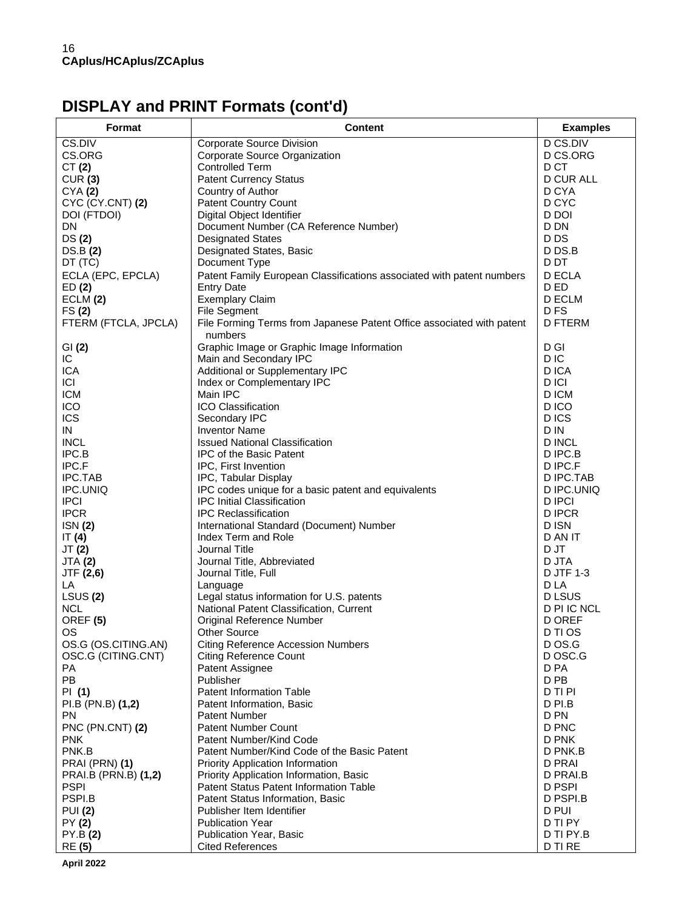# **DISPLAY and PRINT Formats (cont'd)**

| Format                      | <b>Content</b>                                                              | <b>Examples</b>         |
|-----------------------------|-----------------------------------------------------------------------------|-------------------------|
| CS.DIV                      | Corporate Source Division                                                   | D CS.DIV                |
| CS.ORG                      | Corporate Source Organization                                               | D CS.ORG                |
| CT $(2)$                    | <b>Controlled Term</b>                                                      | D CT                    |
| CUR(3)                      | <b>Patent Currency Status</b>                                               | <b>D CUR ALL</b>        |
| CYA(2)                      | Country of Author                                                           | D CYA                   |
| CYC (CY.CNT) (2)            | <b>Patent Country Count</b>                                                 | D CYC                   |
| DOI (FTDOI)                 | Digital Object Identifier                                                   | D DOI                   |
| DN.                         | Document Number (CA Reference Number)                                       | D DN                    |
| DS(2)                       | <b>Designated States</b>                                                    | D DS<br>D DS.B          |
| DS.B (2)<br>DT (TC)         | Designated States, Basic<br>Document Type                                   | D DT                    |
| ECLA (EPC, EPCLA)           | Patent Family European Classifications associated with patent numbers       | D ECLA                  |
| ED(2)                       | <b>Entry Date</b>                                                           | D ED                    |
| ECLM (2)                    | <b>Exemplary Claim</b>                                                      | <b>D ECLM</b>           |
| FS(2)                       | <b>File Segment</b>                                                         | D FS                    |
| FTERM (FTCLA, JPCLA)        | File Forming Terms from Japanese Patent Office associated with patent       | <b>D FTERM</b>          |
|                             | numbers                                                                     |                         |
| GI(2)                       | Graphic Image or Graphic Image Information                                  | D GI                    |
| IC                          | Main and Secondary IPC                                                      | D IC                    |
| ICA                         | Additional or Supplementary IPC                                             | D ICA                   |
| ICI                         | Index or Complementary IPC                                                  | D ICI                   |
| <b>ICM</b>                  | Main IPC                                                                    | D ICM                   |
| ICO                         | <b>ICO Classification</b>                                                   | D ICO                   |
| ICS                         | Secondary IPC                                                               | D ICS                   |
| IN                          | <b>Inventor Name</b>                                                        | D IN                    |
| <b>INCL</b>                 | <b>Issued National Classification</b>                                       | <b>D INCL</b>           |
| IPC.B                       | <b>IPC of the Basic Patent</b>                                              | D IPC.B                 |
| IPC.F                       | IPC, First Invention                                                        | D IPC.F                 |
| IPC.TAB<br>IPC.UNIQ         | IPC, Tabular Display<br>IPC codes unique for a basic patent and equivalents | D IPC.TAB<br>D IPC.UNIQ |
| <b>IPCI</b>                 | <b>IPC Initial Classification</b>                                           | D IPCI                  |
| <b>IPCR</b>                 | <b>IPC Reclassification</b>                                                 | <b>DIPCR</b>            |
| ISN(2)                      | International Standard (Document) Number                                    | D ISN                   |
| IT $(4)$                    | Index Term and Role                                                         | D AN IT                 |
| JT (2)                      | Journal Title                                                               | D JT                    |
| <b>JTA (2)</b>              | Journal Title, Abbreviated                                                  | D JTA                   |
| JTF (2,6)                   | Journal Title, Full                                                         | D JTF 1-3               |
| LA                          | Language                                                                    | D LA                    |
| LSUS(2)                     | Legal status information for U.S. patents                                   | D LSUS                  |
| <b>NCL</b>                  | National Patent Classification, Current                                     | D PI IC NCL             |
| OREF <sub>(5)</sub>         | Original Reference Number                                                   | <b>D OREF</b>           |
| OS                          | Other Source                                                                | D TI OS                 |
| OS.G (OS.CITING.AN)         | <b>Citing Reference Accession Numbers</b>                                   | D OS.G                  |
| OSC.G (CITING.CNT)          | <b>Citing Reference Count</b>                                               | D OSC.G                 |
| PA                          | Patent Assignee                                                             | D PA                    |
| PB                          | Publisher<br><b>Patent Information Table</b>                                | D PB<br>D TI PI         |
| PI (1)<br>PI.B (PN.B) (1,2) | Patent Information, Basic                                                   | D PI.B                  |
| PN.                         | Patent Number                                                               | D PN                    |
| PNC (PN.CNT) (2)            | <b>Patent Number Count</b>                                                  | D PNC                   |
| <b>PNK</b>                  | Patent Number/Kind Code                                                     | D PNK                   |
| PNK.B                       | Patent Number/Kind Code of the Basic Patent                                 | D PNK.B                 |
| PRAI (PRN) (1)              | Priority Application Information                                            | <b>D PRAI</b>           |
| PRAI.B (PRN.B) (1,2)        | Priority Application Information, Basic                                     | D PRAI.B                |
| <b>PSPI</b>                 | Patent Status Patent Information Table                                      | D PSPI                  |
| PSPI.B                      | Patent Status Information, Basic                                            | D PSPI.B                |
| <b>PUI (2)</b>              | Publisher Item Identifier                                                   | D PUI                   |
| PY (2)                      | <b>Publication Year</b>                                                     | D TI PY                 |
| PY.B (2)                    | Publication Year, Basic                                                     | D TI PY.B               |
| RE (5)                      | <b>Cited References</b>                                                     | D TI RE                 |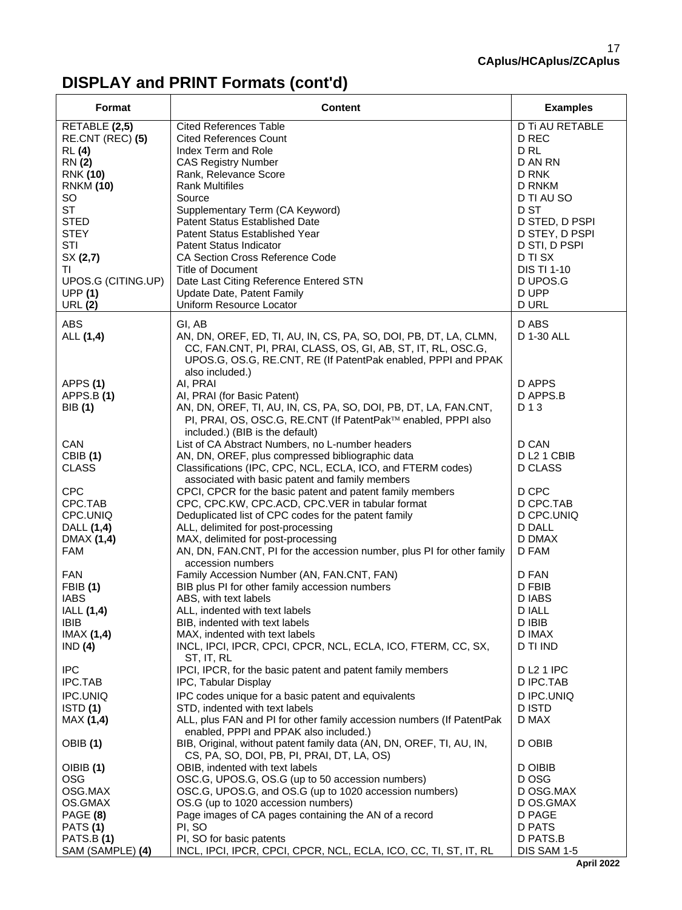# **DISPLAY and PRINT Formats (cont'd)**

| RETABLE (2,5)<br>D Ti AU RETABLE<br><b>Cited References Table</b><br>D REC<br>RE.CNT (REC) (5)<br><b>Cited References Count</b><br>D <sub>RL</sub><br>Index Term and Role<br><b>RL</b> (4)<br><b>RN</b> (2)<br><b>CAS Registry Number</b><br>D AN RN<br><b>RNK (10)</b><br>Rank, Relevance Score<br>D RNK<br><b>Rank Multifiles</b><br>D RNKM<br><b>RNKM (10)</b><br>SO<br>D TI AU SO<br>Source<br><b>ST</b><br>D ST<br>Supplementary Term (CA Keyword)<br><b>STED</b><br><b>Patent Status Established Date</b><br>D STED, D PSPI<br><b>STEY</b><br>Patent Status Established Year<br>D STEY, D PSPI<br>STI<br>Patent Status Indicator<br>D STI, D PSPI<br>SX(2,7)<br><b>CA Section Cross Reference Code</b><br>D TI SX<br>Title of Document<br><b>DIS TI 1-10</b><br>ΤI<br>UPOS.G (CITING.UP)<br>Date Last Citing Reference Entered STN<br>D UPOS.G<br><b>UPP (1)</b><br>Update Date, Patent Family<br>D UPP<br>Uniform Resource Locator<br><b>D URL</b><br><b>URL (2)</b><br>ABS<br>GI, AB<br>D ABS<br>AN, DN, OREF, ED, TI, AU, IN, CS, PA, SO, DOI, PB, DT, LA, CLMN,<br>D 1-30 ALL<br>ALL (1,4)<br>CC, FAN.CNT, PI, PRAI, CLASS, OS, GI, AB, ST, IT, RL, OSC.G,<br>UPOS.G, OS.G, RE.CNT, RE (If PatentPak enabled, PPPI and PPAK<br>also included.)<br>AI, PRAI<br>APPS (1)<br>D APPS<br>APPS.B(1)<br>AI, PRAI (for Basic Patent)<br>D APPS.B<br>AN, DN, OREF, TI, AU, IN, CS, PA, SO, DOI, PB, DT, LA, FAN.CNT,<br>BIB (1)<br>D 1 3<br>PI, PRAI, OS, OSC.G, RE.CNT (If PatentPak™ enabled, PPPI also<br>included.) (BIB is the default)<br>List of CA Abstract Numbers, no L-number headers<br>CAN<br>D CAN<br><b>CBIB</b> (1)<br>AN, DN, OREF, plus compressed bibliographic data<br>DL2 1 CBIB<br><b>CLASS</b><br>Classifications (IPC, CPC, NCL, ECLA, ICO, and FTERM codes)<br><b>D CLASS</b><br>associated with basic patent and family members<br><b>CPC</b><br>CPCI, CPCR for the basic patent and patent family members<br>D CPC<br>CPC.TAB<br>CPC, CPC.KW, CPC.ACD, CPC.VER in tabular format<br>D CPC.TAB<br>CPC.UNIQ<br>Deduplicated list of CPC codes for the patent family<br>D CPC.UNIQ<br>ALL, delimited for post-processing<br><b>D DALL</b><br>DALL (1,4)<br>MAX, delimited for post-processing<br>D DMAX<br>DMAX (1,4)<br>AN, DN, FAN.CNT, PI for the accession number, plus PI for other family<br><b>FAM</b><br>D FAM<br>accession numbers<br><b>FAN</b><br>Family Accession Number (AN, FAN.CNT, FAN)<br>D FAN<br><b>FBIB</b> (1)<br>BIB plus PI for other family accession numbers<br>D FBIB<br><b>IABS</b><br>ABS, with text labels<br>D IABS<br>IALL (1,4)<br>D IALL<br>ALL, indented with text labels<br><b>IBIB</b><br>D IBIB<br>BIB, indented with text labels<br>IMAX(1,4)<br>MAX, indented with text labels<br>D IMAX<br>INCL, IPCI, IPCR, CPCI, CPCR, NCL, ECLA, ICO, FTERM, CC, SX,<br>IND(4)<br>D TI IND<br>ST, IT, RL<br><b>IPC</b><br>IPCI, IPCR, for the basic patent and patent family members<br><b>DL21 IPC</b><br>IPC.TAB<br>IPC, Tabular Display<br>D IPC.TAB<br>IPC.UNIQ<br>IPC codes unique for a basic patent and equivalents<br>D IPC.UNIQ<br>ISTD(1)<br><b>DISTD</b><br>STD, indented with text labels<br>ALL, plus FAN and PI for other family accession numbers (If PatentPak<br>MAX (1,4)<br>D MAX<br>enabled, PPPI and PPAK also included.)<br>BIB, Original, without patent family data (AN, DN, OREF, TI, AU, IN,<br>D OBIB<br>OBIB (1)<br>CS, PA, SO, DOI, PB, PI, PRAI, DT, LA, OS)<br>OBIB, indented with text labels<br>D OIBIB<br>OIBIB(1)<br><b>OSG</b><br>OSC.G, UPOS.G, OS.G (up to 50 accession numbers)<br>D OSG<br>OSG.MAX<br>OSC.G, UPOS.G, and OS.G (up to 1020 accession numbers)<br>D OSG.MAX<br>OS.GMAX<br>OS.G (up to 1020 accession numbers)<br>D OS.GMAX<br>Page images of CA pages containing the AN of a record<br>PAGE (8)<br>D PAGE<br><b>D PATS</b><br>PATS(1)<br>PI, SO<br>PI, SO for basic patents<br><b>PATS.B (1)</b><br>D PATS.B | Format           | <b>Content</b>                                                   | <b>Examples</b> |
|------------------------------------------------------------------------------------------------------------------------------------------------------------------------------------------------------------------------------------------------------------------------------------------------------------------------------------------------------------------------------------------------------------------------------------------------------------------------------------------------------------------------------------------------------------------------------------------------------------------------------------------------------------------------------------------------------------------------------------------------------------------------------------------------------------------------------------------------------------------------------------------------------------------------------------------------------------------------------------------------------------------------------------------------------------------------------------------------------------------------------------------------------------------------------------------------------------------------------------------------------------------------------------------------------------------------------------------------------------------------------------------------------------------------------------------------------------------------------------------------------------------------------------------------------------------------------------------------------------------------------------------------------------------------------------------------------------------------------------------------------------------------------------------------------------------------------------------------------------------------------------------------------------------------------------------------------------------------------------------------------------------------------------------------------------------------------------------------------------------------------------------------------------------------------------------------------------------------------------------------------------------------------------------------------------------------------------------------------------------------------------------------------------------------------------------------------------------------------------------------------------------------------------------------------------------------------------------------------------------------------------------------------------------------------------------------------------------------------------------------------------------------------------------------------------------------------------------------------------------------------------------------------------------------------------------------------------------------------------------------------------------------------------------------------------------------------------------------------------------------------------------------------------------------------------------------------------------------------------------------------------------------------------------------------------------------------------------------------------------------------------------------------------------------------------------------------------------------------------------------------------------------------------------------------------------------------------------------------------------------------------------------------------------------------------------------------------------------------------------------------------------------------------------------------------------------------------------------------------------------------------------------------------------------|------------------|------------------------------------------------------------------|-----------------|
|                                                                                                                                                                                                                                                                                                                                                                                                                                                                                                                                                                                                                                                                                                                                                                                                                                                                                                                                                                                                                                                                                                                                                                                                                                                                                                                                                                                                                                                                                                                                                                                                                                                                                                                                                                                                                                                                                                                                                                                                                                                                                                                                                                                                                                                                                                                                                                                                                                                                                                                                                                                                                                                                                                                                                                                                                                                                                                                                                                                                                                                                                                                                                                                                                                                                                                                                                                                                                                                                                                                                                                                                                                                                                                                                                                                                                                                                                                                        |                  |                                                                  |                 |
|                                                                                                                                                                                                                                                                                                                                                                                                                                                                                                                                                                                                                                                                                                                                                                                                                                                                                                                                                                                                                                                                                                                                                                                                                                                                                                                                                                                                                                                                                                                                                                                                                                                                                                                                                                                                                                                                                                                                                                                                                                                                                                                                                                                                                                                                                                                                                                                                                                                                                                                                                                                                                                                                                                                                                                                                                                                                                                                                                                                                                                                                                                                                                                                                                                                                                                                                                                                                                                                                                                                                                                                                                                                                                                                                                                                                                                                                                                                        |                  |                                                                  |                 |
|                                                                                                                                                                                                                                                                                                                                                                                                                                                                                                                                                                                                                                                                                                                                                                                                                                                                                                                                                                                                                                                                                                                                                                                                                                                                                                                                                                                                                                                                                                                                                                                                                                                                                                                                                                                                                                                                                                                                                                                                                                                                                                                                                                                                                                                                                                                                                                                                                                                                                                                                                                                                                                                                                                                                                                                                                                                                                                                                                                                                                                                                                                                                                                                                                                                                                                                                                                                                                                                                                                                                                                                                                                                                                                                                                                                                                                                                                                                        |                  |                                                                  |                 |
|                                                                                                                                                                                                                                                                                                                                                                                                                                                                                                                                                                                                                                                                                                                                                                                                                                                                                                                                                                                                                                                                                                                                                                                                                                                                                                                                                                                                                                                                                                                                                                                                                                                                                                                                                                                                                                                                                                                                                                                                                                                                                                                                                                                                                                                                                                                                                                                                                                                                                                                                                                                                                                                                                                                                                                                                                                                                                                                                                                                                                                                                                                                                                                                                                                                                                                                                                                                                                                                                                                                                                                                                                                                                                                                                                                                                                                                                                                                        |                  |                                                                  |                 |
|                                                                                                                                                                                                                                                                                                                                                                                                                                                                                                                                                                                                                                                                                                                                                                                                                                                                                                                                                                                                                                                                                                                                                                                                                                                                                                                                                                                                                                                                                                                                                                                                                                                                                                                                                                                                                                                                                                                                                                                                                                                                                                                                                                                                                                                                                                                                                                                                                                                                                                                                                                                                                                                                                                                                                                                                                                                                                                                                                                                                                                                                                                                                                                                                                                                                                                                                                                                                                                                                                                                                                                                                                                                                                                                                                                                                                                                                                                                        |                  |                                                                  |                 |
|                                                                                                                                                                                                                                                                                                                                                                                                                                                                                                                                                                                                                                                                                                                                                                                                                                                                                                                                                                                                                                                                                                                                                                                                                                                                                                                                                                                                                                                                                                                                                                                                                                                                                                                                                                                                                                                                                                                                                                                                                                                                                                                                                                                                                                                                                                                                                                                                                                                                                                                                                                                                                                                                                                                                                                                                                                                                                                                                                                                                                                                                                                                                                                                                                                                                                                                                                                                                                                                                                                                                                                                                                                                                                                                                                                                                                                                                                                                        |                  |                                                                  |                 |
|                                                                                                                                                                                                                                                                                                                                                                                                                                                                                                                                                                                                                                                                                                                                                                                                                                                                                                                                                                                                                                                                                                                                                                                                                                                                                                                                                                                                                                                                                                                                                                                                                                                                                                                                                                                                                                                                                                                                                                                                                                                                                                                                                                                                                                                                                                                                                                                                                                                                                                                                                                                                                                                                                                                                                                                                                                                                                                                                                                                                                                                                                                                                                                                                                                                                                                                                                                                                                                                                                                                                                                                                                                                                                                                                                                                                                                                                                                                        |                  |                                                                  |                 |
|                                                                                                                                                                                                                                                                                                                                                                                                                                                                                                                                                                                                                                                                                                                                                                                                                                                                                                                                                                                                                                                                                                                                                                                                                                                                                                                                                                                                                                                                                                                                                                                                                                                                                                                                                                                                                                                                                                                                                                                                                                                                                                                                                                                                                                                                                                                                                                                                                                                                                                                                                                                                                                                                                                                                                                                                                                                                                                                                                                                                                                                                                                                                                                                                                                                                                                                                                                                                                                                                                                                                                                                                                                                                                                                                                                                                                                                                                                                        |                  |                                                                  |                 |
|                                                                                                                                                                                                                                                                                                                                                                                                                                                                                                                                                                                                                                                                                                                                                                                                                                                                                                                                                                                                                                                                                                                                                                                                                                                                                                                                                                                                                                                                                                                                                                                                                                                                                                                                                                                                                                                                                                                                                                                                                                                                                                                                                                                                                                                                                                                                                                                                                                                                                                                                                                                                                                                                                                                                                                                                                                                                                                                                                                                                                                                                                                                                                                                                                                                                                                                                                                                                                                                                                                                                                                                                                                                                                                                                                                                                                                                                                                                        |                  |                                                                  |                 |
|                                                                                                                                                                                                                                                                                                                                                                                                                                                                                                                                                                                                                                                                                                                                                                                                                                                                                                                                                                                                                                                                                                                                                                                                                                                                                                                                                                                                                                                                                                                                                                                                                                                                                                                                                                                                                                                                                                                                                                                                                                                                                                                                                                                                                                                                                                                                                                                                                                                                                                                                                                                                                                                                                                                                                                                                                                                                                                                                                                                                                                                                                                                                                                                                                                                                                                                                                                                                                                                                                                                                                                                                                                                                                                                                                                                                                                                                                                                        |                  |                                                                  |                 |
|                                                                                                                                                                                                                                                                                                                                                                                                                                                                                                                                                                                                                                                                                                                                                                                                                                                                                                                                                                                                                                                                                                                                                                                                                                                                                                                                                                                                                                                                                                                                                                                                                                                                                                                                                                                                                                                                                                                                                                                                                                                                                                                                                                                                                                                                                                                                                                                                                                                                                                                                                                                                                                                                                                                                                                                                                                                                                                                                                                                                                                                                                                                                                                                                                                                                                                                                                                                                                                                                                                                                                                                                                                                                                                                                                                                                                                                                                                                        |                  |                                                                  |                 |
|                                                                                                                                                                                                                                                                                                                                                                                                                                                                                                                                                                                                                                                                                                                                                                                                                                                                                                                                                                                                                                                                                                                                                                                                                                                                                                                                                                                                                                                                                                                                                                                                                                                                                                                                                                                                                                                                                                                                                                                                                                                                                                                                                                                                                                                                                                                                                                                                                                                                                                                                                                                                                                                                                                                                                                                                                                                                                                                                                                                                                                                                                                                                                                                                                                                                                                                                                                                                                                                                                                                                                                                                                                                                                                                                                                                                                                                                                                                        |                  |                                                                  |                 |
|                                                                                                                                                                                                                                                                                                                                                                                                                                                                                                                                                                                                                                                                                                                                                                                                                                                                                                                                                                                                                                                                                                                                                                                                                                                                                                                                                                                                                                                                                                                                                                                                                                                                                                                                                                                                                                                                                                                                                                                                                                                                                                                                                                                                                                                                                                                                                                                                                                                                                                                                                                                                                                                                                                                                                                                                                                                                                                                                                                                                                                                                                                                                                                                                                                                                                                                                                                                                                                                                                                                                                                                                                                                                                                                                                                                                                                                                                                                        |                  |                                                                  |                 |
|                                                                                                                                                                                                                                                                                                                                                                                                                                                                                                                                                                                                                                                                                                                                                                                                                                                                                                                                                                                                                                                                                                                                                                                                                                                                                                                                                                                                                                                                                                                                                                                                                                                                                                                                                                                                                                                                                                                                                                                                                                                                                                                                                                                                                                                                                                                                                                                                                                                                                                                                                                                                                                                                                                                                                                                                                                                                                                                                                                                                                                                                                                                                                                                                                                                                                                                                                                                                                                                                                                                                                                                                                                                                                                                                                                                                                                                                                                                        |                  |                                                                  |                 |
|                                                                                                                                                                                                                                                                                                                                                                                                                                                                                                                                                                                                                                                                                                                                                                                                                                                                                                                                                                                                                                                                                                                                                                                                                                                                                                                                                                                                                                                                                                                                                                                                                                                                                                                                                                                                                                                                                                                                                                                                                                                                                                                                                                                                                                                                                                                                                                                                                                                                                                                                                                                                                                                                                                                                                                                                                                                                                                                                                                                                                                                                                                                                                                                                                                                                                                                                                                                                                                                                                                                                                                                                                                                                                                                                                                                                                                                                                                                        |                  |                                                                  |                 |
|                                                                                                                                                                                                                                                                                                                                                                                                                                                                                                                                                                                                                                                                                                                                                                                                                                                                                                                                                                                                                                                                                                                                                                                                                                                                                                                                                                                                                                                                                                                                                                                                                                                                                                                                                                                                                                                                                                                                                                                                                                                                                                                                                                                                                                                                                                                                                                                                                                                                                                                                                                                                                                                                                                                                                                                                                                                                                                                                                                                                                                                                                                                                                                                                                                                                                                                                                                                                                                                                                                                                                                                                                                                                                                                                                                                                                                                                                                                        |                  |                                                                  |                 |
|                                                                                                                                                                                                                                                                                                                                                                                                                                                                                                                                                                                                                                                                                                                                                                                                                                                                                                                                                                                                                                                                                                                                                                                                                                                                                                                                                                                                                                                                                                                                                                                                                                                                                                                                                                                                                                                                                                                                                                                                                                                                                                                                                                                                                                                                                                                                                                                                                                                                                                                                                                                                                                                                                                                                                                                                                                                                                                                                                                                                                                                                                                                                                                                                                                                                                                                                                                                                                                                                                                                                                                                                                                                                                                                                                                                                                                                                                                                        |                  |                                                                  |                 |
|                                                                                                                                                                                                                                                                                                                                                                                                                                                                                                                                                                                                                                                                                                                                                                                                                                                                                                                                                                                                                                                                                                                                                                                                                                                                                                                                                                                                                                                                                                                                                                                                                                                                                                                                                                                                                                                                                                                                                                                                                                                                                                                                                                                                                                                                                                                                                                                                                                                                                                                                                                                                                                                                                                                                                                                                                                                                                                                                                                                                                                                                                                                                                                                                                                                                                                                                                                                                                                                                                                                                                                                                                                                                                                                                                                                                                                                                                                                        |                  |                                                                  |                 |
|                                                                                                                                                                                                                                                                                                                                                                                                                                                                                                                                                                                                                                                                                                                                                                                                                                                                                                                                                                                                                                                                                                                                                                                                                                                                                                                                                                                                                                                                                                                                                                                                                                                                                                                                                                                                                                                                                                                                                                                                                                                                                                                                                                                                                                                                                                                                                                                                                                                                                                                                                                                                                                                                                                                                                                                                                                                                                                                                                                                                                                                                                                                                                                                                                                                                                                                                                                                                                                                                                                                                                                                                                                                                                                                                                                                                                                                                                                                        |                  |                                                                  |                 |
|                                                                                                                                                                                                                                                                                                                                                                                                                                                                                                                                                                                                                                                                                                                                                                                                                                                                                                                                                                                                                                                                                                                                                                                                                                                                                                                                                                                                                                                                                                                                                                                                                                                                                                                                                                                                                                                                                                                                                                                                                                                                                                                                                                                                                                                                                                                                                                                                                                                                                                                                                                                                                                                                                                                                                                                                                                                                                                                                                                                                                                                                                                                                                                                                                                                                                                                                                                                                                                                                                                                                                                                                                                                                                                                                                                                                                                                                                                                        |                  |                                                                  |                 |
|                                                                                                                                                                                                                                                                                                                                                                                                                                                                                                                                                                                                                                                                                                                                                                                                                                                                                                                                                                                                                                                                                                                                                                                                                                                                                                                                                                                                                                                                                                                                                                                                                                                                                                                                                                                                                                                                                                                                                                                                                                                                                                                                                                                                                                                                                                                                                                                                                                                                                                                                                                                                                                                                                                                                                                                                                                                                                                                                                                                                                                                                                                                                                                                                                                                                                                                                                                                                                                                                                                                                                                                                                                                                                                                                                                                                                                                                                                                        |                  |                                                                  |                 |
|                                                                                                                                                                                                                                                                                                                                                                                                                                                                                                                                                                                                                                                                                                                                                                                                                                                                                                                                                                                                                                                                                                                                                                                                                                                                                                                                                                                                                                                                                                                                                                                                                                                                                                                                                                                                                                                                                                                                                                                                                                                                                                                                                                                                                                                                                                                                                                                                                                                                                                                                                                                                                                                                                                                                                                                                                                                                                                                                                                                                                                                                                                                                                                                                                                                                                                                                                                                                                                                                                                                                                                                                                                                                                                                                                                                                                                                                                                                        |                  |                                                                  |                 |
|                                                                                                                                                                                                                                                                                                                                                                                                                                                                                                                                                                                                                                                                                                                                                                                                                                                                                                                                                                                                                                                                                                                                                                                                                                                                                                                                                                                                                                                                                                                                                                                                                                                                                                                                                                                                                                                                                                                                                                                                                                                                                                                                                                                                                                                                                                                                                                                                                                                                                                                                                                                                                                                                                                                                                                                                                                                                                                                                                                                                                                                                                                                                                                                                                                                                                                                                                                                                                                                                                                                                                                                                                                                                                                                                                                                                                                                                                                                        |                  |                                                                  |                 |
|                                                                                                                                                                                                                                                                                                                                                                                                                                                                                                                                                                                                                                                                                                                                                                                                                                                                                                                                                                                                                                                                                                                                                                                                                                                                                                                                                                                                                                                                                                                                                                                                                                                                                                                                                                                                                                                                                                                                                                                                                                                                                                                                                                                                                                                                                                                                                                                                                                                                                                                                                                                                                                                                                                                                                                                                                                                                                                                                                                                                                                                                                                                                                                                                                                                                                                                                                                                                                                                                                                                                                                                                                                                                                                                                                                                                                                                                                                                        |                  |                                                                  |                 |
|                                                                                                                                                                                                                                                                                                                                                                                                                                                                                                                                                                                                                                                                                                                                                                                                                                                                                                                                                                                                                                                                                                                                                                                                                                                                                                                                                                                                                                                                                                                                                                                                                                                                                                                                                                                                                                                                                                                                                                                                                                                                                                                                                                                                                                                                                                                                                                                                                                                                                                                                                                                                                                                                                                                                                                                                                                                                                                                                                                                                                                                                                                                                                                                                                                                                                                                                                                                                                                                                                                                                                                                                                                                                                                                                                                                                                                                                                                                        |                  |                                                                  |                 |
|                                                                                                                                                                                                                                                                                                                                                                                                                                                                                                                                                                                                                                                                                                                                                                                                                                                                                                                                                                                                                                                                                                                                                                                                                                                                                                                                                                                                                                                                                                                                                                                                                                                                                                                                                                                                                                                                                                                                                                                                                                                                                                                                                                                                                                                                                                                                                                                                                                                                                                                                                                                                                                                                                                                                                                                                                                                                                                                                                                                                                                                                                                                                                                                                                                                                                                                                                                                                                                                                                                                                                                                                                                                                                                                                                                                                                                                                                                                        |                  |                                                                  |                 |
|                                                                                                                                                                                                                                                                                                                                                                                                                                                                                                                                                                                                                                                                                                                                                                                                                                                                                                                                                                                                                                                                                                                                                                                                                                                                                                                                                                                                                                                                                                                                                                                                                                                                                                                                                                                                                                                                                                                                                                                                                                                                                                                                                                                                                                                                                                                                                                                                                                                                                                                                                                                                                                                                                                                                                                                                                                                                                                                                                                                                                                                                                                                                                                                                                                                                                                                                                                                                                                                                                                                                                                                                                                                                                                                                                                                                                                                                                                                        |                  |                                                                  |                 |
|                                                                                                                                                                                                                                                                                                                                                                                                                                                                                                                                                                                                                                                                                                                                                                                                                                                                                                                                                                                                                                                                                                                                                                                                                                                                                                                                                                                                                                                                                                                                                                                                                                                                                                                                                                                                                                                                                                                                                                                                                                                                                                                                                                                                                                                                                                                                                                                                                                                                                                                                                                                                                                                                                                                                                                                                                                                                                                                                                                                                                                                                                                                                                                                                                                                                                                                                                                                                                                                                                                                                                                                                                                                                                                                                                                                                                                                                                                                        |                  |                                                                  |                 |
|                                                                                                                                                                                                                                                                                                                                                                                                                                                                                                                                                                                                                                                                                                                                                                                                                                                                                                                                                                                                                                                                                                                                                                                                                                                                                                                                                                                                                                                                                                                                                                                                                                                                                                                                                                                                                                                                                                                                                                                                                                                                                                                                                                                                                                                                                                                                                                                                                                                                                                                                                                                                                                                                                                                                                                                                                                                                                                                                                                                                                                                                                                                                                                                                                                                                                                                                                                                                                                                                                                                                                                                                                                                                                                                                                                                                                                                                                                                        |                  |                                                                  |                 |
|                                                                                                                                                                                                                                                                                                                                                                                                                                                                                                                                                                                                                                                                                                                                                                                                                                                                                                                                                                                                                                                                                                                                                                                                                                                                                                                                                                                                                                                                                                                                                                                                                                                                                                                                                                                                                                                                                                                                                                                                                                                                                                                                                                                                                                                                                                                                                                                                                                                                                                                                                                                                                                                                                                                                                                                                                                                                                                                                                                                                                                                                                                                                                                                                                                                                                                                                                                                                                                                                                                                                                                                                                                                                                                                                                                                                                                                                                                                        |                  |                                                                  |                 |
|                                                                                                                                                                                                                                                                                                                                                                                                                                                                                                                                                                                                                                                                                                                                                                                                                                                                                                                                                                                                                                                                                                                                                                                                                                                                                                                                                                                                                                                                                                                                                                                                                                                                                                                                                                                                                                                                                                                                                                                                                                                                                                                                                                                                                                                                                                                                                                                                                                                                                                                                                                                                                                                                                                                                                                                                                                                                                                                                                                                                                                                                                                                                                                                                                                                                                                                                                                                                                                                                                                                                                                                                                                                                                                                                                                                                                                                                                                                        |                  |                                                                  |                 |
|                                                                                                                                                                                                                                                                                                                                                                                                                                                                                                                                                                                                                                                                                                                                                                                                                                                                                                                                                                                                                                                                                                                                                                                                                                                                                                                                                                                                                                                                                                                                                                                                                                                                                                                                                                                                                                                                                                                                                                                                                                                                                                                                                                                                                                                                                                                                                                                                                                                                                                                                                                                                                                                                                                                                                                                                                                                                                                                                                                                                                                                                                                                                                                                                                                                                                                                                                                                                                                                                                                                                                                                                                                                                                                                                                                                                                                                                                                                        |                  |                                                                  |                 |
|                                                                                                                                                                                                                                                                                                                                                                                                                                                                                                                                                                                                                                                                                                                                                                                                                                                                                                                                                                                                                                                                                                                                                                                                                                                                                                                                                                                                                                                                                                                                                                                                                                                                                                                                                                                                                                                                                                                                                                                                                                                                                                                                                                                                                                                                                                                                                                                                                                                                                                                                                                                                                                                                                                                                                                                                                                                                                                                                                                                                                                                                                                                                                                                                                                                                                                                                                                                                                                                                                                                                                                                                                                                                                                                                                                                                                                                                                                                        |                  |                                                                  |                 |
|                                                                                                                                                                                                                                                                                                                                                                                                                                                                                                                                                                                                                                                                                                                                                                                                                                                                                                                                                                                                                                                                                                                                                                                                                                                                                                                                                                                                                                                                                                                                                                                                                                                                                                                                                                                                                                                                                                                                                                                                                                                                                                                                                                                                                                                                                                                                                                                                                                                                                                                                                                                                                                                                                                                                                                                                                                                                                                                                                                                                                                                                                                                                                                                                                                                                                                                                                                                                                                                                                                                                                                                                                                                                                                                                                                                                                                                                                                                        |                  |                                                                  |                 |
|                                                                                                                                                                                                                                                                                                                                                                                                                                                                                                                                                                                                                                                                                                                                                                                                                                                                                                                                                                                                                                                                                                                                                                                                                                                                                                                                                                                                                                                                                                                                                                                                                                                                                                                                                                                                                                                                                                                                                                                                                                                                                                                                                                                                                                                                                                                                                                                                                                                                                                                                                                                                                                                                                                                                                                                                                                                                                                                                                                                                                                                                                                                                                                                                                                                                                                                                                                                                                                                                                                                                                                                                                                                                                                                                                                                                                                                                                                                        |                  |                                                                  |                 |
|                                                                                                                                                                                                                                                                                                                                                                                                                                                                                                                                                                                                                                                                                                                                                                                                                                                                                                                                                                                                                                                                                                                                                                                                                                                                                                                                                                                                                                                                                                                                                                                                                                                                                                                                                                                                                                                                                                                                                                                                                                                                                                                                                                                                                                                                                                                                                                                                                                                                                                                                                                                                                                                                                                                                                                                                                                                                                                                                                                                                                                                                                                                                                                                                                                                                                                                                                                                                                                                                                                                                                                                                                                                                                                                                                                                                                                                                                                                        |                  |                                                                  |                 |
|                                                                                                                                                                                                                                                                                                                                                                                                                                                                                                                                                                                                                                                                                                                                                                                                                                                                                                                                                                                                                                                                                                                                                                                                                                                                                                                                                                                                                                                                                                                                                                                                                                                                                                                                                                                                                                                                                                                                                                                                                                                                                                                                                                                                                                                                                                                                                                                                                                                                                                                                                                                                                                                                                                                                                                                                                                                                                                                                                                                                                                                                                                                                                                                                                                                                                                                                                                                                                                                                                                                                                                                                                                                                                                                                                                                                                                                                                                                        |                  |                                                                  |                 |
|                                                                                                                                                                                                                                                                                                                                                                                                                                                                                                                                                                                                                                                                                                                                                                                                                                                                                                                                                                                                                                                                                                                                                                                                                                                                                                                                                                                                                                                                                                                                                                                                                                                                                                                                                                                                                                                                                                                                                                                                                                                                                                                                                                                                                                                                                                                                                                                                                                                                                                                                                                                                                                                                                                                                                                                                                                                                                                                                                                                                                                                                                                                                                                                                                                                                                                                                                                                                                                                                                                                                                                                                                                                                                                                                                                                                                                                                                                                        |                  |                                                                  |                 |
|                                                                                                                                                                                                                                                                                                                                                                                                                                                                                                                                                                                                                                                                                                                                                                                                                                                                                                                                                                                                                                                                                                                                                                                                                                                                                                                                                                                                                                                                                                                                                                                                                                                                                                                                                                                                                                                                                                                                                                                                                                                                                                                                                                                                                                                                                                                                                                                                                                                                                                                                                                                                                                                                                                                                                                                                                                                                                                                                                                                                                                                                                                                                                                                                                                                                                                                                                                                                                                                                                                                                                                                                                                                                                                                                                                                                                                                                                                                        |                  |                                                                  |                 |
|                                                                                                                                                                                                                                                                                                                                                                                                                                                                                                                                                                                                                                                                                                                                                                                                                                                                                                                                                                                                                                                                                                                                                                                                                                                                                                                                                                                                                                                                                                                                                                                                                                                                                                                                                                                                                                                                                                                                                                                                                                                                                                                                                                                                                                                                                                                                                                                                                                                                                                                                                                                                                                                                                                                                                                                                                                                                                                                                                                                                                                                                                                                                                                                                                                                                                                                                                                                                                                                                                                                                                                                                                                                                                                                                                                                                                                                                                                                        |                  |                                                                  |                 |
|                                                                                                                                                                                                                                                                                                                                                                                                                                                                                                                                                                                                                                                                                                                                                                                                                                                                                                                                                                                                                                                                                                                                                                                                                                                                                                                                                                                                                                                                                                                                                                                                                                                                                                                                                                                                                                                                                                                                                                                                                                                                                                                                                                                                                                                                                                                                                                                                                                                                                                                                                                                                                                                                                                                                                                                                                                                                                                                                                                                                                                                                                                                                                                                                                                                                                                                                                                                                                                                                                                                                                                                                                                                                                                                                                                                                                                                                                                                        |                  |                                                                  |                 |
|                                                                                                                                                                                                                                                                                                                                                                                                                                                                                                                                                                                                                                                                                                                                                                                                                                                                                                                                                                                                                                                                                                                                                                                                                                                                                                                                                                                                                                                                                                                                                                                                                                                                                                                                                                                                                                                                                                                                                                                                                                                                                                                                                                                                                                                                                                                                                                                                                                                                                                                                                                                                                                                                                                                                                                                                                                                                                                                                                                                                                                                                                                                                                                                                                                                                                                                                                                                                                                                                                                                                                                                                                                                                                                                                                                                                                                                                                                                        |                  |                                                                  |                 |
|                                                                                                                                                                                                                                                                                                                                                                                                                                                                                                                                                                                                                                                                                                                                                                                                                                                                                                                                                                                                                                                                                                                                                                                                                                                                                                                                                                                                                                                                                                                                                                                                                                                                                                                                                                                                                                                                                                                                                                                                                                                                                                                                                                                                                                                                                                                                                                                                                                                                                                                                                                                                                                                                                                                                                                                                                                                                                                                                                                                                                                                                                                                                                                                                                                                                                                                                                                                                                                                                                                                                                                                                                                                                                                                                                                                                                                                                                                                        |                  |                                                                  |                 |
|                                                                                                                                                                                                                                                                                                                                                                                                                                                                                                                                                                                                                                                                                                                                                                                                                                                                                                                                                                                                                                                                                                                                                                                                                                                                                                                                                                                                                                                                                                                                                                                                                                                                                                                                                                                                                                                                                                                                                                                                                                                                                                                                                                                                                                                                                                                                                                                                                                                                                                                                                                                                                                                                                                                                                                                                                                                                                                                                                                                                                                                                                                                                                                                                                                                                                                                                                                                                                                                                                                                                                                                                                                                                                                                                                                                                                                                                                                                        |                  |                                                                  |                 |
|                                                                                                                                                                                                                                                                                                                                                                                                                                                                                                                                                                                                                                                                                                                                                                                                                                                                                                                                                                                                                                                                                                                                                                                                                                                                                                                                                                                                                                                                                                                                                                                                                                                                                                                                                                                                                                                                                                                                                                                                                                                                                                                                                                                                                                                                                                                                                                                                                                                                                                                                                                                                                                                                                                                                                                                                                                                                                                                                                                                                                                                                                                                                                                                                                                                                                                                                                                                                                                                                                                                                                                                                                                                                                                                                                                                                                                                                                                                        |                  |                                                                  |                 |
|                                                                                                                                                                                                                                                                                                                                                                                                                                                                                                                                                                                                                                                                                                                                                                                                                                                                                                                                                                                                                                                                                                                                                                                                                                                                                                                                                                                                                                                                                                                                                                                                                                                                                                                                                                                                                                                                                                                                                                                                                                                                                                                                                                                                                                                                                                                                                                                                                                                                                                                                                                                                                                                                                                                                                                                                                                                                                                                                                                                                                                                                                                                                                                                                                                                                                                                                                                                                                                                                                                                                                                                                                                                                                                                                                                                                                                                                                                                        |                  |                                                                  |                 |
|                                                                                                                                                                                                                                                                                                                                                                                                                                                                                                                                                                                                                                                                                                                                                                                                                                                                                                                                                                                                                                                                                                                                                                                                                                                                                                                                                                                                                                                                                                                                                                                                                                                                                                                                                                                                                                                                                                                                                                                                                                                                                                                                                                                                                                                                                                                                                                                                                                                                                                                                                                                                                                                                                                                                                                                                                                                                                                                                                                                                                                                                                                                                                                                                                                                                                                                                                                                                                                                                                                                                                                                                                                                                                                                                                                                                                                                                                                                        |                  |                                                                  |                 |
|                                                                                                                                                                                                                                                                                                                                                                                                                                                                                                                                                                                                                                                                                                                                                                                                                                                                                                                                                                                                                                                                                                                                                                                                                                                                                                                                                                                                                                                                                                                                                                                                                                                                                                                                                                                                                                                                                                                                                                                                                                                                                                                                                                                                                                                                                                                                                                                                                                                                                                                                                                                                                                                                                                                                                                                                                                                                                                                                                                                                                                                                                                                                                                                                                                                                                                                                                                                                                                                                                                                                                                                                                                                                                                                                                                                                                                                                                                                        |                  |                                                                  |                 |
|                                                                                                                                                                                                                                                                                                                                                                                                                                                                                                                                                                                                                                                                                                                                                                                                                                                                                                                                                                                                                                                                                                                                                                                                                                                                                                                                                                                                                                                                                                                                                                                                                                                                                                                                                                                                                                                                                                                                                                                                                                                                                                                                                                                                                                                                                                                                                                                                                                                                                                                                                                                                                                                                                                                                                                                                                                                                                                                                                                                                                                                                                                                                                                                                                                                                                                                                                                                                                                                                                                                                                                                                                                                                                                                                                                                                                                                                                                                        |                  |                                                                  |                 |
|                                                                                                                                                                                                                                                                                                                                                                                                                                                                                                                                                                                                                                                                                                                                                                                                                                                                                                                                                                                                                                                                                                                                                                                                                                                                                                                                                                                                                                                                                                                                                                                                                                                                                                                                                                                                                                                                                                                                                                                                                                                                                                                                                                                                                                                                                                                                                                                                                                                                                                                                                                                                                                                                                                                                                                                                                                                                                                                                                                                                                                                                                                                                                                                                                                                                                                                                                                                                                                                                                                                                                                                                                                                                                                                                                                                                                                                                                                                        |                  |                                                                  |                 |
|                                                                                                                                                                                                                                                                                                                                                                                                                                                                                                                                                                                                                                                                                                                                                                                                                                                                                                                                                                                                                                                                                                                                                                                                                                                                                                                                                                                                                                                                                                                                                                                                                                                                                                                                                                                                                                                                                                                                                                                                                                                                                                                                                                                                                                                                                                                                                                                                                                                                                                                                                                                                                                                                                                                                                                                                                                                                                                                                                                                                                                                                                                                                                                                                                                                                                                                                                                                                                                                                                                                                                                                                                                                                                                                                                                                                                                                                                                                        |                  |                                                                  |                 |
|                                                                                                                                                                                                                                                                                                                                                                                                                                                                                                                                                                                                                                                                                                                                                                                                                                                                                                                                                                                                                                                                                                                                                                                                                                                                                                                                                                                                                                                                                                                                                                                                                                                                                                                                                                                                                                                                                                                                                                                                                                                                                                                                                                                                                                                                                                                                                                                                                                                                                                                                                                                                                                                                                                                                                                                                                                                                                                                                                                                                                                                                                                                                                                                                                                                                                                                                                                                                                                                                                                                                                                                                                                                                                                                                                                                                                                                                                                                        |                  |                                                                  |                 |
|                                                                                                                                                                                                                                                                                                                                                                                                                                                                                                                                                                                                                                                                                                                                                                                                                                                                                                                                                                                                                                                                                                                                                                                                                                                                                                                                                                                                                                                                                                                                                                                                                                                                                                                                                                                                                                                                                                                                                                                                                                                                                                                                                                                                                                                                                                                                                                                                                                                                                                                                                                                                                                                                                                                                                                                                                                                                                                                                                                                                                                                                                                                                                                                                                                                                                                                                                                                                                                                                                                                                                                                                                                                                                                                                                                                                                                                                                                                        |                  |                                                                  |                 |
|                                                                                                                                                                                                                                                                                                                                                                                                                                                                                                                                                                                                                                                                                                                                                                                                                                                                                                                                                                                                                                                                                                                                                                                                                                                                                                                                                                                                                                                                                                                                                                                                                                                                                                                                                                                                                                                                                                                                                                                                                                                                                                                                                                                                                                                                                                                                                                                                                                                                                                                                                                                                                                                                                                                                                                                                                                                                                                                                                                                                                                                                                                                                                                                                                                                                                                                                                                                                                                                                                                                                                                                                                                                                                                                                                                                                                                                                                                                        |                  |                                                                  |                 |
|                                                                                                                                                                                                                                                                                                                                                                                                                                                                                                                                                                                                                                                                                                                                                                                                                                                                                                                                                                                                                                                                                                                                                                                                                                                                                                                                                                                                                                                                                                                                                                                                                                                                                                                                                                                                                                                                                                                                                                                                                                                                                                                                                                                                                                                                                                                                                                                                                                                                                                                                                                                                                                                                                                                                                                                                                                                                                                                                                                                                                                                                                                                                                                                                                                                                                                                                                                                                                                                                                                                                                                                                                                                                                                                                                                                                                                                                                                                        |                  |                                                                  |                 |
|                                                                                                                                                                                                                                                                                                                                                                                                                                                                                                                                                                                                                                                                                                                                                                                                                                                                                                                                                                                                                                                                                                                                                                                                                                                                                                                                                                                                                                                                                                                                                                                                                                                                                                                                                                                                                                                                                                                                                                                                                                                                                                                                                                                                                                                                                                                                                                                                                                                                                                                                                                                                                                                                                                                                                                                                                                                                                                                                                                                                                                                                                                                                                                                                                                                                                                                                                                                                                                                                                                                                                                                                                                                                                                                                                                                                                                                                                                                        |                  |                                                                  |                 |
|                                                                                                                                                                                                                                                                                                                                                                                                                                                                                                                                                                                                                                                                                                                                                                                                                                                                                                                                                                                                                                                                                                                                                                                                                                                                                                                                                                                                                                                                                                                                                                                                                                                                                                                                                                                                                                                                                                                                                                                                                                                                                                                                                                                                                                                                                                                                                                                                                                                                                                                                                                                                                                                                                                                                                                                                                                                                                                                                                                                                                                                                                                                                                                                                                                                                                                                                                                                                                                                                                                                                                                                                                                                                                                                                                                                                                                                                                                                        | SAM (SAMPLE) (4) | INCL, IPCI, IPCR, CPCI, CPCR, NCL, ECLA, ICO, CC, TI, ST, IT, RL | DIS SAM 1-5     |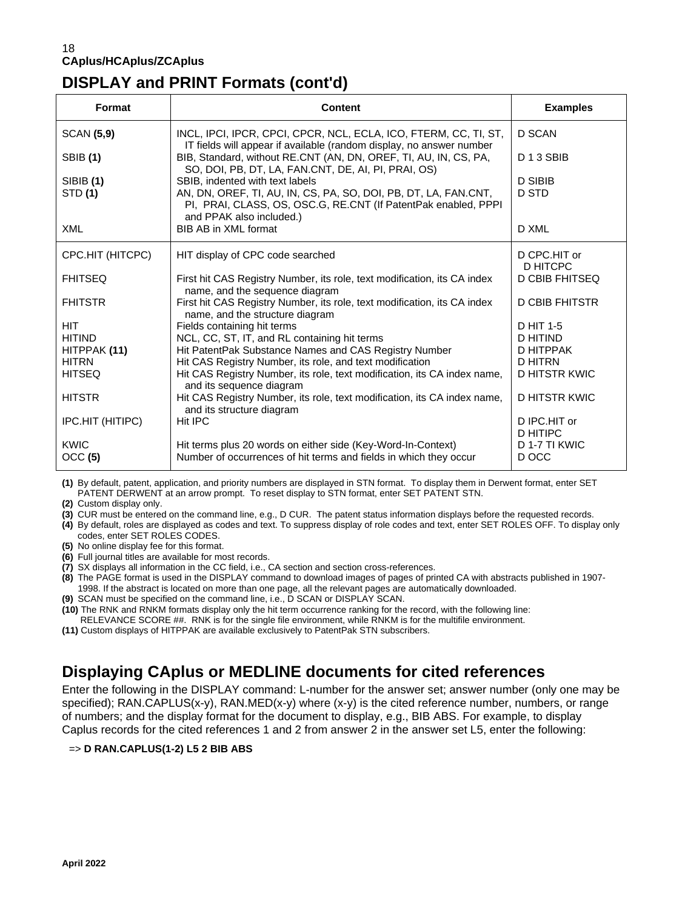# **DISPLAY and PRINT Formats (cont'd)**

| Format                      | <b>Content</b>                                                                                                                                                       | <b>Examples</b>                 |
|-----------------------------|----------------------------------------------------------------------------------------------------------------------------------------------------------------------|---------------------------------|
| <b>SCAN (5,9)</b>           | INCL, IPCI, IPCR, CPCI, CPCR, NCL, ECLA, ICO, FTERM, CC, TI, ST,<br>IT fields will appear if available (random display, no answer number                             | D SCAN                          |
| <b>SBIB</b> (1)             | BIB, Standard, without RE.CNT (AN, DN, OREF, TI, AU, IN, CS, PA,<br>SO, DOI, PB, DT, LA, FAN.CNT, DE, AI, PI, PRAI, OS)                                              | D <sub>13</sub> SBIB            |
| <b>SIBIB (1)</b><br>STD (1) | SBIB, indented with text labels<br>AN, DN, OREF, TI, AU, IN, CS, PA, SO, DOI, PB, DT, LA, FAN.CNT,<br>PI, PRAI, CLASS, OS, OSC.G, RE.CNT (If PatentPak enabled, PPPI | <b>D SIBIB</b><br>D STD         |
| XML                         | and PPAK also included.)<br>BIB AB in XML format                                                                                                                     | D XML                           |
|                             |                                                                                                                                                                      |                                 |
| CPC.HIT (HITCPC)            | HIT display of CPC code searched                                                                                                                                     | D CPC.HIT or<br>D HITCPC        |
| <b>FHITSEQ</b>              | First hit CAS Registry Number, its role, text modification, its CA index<br>name, and the sequence diagram                                                           | D CBIB FHITSEQ                  |
| <b>FHITSTR</b>              | First hit CAS Registry Number, its role, text modification, its CA index<br>name, and the structure diagram                                                          | <b>D CBIB FHITSTR</b>           |
| <b>HIT</b>                  | Fields containing hit terms                                                                                                                                          | D HIT 1-5                       |
| <b>HITIND</b>               | NCL, CC, ST, IT, and RL containing hit terms                                                                                                                         | D HITIND                        |
| HITPPAK (11)                | Hit PatentPak Substance Names and CAS Registry Number                                                                                                                | D HITPPAK                       |
| <b>HITRN</b>                | Hit CAS Registry Number, its role, and text modification                                                                                                             | D HITRN                         |
| <b>HITSEQ</b>               | Hit CAS Registry Number, its role, text modification, its CA index name,<br>and its sequence diagram                                                                 | D HITSTR KWIC                   |
| <b>HITSTR</b>               | Hit CAS Registry Number, its role, text modification, its CA index name,<br>and its structure diagram                                                                | <b>D HITSTR KWIC</b>            |
| IPC.HIT (HITIPC)            | Hit IPC                                                                                                                                                              | D IPC.HIT or<br><b>D HITIPC</b> |
| KWIC                        | Hit terms plus 20 words on either side (Key-Word-In-Context)                                                                                                         | D 1-7 TI KWIC                   |
| OCC (5)                     | Number of occurrences of hit terms and fields in which they occur                                                                                                    | D OCC                           |

**(1)** By default, patent, application, and priority numbers are displayed in STN format. To display them in Derwent format, enter SET PATENT DERWENT at an arrow prompt. To reset display to STN format, enter SET PATENT STN.

**(2)** Custom display only.

**(3)** CUR must be entered on the command line, e.g., D CUR. The patent status information displays before the requested records.

**(4)** By default, roles are displayed as codes and text. To suppress display of role codes and text, enter SET ROLES OFF. To display only codes, enter SET ROLES CODES.

**(5)** No online display fee for this format.

**(6)** Full journal titles are available for most records.

**(7)** SX displays all information in the CC field, i.e., CA section and section cross-references.

**(8)** The PAGE format is used in the DISPLAY command to download images of pages of printed CA with abstracts published in 1907- 1998. If the abstract is located on more than one page, all the relevant pages are automatically downloaded.

**(9)** SCAN must be specified on the command line, i.e., D SCAN or DISPLAY SCAN.

**(10)** The RNK and RNKM formats display only the hit term occurrence ranking for the record, with the following line: RELEVANCE SCORE ##. RNK is for the single file environment, while RNKM is for the multifile environment.

**(11)** Custom displays of HITPPAK are available exclusively to PatentPak STN subscribers.

## **Displaying CAplus or MEDLINE documents for cited references**

Enter the following in the DISPLAY command: L-number for the answer set; answer number (only one may be specified); RAN.CAPLUS(x-y), RAN.MED(x-y) where (x-y) is the cited reference number, numbers, or range of numbers; and the display format for the document to display, e.g., BIB ABS. For example, to display Caplus records for the cited references 1 and 2 from answer 2 in the answer set L5, enter the following:

### => **D RAN.CAPLUS(1-2) L5 2 BIB ABS**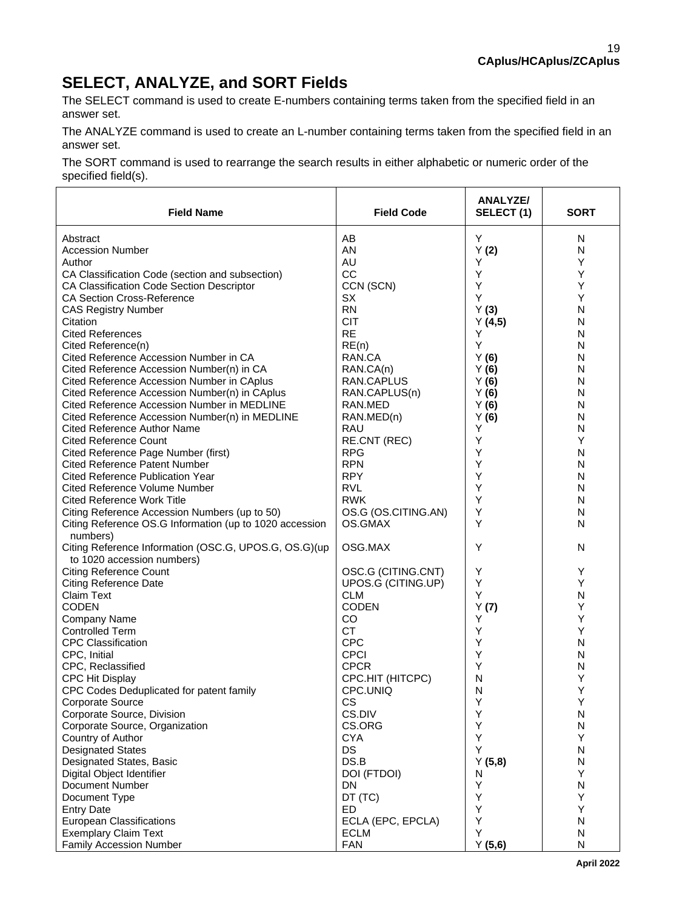# **SELECT, ANALYZE, and SORT Fields**

The SELECT command is used to create E-numbers containing terms taken from the specified field in an answer set.

The ANALYZE command is used to create an L-number containing terms taken from the specified field in an answer set.

The SORT command is used to rearrange the search results in either alphabetic or numeric order of the specified field(s).

| <b>Field Name</b>                                                   | <b>Field Code</b>                        | ANALYZE/<br>SELECT(1) | <b>SORT</b> |
|---------------------------------------------------------------------|------------------------------------------|-----------------------|-------------|
| Abstract                                                            | AВ                                       | Y                     | N           |
| <b>Accession Number</b>                                             | AN                                       | Y(2)                  | N           |
| Author                                                              | AU                                       | Υ                     | Υ           |
| CA Classification Code (section and subsection)                     | CC                                       | Υ                     | Υ           |
| CA Classification Code Section Descriptor                           | CCN (SCN)                                | Υ                     | Υ           |
| <b>CA Section Cross-Reference</b>                                   | SX                                       | Υ                     | Υ           |
| <b>CAS Registry Number</b>                                          | <b>RN</b>                                | Y(3)                  | N           |
| Citation                                                            | <b>CIT</b>                               | Y(4,5)                | N           |
| <b>Cited References</b>                                             | <b>RE</b>                                | Y                     | N           |
| Cited Reference(n)                                                  | RE(n)                                    | Υ                     | N           |
| Cited Reference Accession Number in CA                              | RAN.CA                                   | Y(6)                  | N           |
| Cited Reference Accession Number(n) in CA                           | RAN.CA(n)                                | Y(6)                  | N           |
| Cited Reference Accession Number in CAplus                          | RAN.CAPLUS                               | Y(6)                  | N           |
| Cited Reference Accession Number(n) in CAplus                       | RAN.CAPLUS(n)                            | Y(6)                  | N           |
| Cited Reference Accession Number in MEDLINE                         | RAN.MED                                  | Y(6)                  | N           |
| Cited Reference Accession Number(n) in MEDLINE                      | RAN.MED(n)                               | Y(6)                  | N           |
| <b>Cited Reference Author Name</b>                                  | RAU                                      | Υ                     | N           |
| <b>Cited Reference Count</b>                                        | RE.CNT (REC)                             | Y                     | Y           |
| Cited Reference Page Number (first)                                 | <b>RPG</b>                               | Y                     | N           |
| <b>Cited Reference Patent Number</b>                                | <b>RPN</b>                               | Υ                     | N           |
| <b>Cited Reference Publication Year</b>                             | <b>RPY</b>                               | Υ                     | N           |
| <b>Cited Reference Volume Number</b>                                | <b>RVL</b>                               | Υ                     | N           |
| <b>Cited Reference Work Title</b>                                   | <b>RWK</b>                               | Υ                     | N           |
| Citing Reference Accession Numbers (up to 50)                       | OS.G (OS.CITING.AN)                      | Y                     | N           |
| Citing Reference OS.G Information (up to 1020 accession<br>numbers) | OS.GMAX                                  | Υ                     | N           |
| Citing Reference Information (OSC.G, UPOS.G, OS.G)(up               | OSG.MAX                                  | Υ                     | N           |
| to 1020 accession numbers)<br><b>Citing Reference Count</b>         |                                          | Υ                     | Y           |
| <b>Citing Reference Date</b>                                        | OSC.G (CITING.CNT)<br>UPOS.G (CITING.UP) | Υ                     | Y           |
| Claim Text                                                          | <b>CLM</b>                               | Υ                     | N           |
| <b>CODEN</b>                                                        | <b>CODEN</b>                             | Y(7)                  | Υ           |
| <b>Company Name</b>                                                 | CO                                       | Y                     | Υ           |
| <b>Controlled Term</b>                                              | <b>CT</b>                                | Y                     | Υ           |
| <b>CPC Classification</b>                                           | <b>CPC</b>                               | Υ                     | N           |
| CPC, Initial                                                        | <b>CPCI</b>                              | Υ                     | N           |
| CPC, Reclassified                                                   | <b>CPCR</b>                              | Υ                     | N           |
| <b>CPC Hit Display</b>                                              | CPC.HIT (HITCPC)                         | N                     | Υ           |
| CPC Codes Deduplicated for patent family                            | CPC.UNIQ                                 | N                     | Υ           |
| Corporate Source                                                    | CS                                       | ٧                     | Υ           |
| Corporate Source, Division                                          | CS.DIV                                   | Υ                     | N           |
| Corporate Source, Organization                                      | CS.ORG                                   | Υ                     | N           |
| Country of Author                                                   | <b>CYA</b>                               | Υ                     | Υ           |
| <b>Designated States</b>                                            | DS                                       | Υ                     | N           |
| Designated States, Basic                                            | DS.B                                     | Y(5,8)                | ${\sf N}$   |
| Digital Object Identifier                                           | DOI (FTDOI)                              | N                     | Y           |
| Document Number                                                     | DN                                       | Υ                     | N           |
| Document Type                                                       | DT (TC)                                  | Υ                     | Y           |
| <b>Entry Date</b>                                                   | <b>ED</b>                                | Υ                     | Υ           |
| <b>European Classifications</b>                                     | ECLA (EPC, EPCLA)                        | Υ                     | N           |
| <b>Exemplary Claim Text</b>                                         | <b>ECLM</b>                              | Υ                     | ${\sf N}$   |
| Family Accession Number                                             | <b>FAN</b>                               | Y(5,6)                | N           |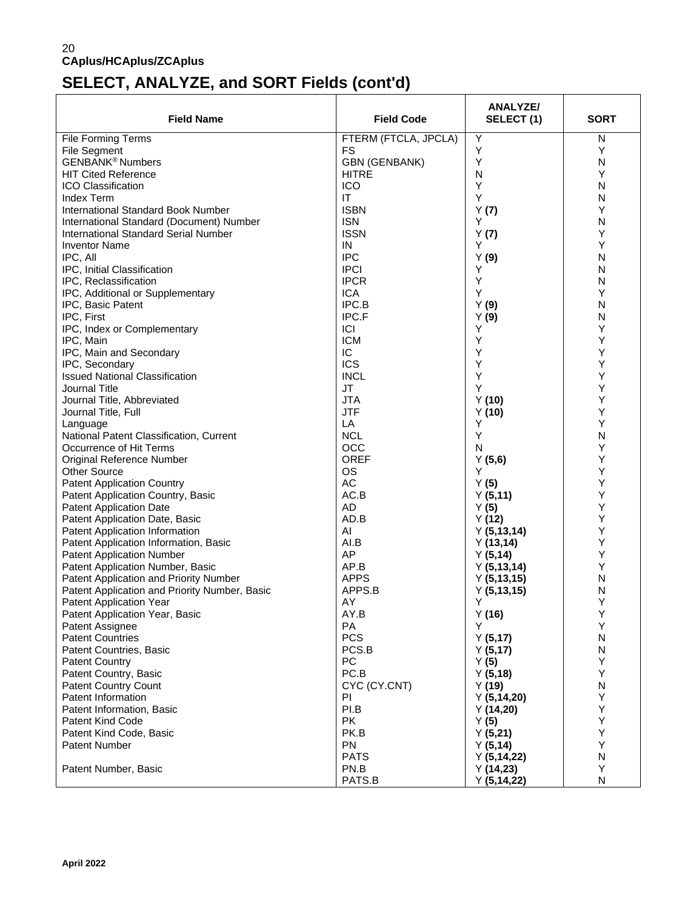# **SELECT, ANALYZE, and SORT Fields (cont'd)**

| <b>Field Name</b>                             | <b>Field Code</b>      | <b>ANALYZE/</b><br>SELECT (1) | <b>SORT</b> |
|-----------------------------------------------|------------------------|-------------------------------|-------------|
| <b>File Forming Terms</b>                     | FTERM (FTCLA, JPCLA)   | Y                             | N           |
| <b>File Segment</b>                           | <b>FS</b>              | Υ                             | Y           |
| <b>GENBANK<sup>®</sup> Numbers</b>            | <b>GBN (GENBANK)</b>   | Y                             | N           |
| <b>HIT Cited Reference</b>                    | <b>HITRE</b>           | N                             | Y           |
| ICO Classification                            | <b>ICO</b>             | Υ                             | N           |
| <b>Index Term</b>                             | $\mathsf{I}\mathsf{T}$ | Υ                             | N           |
| <b>International Standard Book Number</b>     | <b>ISBN</b>            | Y(7)                          | Y           |
| International Standard (Document) Number      | <b>ISN</b>             | Y                             | N           |
| <b>International Standard Serial Number</b>   | <b>ISSN</b>            | Y(7)                          | Υ           |
| <b>Inventor Name</b>                          | IN                     | Y                             | Υ           |
| IPC, All                                      | <b>IPC</b>             | Y(9)                          | N           |
| IPC, Initial Classification                   | <b>IPCI</b>            | Y                             | N           |
| IPC, Reclassification                         | <b>IPCR</b>            | Υ                             | N           |
| IPC, Additional or Supplementary              | <b>ICA</b>             | Υ                             | Υ           |
| IPC, Basic Patent                             | IPC.B                  | Y(9)                          | N           |
| IPC, First                                    | IPC.F                  | Y(9)                          | N           |
| IPC, Index or Complementary                   | ICI                    | Y                             | Υ           |
| IPC, Main                                     | <b>ICM</b>             | Υ                             | Υ           |
| IPC, Main and Secondary                       | IC                     | Υ                             | Υ           |
| IPC, Secondary                                | <b>ICS</b>             | Y                             | Υ           |
| <b>Issued National Classification</b>         | <b>INCL</b>            | Υ                             | Υ           |
| Journal Title                                 | <b>JT</b>              | Υ                             | Υ           |
| Journal Title, Abbreviated                    | <b>JTA</b>             | Y(10)                         | Υ           |
| Journal Title, Full                           | <b>JTF</b>             | Y(10)                         | Υ           |
| Language                                      | LA                     | Y                             | Υ           |
| National Patent Classification, Current       | <b>NCL</b>             | Υ                             | N           |
| Occurrence of Hit Terms                       | <b>OCC</b>             | N                             | Υ           |
| Original Reference Number                     | <b>OREF</b>            | Y(5,6)                        | Υ           |
| <b>Other Source</b>                           | OS                     | Y                             | Υ           |
| <b>Patent Application Country</b>             | AC                     | Y(5)                          | Υ           |
| Patent Application Country, Basic             | AC.B                   | Y(5, 11)                      | Υ           |
| <b>Patent Application Date</b>                | <b>AD</b>              | Y(5)                          | Υ           |
| Patent Application Date, Basic                | AD.B                   | Y(12)                         | Υ           |
| Patent Application Information                | AI                     | Y(5, 13, 14)                  | Υ           |
| Patent Application Information, Basic         | AI.B                   | Y(13, 14)                     | Υ           |
| <b>Patent Application Number</b>              | AP                     | Y(5, 14)                      | Υ           |
| Patent Application Number, Basic              | AP.B                   | Y(5, 13, 14)                  | Υ           |
| Patent Application and Priority Number        | <b>APPS</b>            | Y(5, 13, 15)                  | N           |
| Patent Application and Priority Number, Basic | APPS.B                 | Y(5, 13, 15)                  | N           |
| Patent Application Year                       | AY                     | Y                             | Y           |
| Patent Application Year, Basic                | AY.B                   | Y(16)                         | Υ           |
| Patent Assignee                               | PA                     | Y                             | Υ           |
| <b>Patent Countries</b>                       | <b>PCS</b>             | Y(5, 17)                      | N           |
| Patent Countries, Basic                       | PCS.B                  | Y(5, 17)                      | N           |
| <b>Patent Country</b>                         | PC                     | Y(5)                          | Υ           |
| Patent Country, Basic                         | PC.B                   | Y(5, 18)                      | Υ           |
| <b>Patent Country Count</b>                   | CYC (CY.CNT)           | Y(19)                         | N           |
| Patent Information                            | PI                     | Y(5, 14, 20)                  | Υ           |
| Patent Information, Basic                     | PI.B                   | Y(14,20)                      | Υ           |
| <b>Patent Kind Code</b>                       | <b>PK</b>              | Y(5)                          | Υ           |
| Patent Kind Code, Basic                       | PK.B                   | Y(5,21)                       | Υ           |
| <b>Patent Number</b>                          | PN                     | Y(5, 14)                      | Υ           |
|                                               | <b>PATS</b>            | Y(5, 14, 22)                  | ${\sf N}$   |
| Patent Number, Basic                          | PN.B                   | Y(14,23)                      | Υ           |
|                                               | PATS.B                 | Y(5, 14, 22)                  | N           |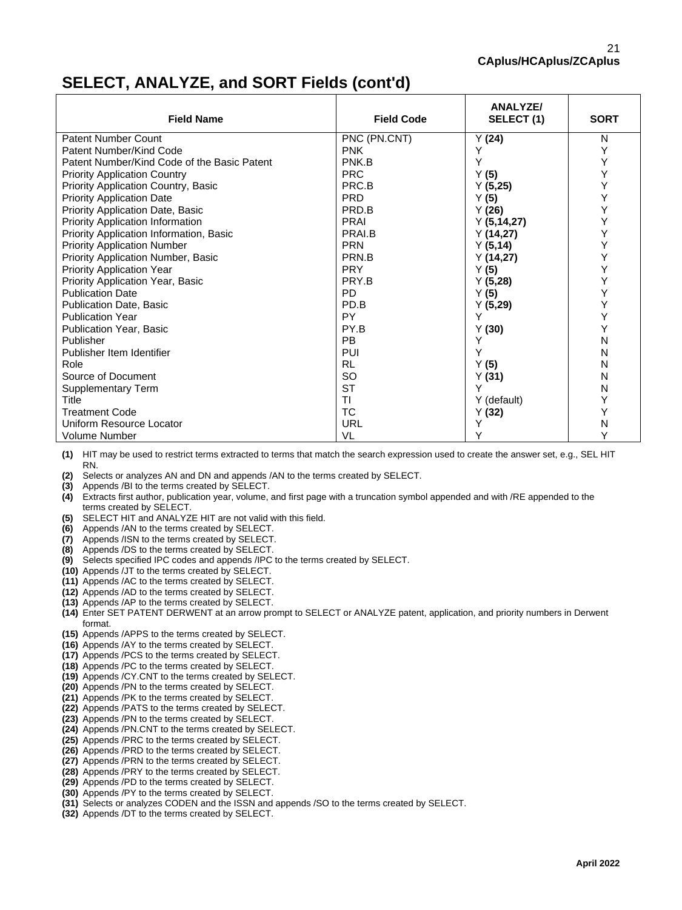## **SELECT, ANALYZE, and SORT Fields (cont'd)**

| <b>Field Name</b>                           | <b>Field Code</b> | <b>ANALYZE/</b><br>SELECT (1) | <b>SORT</b> |
|---------------------------------------------|-------------------|-------------------------------|-------------|
| <b>Patent Number Count</b>                  | PNC (PN.CNT)      | Y(24)                         | N           |
| Patent Number/Kind Code                     | <b>PNK</b>        |                               | Y           |
| Patent Number/Kind Code of the Basic Patent | PNK.B             | Υ                             | Υ           |
| <b>Priority Application Country</b>         | <b>PRC</b>        | Y(5)                          | Υ           |
| Priority Application Country, Basic         | PRC.B             | Y(5,25)                       | Y           |
| <b>Priority Application Date</b>            | <b>PRD</b>        | Y (5)                         | Υ           |
| <b>Priority Application Date, Basic</b>     | PRD.B             | Y(26)                         | Υ           |
| <b>Priority Application Information</b>     | <b>PRAI</b>       | Y(5, 14, 27)                  | Υ           |
| Priority Application Information, Basic     | PRAI.B            | Y(14,27)                      | Υ           |
| <b>Priority Application Number</b>          | <b>PRN</b>        | Y(5, 14)                      | Y           |
| Priority Application Number, Basic          | PRN.B             | Y(14,27)                      | Υ           |
| <b>Priority Application Year</b>            | <b>PRY</b>        | Y(5)                          | Y           |
| Priority Application Year, Basic            | PRY.B             | Y(5,28)                       | Υ           |
| <b>Publication Date</b>                     | PD                | Y(5)                          | Υ           |
| Publication Date, Basic                     | PD.B              | Y(5,29)                       | Y           |
| <b>Publication Year</b>                     | PY                | Y                             | Υ           |
| Publication Year, Basic                     | PY.B              | Y(30)                         | Y           |
| Publisher                                   | PB                |                               | N           |
| Publisher Item Identifier                   | PUI               |                               | N           |
| Role                                        | <b>RL</b>         | Y(5)                          | N           |
| Source of Document                          | <b>SO</b>         | Y(31)                         | N           |
| Supplementary Term                          | <b>ST</b>         |                               | N           |
| Title                                       | TI                | Y (default)                   | Y           |
| <b>Treatment Code</b>                       | ТC                | Y(32)                         | Y           |
| Uniform Resource Locator                    | URL               |                               | N           |
| Volume Number                               | VL                |                               |             |

**(1)** HIT may be used to restrict terms extracted to terms that match the search expression used to create the answer set, e.g., SEL HIT RN.

**(2)** Selects or analyzes AN and DN and appends /AN to the terms created by SELECT.

- **(3)** Appends /BI to the terms created by SELECT.
- **(4)** Extracts first author, publication year, volume, and first page with a truncation symbol appended and with /RE appended to the terms created by SELECT.
- **(5)** SELECT HIT and ANALYZE HIT are not valid with this field.
- **(6)** Appends /AN to the terms created by SELECT.
- **(7)** Appends /ISN to the terms created by SELECT.
- **(8)** Appends /DS to the terms created by SELECT.
- **(9)** Selects specified IPC codes and appends /IPC to the terms created by SELECT.
- **(10)** Appends /JT to the terms created by SELECT.
- **(11)** Appends /AC to the terms created by SELECT.
- **(12)** Appends /AD to the terms created by SELECT.
- **(13)** Appends /AP to the terms created by SELECT.
- **(14)** Enter SET PATENT DERWENT at an arrow prompt to SELECT or ANALYZE patent, application, and priority numbers in Derwent format.
- **(15)** Appends /APPS to the terms created by SELECT.
- **(16)** Appends /AY to the terms created by SELECT.
- **(17)** Appends /PCS to the terms created by SELECT.
- **(18)** Appends /PC to the terms created by SELECT.
- **(19)** Appends /CY.CNT to the terms created by SELECT.
- **(20)** Appends /PN to the terms created by SELECT.
- **(21)** Appends /PK to the terms created by SELECT.
- **(22)** Appends /PATS to the terms created by SELECT.
- **(23)** Appends /PN to the terms created by SELECT.
- **(24)** Appends /PN.CNT to the terms created by SELECT.
- **(25)** Appends /PRC to the terms created by SELECT.
- **(26)** Appends /PRD to the terms created by SELECT.
- **(27)** Appends /PRN to the terms created by SELECT.
- **(28)** Appends /PRY to the terms created by SELECT.
- **(29)** Appends /PD to the terms created by SELECT.
- **(30)** Appends /PY to the terms created by SELECT.
- **(31)** Selects or analyzes CODEN and the ISSN and appends /SO to the terms created by SELECT.
- **(32)** Appends /DT to the terms created by SELECT.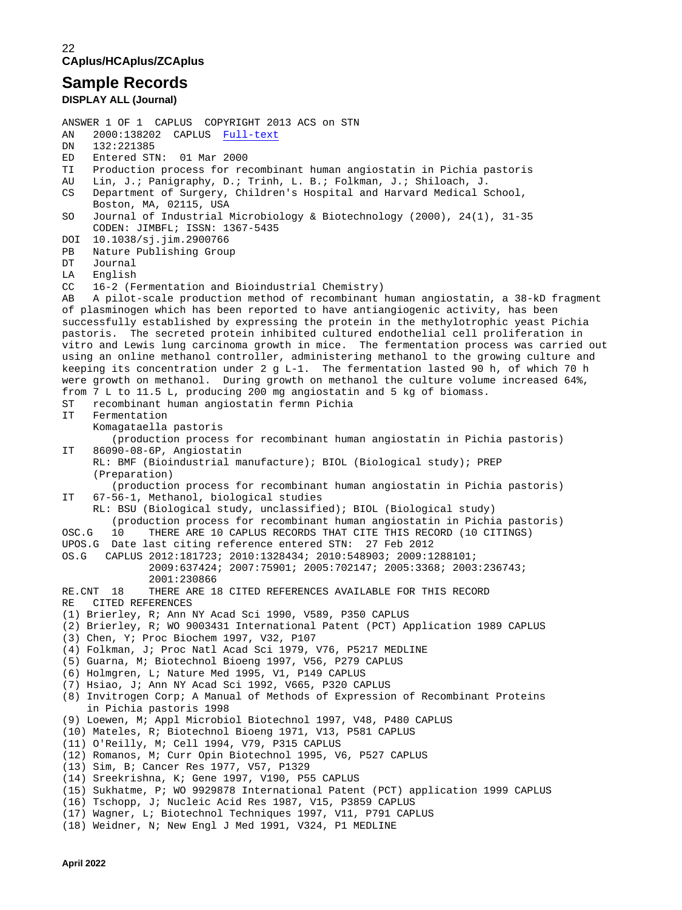### **Sample Records**

**DISPLAY ALL (Journal)** 

ANSWER 1 OF 1 CAPLUS COPYRIGHT 2013 ACS on STN AN 2000:138202 CAPLUS **Full-text**<br>DN 132:221385 DN 132:221385<br>ED Entered STI ED Entered STN: 01 Mar 2000<br>TI Production process for re TI Production process for recombinant human angiostatin in Pichia pastoris<br>AU Lin. J.: Panigraphy. D.: Trinh. L. B.: Folkman. J.: Shiloach. J. AU Lin, J.; Panigraphy, D.; Trinh, L. B.; Folkman, J.; Shiloach, J.<br>CS Department of Surgery, Children's Hospital and Harvard Medical S Department of Surgery, Children's Hospital and Harvard Medical School, Boston, MA, 02115, USA SO Journal of Industrial Microbiology & Biotechnology (2000), 24(1), 31-35 CODEN: JIMBFL; ISSN: 1367-5435 DOI 10.1038/sj.jim.2900766<br>PB Nature Publishing Group PB Nature Publishing Group<br>DT Journal DT Journal<br>LA English English CC 16-2 (Fermentation and Bioindustrial Chemistry)<br>AB A pilot-scale production method of recombinant A pilot-scale production method of recombinant human angiostatin, a 38-kD fragment of plasminogen which has been reported to have antiangiogenic activity, has been successfully established by expressing the protein in the methylotrophic yeast Pichia pastoris. The secreted protein inhibited cultured endothelial cell proliferation in vitro and Lewis lung carcinoma growth in mice. The fermentation process was carried out using an online methanol controller, administering methanol to the growing culture and keeping its concentration under 2 g L-1. The fermentation lasted 90 h, of which 70 h were growth on methanol. During growth on methanol the culture volume increased 64%, from  $\overline{7}$  L to 11.5 L, producing 200 mg angiostatin and 5 kg of biomass.<br>ST recombinant human angiostatin ferma Pichia ST recombinant human angiostatin fermn Pichia Fermentation Komagataella pastoris (production process for recombinant human angiostatin in Pichia pastoris)<br>IT 86090-08-6P, Angiostatin 86090-08-6P, Angiostatin RL: BMF (Bioindustrial manufacture); BIOL (Biological study); PREP (Preparation) (production process for recombinant human angiostatin in Pichia pastoris)<br>IT 67-56-1. Methanol, biological studies 67-56-1, Methanol, biological studies RL: BSU (Biological study, unclassified); BIOL (Biological study) (production process for recombinant human angiostatin in Pichia pastoris)<br>OSC.G 10 THERE ARE 10 CAPLUS RECORDS THAT CITE THIS RECORD (10 CITINGS) THERE ARE 10 CAPLUS RECORDS THAT CITE THIS RECORD (10 CITINGS) UPOS.G Date last citing reference entered STN: 27 Feb 2012 OS.G CAPLUS 2012:181723; 2010:1328434; 2010:548903; 2009:1288101; 2009:637424; 2007:75901; 2005:702147; 2005:3368; 2003:236743; 2001:230866<br>RE.CNT 18 THERE ARE 1 THERE ARE 18 CITED REFERENCES AVAILABLE FOR THIS RECORD RE CITED REFERENCES (1) Brierley, R; Ann NY Acad Sci 1990, V589, P350 CAPLUS (2) Brierley, R; WO 9003431 International Patent (PCT) Application 1989 CAPLUS (3) Chen, Y; Proc Biochem 1997, V32, P107 (4) Folkman, J; Proc Natl Acad Sci 1979, V76, P5217 MEDLINE (5) Guarna, M; Biotechnol Bioeng 1997, V56, P279 CAPLUS (6) Holmgren, L; Nature Med 1995, V1, P149 CAPLUS (7) Hsiao, J; Ann NY Acad Sci 1992, V665, P320 CAPLUS (8) Invitrogen Corp; A Manual of Methods of Expression of Recombinant Proteins in Pichia pastoris 1998 (9) Loewen, M; Appl Microbiol Biotechnol 1997, V48, P480 CAPLUS (10) Mateles, R; Biotechnol Bioeng 1971, V13, P581 CAPLUS (11) O'Reilly, M; Cell 1994, V79, P315 CAPLUS (12) Romanos, M; Curr Opin Biotechnol 1995, V6, P527 CAPLUS (13) Sim, B; Cancer Res 1977, V57, P1329 (14) Sreekrishna, K; Gene 1997, V190, P55 CAPLUS (15) Sukhatme, P; WO 9929878 International Patent (PCT) application 1999 CAPLUS (16) Tschopp, J; Nucleic Acid Res 1987, V15, P3859 CAPLUS (17) Wagner, L; Biotechnol Techniques 1997, V11, P791 CAPLUS (18) Weidner, N; New Engl J Med 1991, V324, P1 MEDLINE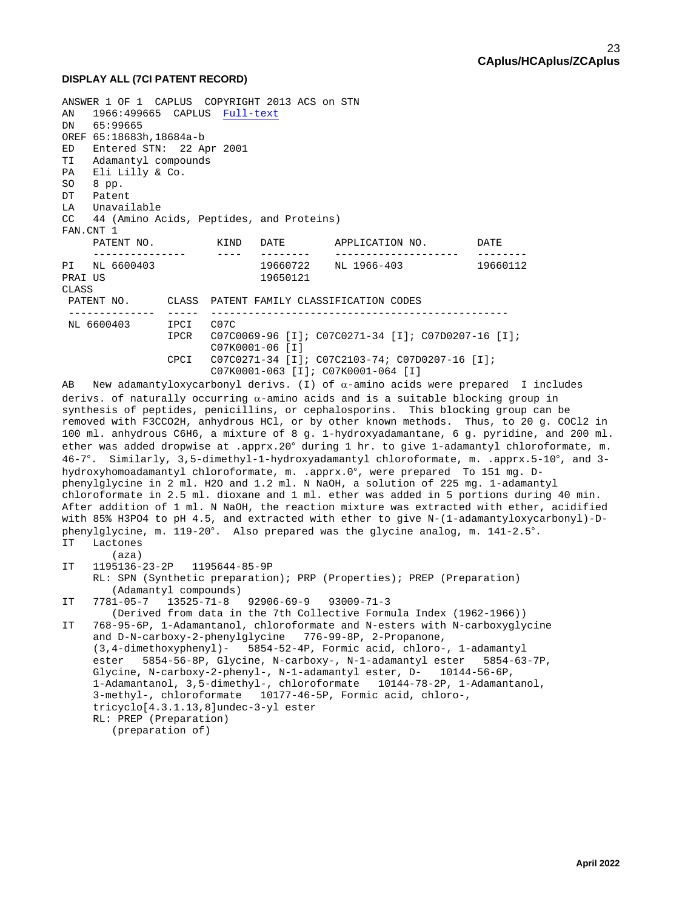### **DISPLAY ALL (7CI PATENT RECORD)**

```
ANSWER 1 OF 1 CAPLUS COPYRIGHT 2013 ACS on STN 
AN 1966:499665 CAPLUS Full-text
DN 65:99665
OREF 65:18683h,18684a-b
ED Entered STN: 22 Apr 2001
TI Adamantyl compounds
PA Eli Lilly & Co.
SO 8 pp.
DT Patent
LA Unavailable<br>CC 44 (Amino Ao
    44 (Amino Acids, Peptides, and Proteins)
FAN.CNT 1<br>PATENT NO.
      PATENT NO. KIND DATE APPLICATION NO. DATE
 --------------- ---- -------- -------------------- --------
PI NL 6600403 19660722 NL 1966-403<br>PRAIUS 19650121
                              19650121
CLASS<br>PATENT NO.
               CLASS PATENT FAMILY CLASSIFICATION CODES
 -------------- ----- ------------------------------------------------
NL 6600403
                 IPCR C07C0069-96 [I]; C07C0271-34 [I]; C07D0207-16 [I];
                       C07K0001-06 [I]
                 CPCI C07C0271-34 [I]; C07C2103-74; C07D0207-16 [I];
                        C07K0001-063 [I]; C07K0001-064 [I]
```
AB New adamantyloxycarbonyl derivs. (I) of  $\alpha$ -amino acids were prepared I includes derivs. of naturally occurring  $\alpha$ -amino acids and is a suitable blocking group in synthesis of peptides, penicillins, or cephalosporins. This blocking group can be removed with F3CCO2H, anhydrous HCl, or by other known methods. Thus, to 20 g. COCl2 in 100 ml. anhydrous C6H6, a mixture of 8 g. 1-hydroxyadamantane, 6 g. pyridine, and 200 ml. ether was added dropwise at .apprx.20° during 1 hr. to give 1-adamantyl chloroformate, m. 46-7°. Similarly, 3,5-dimethyl-1-hydroxyadamantyl chloroformate, m. .apprx.5-10°, and 3 hydroxyhomoadamantyl chloroformate, m. .apprx.0°, were prepared To 151 mg. Dphenylglycine in 2 ml. H2O and 1.2 ml. N NaOH, a solution of 225 mg. 1-adamantyl chloroformate in 2.5 ml. dioxane and 1 ml. ether was added in 5 portions during 40 min. After addition of 1 ml. N NaOH, the reaction mixture was extracted with ether, acidified with 85% H3PO4 to pH 4.5, and extracted with ether to give N-(1-adamantyloxycarbonyl)-Dphenylglycine, m. 119-20°. Also prepared was the glycine analog, m. 141-2.5°. Lactones

 $(aza)$ <br>  $T$  1195136-IT 1195136-23-2P 1195644-85-9P

 RL: SPN (Synthetic preparation); PRP (Properties); PREP (Preparation) (Adamantyl compounds)<br>TT 7781-05-7 13525-71-8

IT 7781-05-7 13525-71-8 92906-69-9 93009-71-3

(Derived from data in the 7th Collective Formula Index (1962-1966))<br>TT 768-95-6P 1-Adamantanol chloroformate and N-esters with N-carboxygly 768-95-6P, 1-Adamantanol, chloroformate and N-esters with N-carboxyglycine and D-N-carboxy-2-phenylglycine 776-99-8P, 2-Propanone, (3,4-dimethoxyphenyl)- 5854-52-4P, Formic acid, chloro-, 1-adamantyl ester 5854-56-8P, Glycine, N-carboxy-, N-1-adamantyl ester 5854-63-7P, Glycine, N-carboxy-2-phenyl-, N-1-adamantyl ester, D- 10144-56-6P, 1-Adamantanol, 3,5-dimethyl-, chloroformate 10144-78-2P, 1-Adamantanol, 3-methyl-, chloroformate 10177-46-5P, Formic acid, chloro-, tricyclo[4.3.1.13,8]undec-3-yl ester RL: PREP (Preparation)

(preparation of)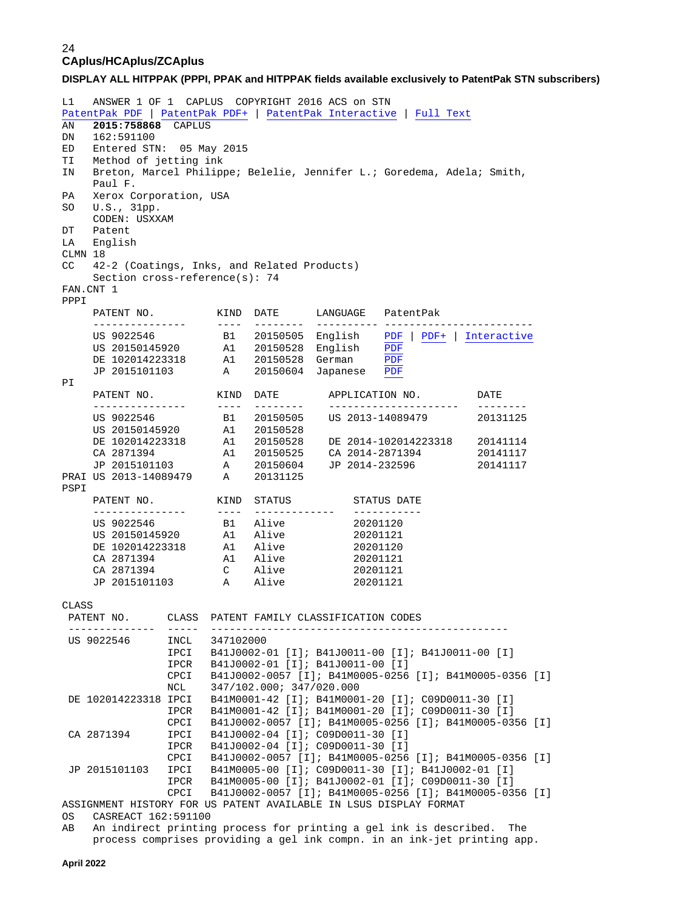**DISPLAY ALL HITPPAK (PPPI, PPAK and HITPPAK fields available exclusively to PatentPak STN subscribers)**

L1 ANSWER 1 OF 1 CAPLUS COPYRIGHT 2016 ACS on STN [PatentPak PDF](https://patentpak.cas.org/STN/patents/vmM2ll5zjZytVdV-N7m45U12d9076wHptrTQkGC00Cv6iv_4IfVMl5BrPjIRztzDjEv8LSw2QfiKU0DXJ51SNoGqe4uR2dX3Q3oig4BTPhNOwCkk_7aiF7eWaOIVB02S/pdf/full?v=1&s=ST&f=528&n=C) | [PatentPak PDF+](https://patentpak.cas.org/STN/patents/vmM2ll5zjZytVdV-N7m45U12d9076wHptrTQkGC00Cv6iv_4IfVMl5BrPjIRztzDjEv8LSw2QfiKU0DXJ51SNoGqe4uR2dX3Q3oig4BTPhNOwCkk_7aiF7eWaOIVB02S/pdf/marked-full?v=1&s=ST&f=528&n=C) | [PatentPak Interactive](https://patentpak.cas.org/STN/patents/viewer?d=vmM2ll5zjZytVdV-N7m45U12d9076wHptrTQkGC00Cv6iv_4IfVMl5BrPjIRztzDjEv8LSw2QfiKU0DXJ51SNoGqe4uR2dX3Q3oig4BTPhNOwCkk_7aiF7eWaOIVB02S&v=1&s=ST&f=528&n=C) | [Full Text](https://chemport.cas.org/cgi-bin/cp_sdcgi?4eiQjcj7atncPvbXygxLK5eeJZPPRLxln0Q__S6X0cERBwhLrxWDIOPnoX@jYxOtPceILcnmMKnqZivqnfSFLqinxW@jaPPWRRA8KWwp0_DRDzWYn0x3jxJPeFw6QN@wHh3kOPJXARExQ7JxFhIWIw@EpQ0PYPh) AN **2015:758868** CAPLUS DN 162:591100 ED Entered STN: 05 May 2015 TI Method of jetting ink IN Breton, Marcel Philippe; Belelie, Jennifer L.; Goredema, Adela; Smith, Paul F.<br>PA Xerox C Xerox Corporation, USA SO U.S., 31pp. CODEN: USXXAM<br>DT Patent DT Patent<br>LA Englis English CLMN  $18$ <br>CC  $42$ 42-2 (Coatings, Inks, and Related Products) Section cross-reference(s): 74 FAN.CNT 1 PPPI<br>PATENT NO. PATENT NO. KIND DATE LANGUAGE PatentPak --------------- ---- -------- ---------- ------------------------ B1 20150505 English [PDF](https://patentpak.cas.org/STN/patents/vmM2ll5zjZytVdV-N7m45U12d9076wHptrTQkGC00Cv6iv_4IfVMl5BrPjIRztzDjEv8LSw2QfiKU0DXJ51SNoGqe4uR2dX3Q3oig4BTPhNOwCkk_7aiF7eWaOIVB02S/pdf/full?v=1&s=ST&f=528&n=C) | [PDF+](https://patentpak.cas.org/STN/patents/vmM2ll5zjZytVdV-N7m45U12d9076wHptrTQkGC00Cv6iv_4IfVMl5BrPjIRztzDjEv8LSw2QfiKU0DXJ51SNoGqe4uR2dX3Q3oig4BTPhNOwCkk_7aiF7eWaOIVB02S/pdf/marked-full?v=1&s=ST&f=528&n=C) | [Interactive](https://patentpak.cas.org/STN/patents/viewer?d=vmM2ll5zjZytVdV-N7m45U12d9076wHptrTQkGC00Cv6iv_4IfVMl5BrPjIRztzDjEv8LSw2QfiKU0DXJ51SNoGqe4uR2dX3Q3oig4BTPhNOwCkk_7aiF7eWaOIVB02S&v=1&s=ST&f=528&n=C)<br>A1 20150528 English PDF US 20150145920 A1 20150528 English [PDF](https://patentpak.cas.org/STN/patents/vmM2ll5zjZytVdV-N7m45U12d9076wHptrTQkGC00CsTPBwjtwV7gIK2w0CrUSVLDawTJ13rbqMx7d2SKDndJCLzlaUypq6A_nojf3UJbEWUOOUpUojomTvaV-2huuSF/pdf/full?v=1&s=ST&f=528&n=C)<br>DE 102014223318 A1 20150528 German PDF<br>JP 2015101103 A 20150604 Japanese PDF A1 20150528 German A 20150604 Japanese [PDF](https://patentpak.cas.org/STN/patents/vmM2ll5zjZytVdV-N7m45U12d9076wHptrTQkGC00CsnFoaIpS1FeIgdJEI0fM8pBPYtDGfRxcf-gRWebh48aZIcC3AsJ3w27X_IxuTiMZFNRqeWy8kqlef94YbboTi6/pdf/full?v=1&s=ST&f=528&n=C) PI PATENT NO. KIND DATE APPLICATION NO. DATE --------------- ---- -------- --------------------- -------- US 9022546 B1 20150505 US 2013-14089479 20131125 US 20150145920 A1 20150528 A1 20150528<br>
A1 20150528 DE 2014-102014223318 20141114<br>
A1 20150525 CA 2014-2871394 20141117 CA 2871394 A1 20150525 CA 2014-2871394 20141117 JP 2015101103 A 20150604 JP 2014-232596 20141117 PRAI US 2013-14089479 A 20131125 PSPI PATENT NO. KIND STATUS STATUS DATE --------------- ---- ------------- ----------- US 9022546 B1 Alive 20201120 US 20150145920 A1 Alive 20201121 DE 102014223318 A1 Alive 20201120 CA 2871394 A1 Alive 20201121 CA 2871394 C Alive 20201121<br>
JP 2015101103 A Alive 20201121 JP 2015101103 CLASS<br>PATENT NO. PATENT NO. CLASS PATENT FAMILY CLASSIFICATION CODES -------------- ----- ------------------------------------------------ US 9022546 INCL 347102000 IPCI B41J0002-01 [I]; B41J0011-00 [I]; B41J0011-00 [I] IPCR B41J0002-01 [I]; B41J0011-00 [I] CPCI B41J0002-0057 [I]; B41M0005-0256 [I]; B41M0005-0356 [I] 347/102.000; 347/020.000 DE 102014223318 IPCI B41M0001-42 [I]; B41M0001-20 [I]; C09D0011-30 [I] IPCR B41M0001-42 [I]; B41M0001-20 [I]; C09D0011-30 [I] CPCI B41J0002-0057 [I]; B41M0005-0256 [I]; B41M0005-0356 [I]<br>CA 2871394 IPCI B41J0002-04 [I]; C09D0011-30 [I] CA 2871394 IPCI B41J0002-04 [I]; C09D0011-30 [I] IPCR B41J0002-04 [I]; C09D0011-30 [I] CPCI B41J0002-0057 [I]; B41M0005-0256 [I]; B41M0005-0356 [I]<br>JP 2015101103 IPCI B41M0005-00 [I]; C09D0011-30 [I]; B41J0002-01 [I] ---<br>IPCI 841M0005-00 [I]; C09D0011-30 [I]; B41J0002-01 [I]<br>IPCR 841M0005-00 [I]; B41J0002-01 [I]; C09D0011-30 [I] B41M0005-00 [I]; B41J0002-01 [I]; C09D0011-30 [I] CPCI B41J0002-0057 [I]; B41M0005-0256 [I]; B41M0005-0356 [I] ASSIGNMENT HISTORY FOR US PATENT AVAILABLE IN LSUS DISPLAY FORMAT<br>OS CASREACT 162:591100 OS CASREACT 162:591100<br>AB An indirect printing An indirect printing process for printing a gel ink is described. The process comprises providing a gel ink compn. in an ink-jet printing app.

**April 2022**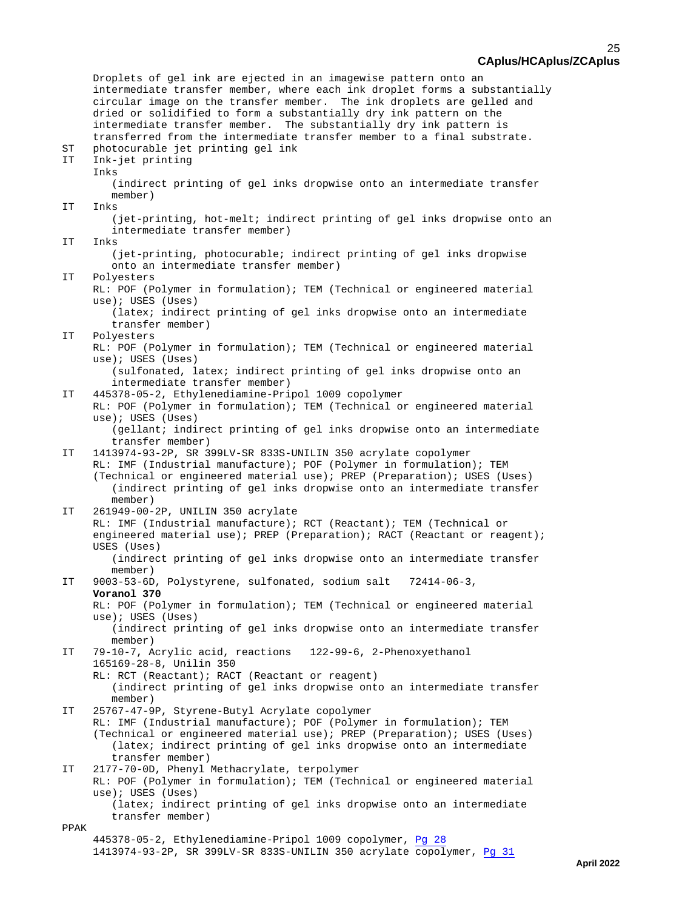Droplets of gel ink are ejected in an imagewise pattern onto an intermediate transfer member, where each ink droplet forms a substantially circular image on the transfer member. The ink droplets are gelled and dried or solidified to form a substantially dry ink pattern on the intermediate transfer member. The substantially dry ink pattern is transferred from the intermediate transfer member to a final substrate.<br>ST photocurable jet printing gel ink ST photocurable jet printing gel ink Ink-jet printing Inks (indirect printing of gel inks dropwise onto an intermediate transfer member)<br>TT Inks Inks (jet-printing, hot-melt; indirect printing of gel inks dropwise onto an intermediate transfer member)<br>IT Inks Inks (jet-printing, photocurable; indirect printing of gel inks dropwise onto an intermediate transfer member)<br>IT Polyesters Polyesters RL: POF (Polymer in formulation); TEM (Technical or engineered material use); USES (Uses) (latex; indirect printing of gel inks dropwise onto an intermediate transfer member) IT Polyesters RL: POF (Polymer in formulation); TEM (Technical or engineered material use); USES (Uses) (sulfonated, latex; indirect printing of gel inks dropwise onto an intermediate transfer member) IT 445378-05-2, Ethylenediamine-Pripol 1009 copolymer RL: POF (Polymer in formulation); TEM (Technical or engineered material use); USES (Uses) (gellant; indirect printing of gel inks dropwise onto an intermediate transfer member) IT 1413974-93-2P, SR 399LV-SR 833S-UNILIN 350 acrylate copolymer RL: IMF (Industrial manufacture); POF (Polymer in formulation); TEM (Technical or engineered material use); PREP (Preparation); USES (Uses) (indirect printing of gel inks dropwise onto an intermediate transfer member)<br>-00-1949 TT 261949-00-2P, UNILIN 350 acrylate RL: IMF (Industrial manufacture); RCT (Reactant); TEM (Technical or engineered material use); PREP (Preparation); RACT (Reactant or reagent); USES (Uses) (indirect printing of gel inks dropwise onto an intermediate transfer member)<br>IT 9003-53-6D 9003-53-6D, Polystyrene, sulfonated, sodium salt 72414-06-3, **Voranol 370** RL: POF (Polymer in formulation); TEM (Technical or engineered material use); USES (Uses) (indirect printing of gel inks dropwise onto an intermediate transfer member)<br>IT 79-10-7. A IT 79-10-7, Acrylic acid, reactions 122-99-6, 2-Phenoxyethanol 165169-28-8, Unilin 350 RL: RCT (Reactant); RACT (Reactant or reagent) (indirect printing of gel inks dropwise onto an intermediate transfer member) IT 25767-47-9P, Styrene-Butyl Acrylate copolymer RL: IMF (Industrial manufacture); POF (Polymer in formulation); TEM (Technical or engineered material use); PREP (Preparation); USES (Uses) (latex; indirect printing of gel inks dropwise onto an intermediate transfer member)<br>IT 2177-70-0D. Phenvl 2177-70-0D, Phenyl Methacrylate, terpolymer RL: POF (Polymer in formulation); TEM (Technical or engineered material use); USES (Uses) (latex; indirect printing of gel inks dropwise onto an intermediate transfer member) PPAK 445378-05-2, Ethylenediamine-Pripol 1009 copolymer, [Pg 28](https://patentpak.cas.org/STN/patents/viewer?d=vmM2ll5zjZytVdV-N7m45U12d9076wHptrTQkGC00Cv6iv_4IfVMl5BrPjIRztzDjEv8LSw2QfiKU0DXJ51SNoGqe4uR2dX3Q3oig4BTPhNOwCkk_7aiF7eWaOIVB02S&v=1&s=ST&f=528&p=28&l=344eaa25-4dec-4575-88b4-3211dad15e46&r=445378-05-2&n=C) 1413974-93-2P, SR 399LV-SR 833S-UNILIN 350 acrylate copolymer, [Pg 31](https://patentpak.cas.org/STN/patents/viewer?d=vmM2ll5zjZytVdV-N7m45U12d9076wHptrTQkGC00Cv6iv_4IfVMl5BrPjIRztzDjEv8LSw2QfiKU0DXJ51SNoGqe4uR2dX3Q3oig4BTPhNOwCkk_7aiF7eWaOIVB02S&v=1&s=ST&f=528&p=31&l=1103512a-b691-4ce9-82b9-1a1a65654c87&r=1413974-93-2&n=C)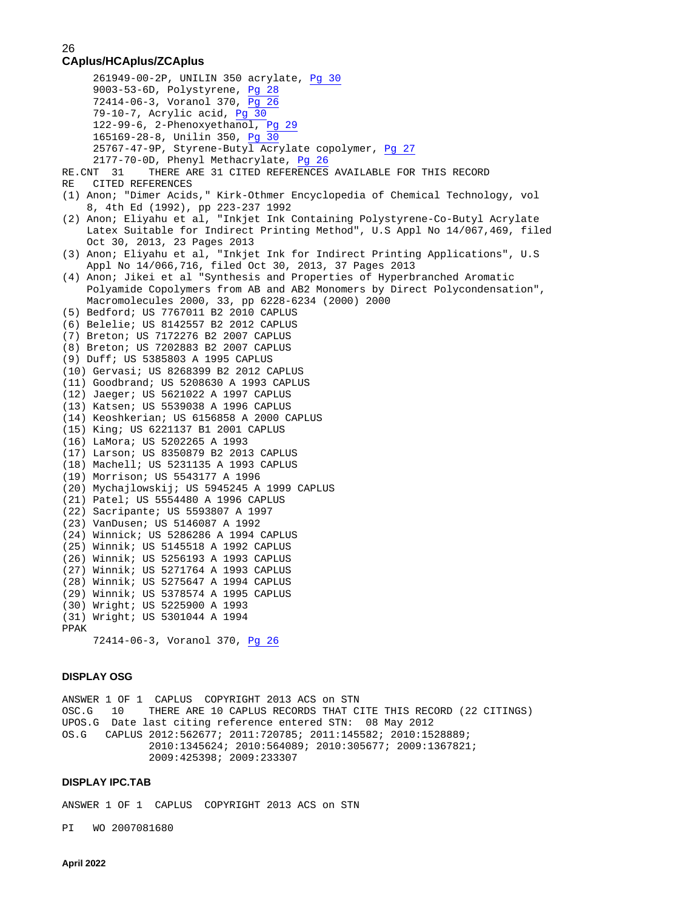```
 261949-00-2P, UNILIN 350 acrylate, Pg 30
      9003-53-6D, Polystyrene, Pg 28
      72414-06-3, Voranol 370, Pg 26
      79-10-7, Acrylic acid, Pg 30
     Pg 29
      165169-28-8, Unilin 350, Pg 30
      25767-47-9P, Styrene-Butyl Acrylate copolymer, Pg 27
 Pg 26<br>RE.CNT 31 THERE ARE 31 CITED REFERENCES
RE.CNT 31 THERE ARE 31 CITED REFERENCES AVAILABLE FOR THIS RECORD<br>RE CITED REFERENCES
   CITED REFERENCES
(1) Anon; "Dimer Acids," Kirk-Othmer Encyclopedia of Chemical Technology, vol
     8, 4th Ed (1992), pp 223-237 1992
(2) Anon; Eliyahu et al, "Inkjet Ink Containing Polystyrene-Co-Butyl Acrylate
     Latex Suitable for Indirect Printing Method", U.S Appl No 14/067,469, filed
     Oct 30, 2013, 23 Pages 2013
(3) Anon; Eliyahu et al, "Inkjet Ink for Indirect Printing Applications", U.S
     Appl No 14/066,716, filed Oct 30, 2013, 37 Pages 2013
(4) Anon; Jikei et al "Synthesis and Properties of Hyperbranched Aromatic
     Polyamide Copolymers from AB and AB2 Monomers by Direct Polycondensation",
    Macromolecules 2000, 33, pp 6228-6234 (2000) 2000
(5) Bedford; US 7767011 B2 2010 CAPLUS
(6) Belelie; US 8142557 B2 2012 CAPLUS
(7) Breton; US 7172276 B2 2007 CAPLUS
(8) Breton; US 7202883 B2 2007 CAPLUS
(9) Duff; US 5385803 A 1995 CAPLUS
(10) Gervasi; US 8268399 B2 2012 CAPLUS
(11) Goodbrand; US 5208630 A 1993 CAPLUS
(12) Jaeger; US 5621022 A 1997 CAPLUS
(13) Katsen; US 5539038 A 1996 CAPLUS
(14) Keoshkerian; US 6156858 A 2000 CAPLUS
(15) King; US 6221137 B1 2001 CAPLUS
(16) LaMora; US 5202265 A 1993
(17) Larson; US 8350879 B2 2013 CAPLUS
(18) Machell; US 5231135 A 1993 CAPLUS
(19) Morrison; US 5543177 A 1996
(20) Mychajlowskij; US 5945245 A 1999 CAPLUS
(21) Patel; US 5554480 A 1996 CAPLUS
(22) Sacripante; US 5593807 A 1997
(23) VanDusen; US 5146087 A 1992
(24) Winnick; US 5286286 A 1994 CAPLUS
(25) Winnik; US 5145518 A 1992 CAPLUS
(26) Winnik; US 5256193 A 1993 CAPLUS
(27) Winnik; US 5271764 A 1993 CAPLUS
(28) Winnik; US 5275647 A 1994 CAPLUS
(29) Winnik; US 5378574 A 1995 CAPLUS
(30) Wright; US 5225900 A 1993
(31) Wright; US 5301044 A 1994
PPAK
      72414-06-3, Voranol 370, Pg 26
```
### **DISPLAY OSG**

ANSWER 1 OF 1 CAPLUS COPYRIGHT 2013 ACS on STN OSC.G 10 THERE ARE 10 CAPLUS RECORDS THAT CITE THIS RECORD (22 CITINGS) UPOS.G Date last citing reference entered STN: 08 May 2012 OS.G CAPLUS 2012:562677; 2011:720785; 2011:145582; 2010:1528889; 2010:1345624; 2010:564089; 2010:305677; 2009:1367821; 2009:425398; 2009:233307

#### **DISPLAY IPC.TAB**

ANSWER 1 OF 1 CAPLUS COPYRIGHT 2013 ACS on STN

PI WO 2007081680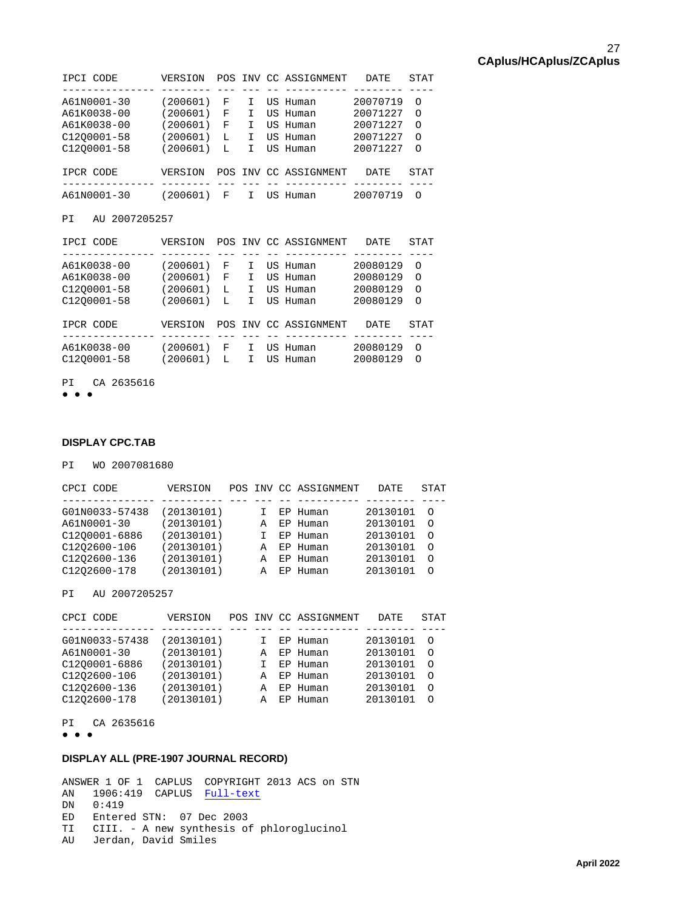| IPCI CODE   | VERSION  |   |    | POS INV CC ASSIGNMENT | <b>DATE</b> | STAT     |
|-------------|----------|---|----|-----------------------|-------------|----------|
|             |          |   |    |                       |             |          |
| A61N0001-30 | (200601) | F |    | US Human              | 20070719    | $\Omega$ |
| A61K0038-00 | (200601) | F |    | US Human              | 20071227    | $\Omega$ |
| A61K0038-00 | (200601) | F |    | US Human              | 20071227    | $\Omega$ |
| C1200001-58 | (200601) | L |    | US Human              | 20071227    | $\Omega$ |
| C1200001-58 | (200601) | L |    | US Human              | 20071227    | $\Omega$ |
|             |          |   |    |                       |             |          |
| IPCR CODE   | VERSION  |   |    | POS INV CC ASSIGNMENT | <b>DATE</b> | STAT     |
|             |          |   |    |                       |             |          |
| A61N0001-30 | (200601) | F | ΠS | Human                 | 20070719    | ∩        |
|             |          |   |    |                       |             |          |

PI AU 2007205257

| IPCI CODE   | VERSION  |    |    | POS INV CC ASSIGNMENT | <b>DATE</b> | STAT     |
|-------------|----------|----|----|-----------------------|-------------|----------|
|             |          |    |    |                       |             |          |
| A61K0038-00 | (200601) | F  | т  | US Human              | 20080129    | ∩        |
| A61K0038-00 | (200601) | F  | т  | US Human              | 20080129    | $\Omega$ |
| C1200001-58 | (200601) | L  | T. | US Human              | 20080129    | $\Omega$ |
| C1200001-58 | (200601) | L  | T. | US Human              | 20080129    | $\Omega$ |
|             |          |    |    |                       |             |          |
| IPCR CODE   | VERSION  |    |    | POS INV CC ASSIGNMENT | <b>DATE</b> | STAT     |
|             |          |    |    |                       |             |          |
| A61K0038-00 | (200601) | F  | I  | US Human              | 20080129    | Ω        |
| C1200001-58 | (200601) | т. | T. | US Human              | 20080129    | $\Omega$ |
|             |          |    |    |                       |             |          |

PI CA 2635616

● ● ●

### **DISPLAY CPC.TAB**

PI WO 2007081680

| CPCI CODE      | VERSION    |   | POS INV CC ASSIGNMENT | DATE.    | STAT     |
|----------------|------------|---|-----------------------|----------|----------|
|                |            |   |                       |          |          |
| G01N0033-57438 | (20130101) |   | EP Human              | 20130101 | $\circ$  |
| A61N0001-30    | (20130101) | A | EP Human              | 20130101 | $\Omega$ |
| C1200001-6886  | (20130101) |   | EP Human              | 20130101 | $\circ$  |
| C1202600-106   | (20130101) | A | EP Human              | 20130101 | - റ      |
| C1202600-136   | (20130101) | A | EP Human              | 20130101 | $\Omega$ |
| C1202600-178   | (20130101) | A | EP Human              | 20130101 | $\circ$  |
|                |            |   |                       |          |          |

PI AU 2007205257

| CPCI CODE      | VERSION    |   | POS INV CC ASSIGNMENT | <b>DATE</b> | <b>STAT</b> |  |
|----------------|------------|---|-----------------------|-------------|-------------|--|
|                |            |   |                       |             |             |  |
| G01N0033-57438 | (20130101) |   | EP Human              | 20130101    | $\Omega$    |  |
| A61N0001-30    | (20130101) | A | EP Human              | 20130101    | $\Omega$    |  |
| C1200001-6886  | (20130101) |   | EP Human              | 20130101    | $\Omega$    |  |
| C1202600-106   | (20130101) | A | EP Human              | 20130101    | $\Omega$    |  |
| C1202600-136   | (20130101) | A | EP Human              | 20130101    | $\Omega$    |  |
| C1202600-178   | (20130101) | A | EP Human              | 20130101    | $\Omega$    |  |
|                |            |   |                       |             |             |  |

PI CA 2635616

● ● ●

### **DISPLAY ALL (PRE-1907 JOURNAL RECORD)**

ANSWER 1 OF 1 CAPLUS COPYRIGHT 2013 ACS on STN AN 1906:419 CAPLUS <mark>[Full-text](http://chemport.cas.org/cgi-bin/ex_sdcgi?@58nMkEYgRR4JlJeHyQ7OO5abmHuYeiZFFkhYI7jeOEw1GliHLcoO38z8MAEOJK77gjhnT_gXBAIw7jox10KDO01eeirALzggpkeAW7dCFQSbOacD3EZZHsMODhP05aTwBCwuerOwijhFVFSW_DmSWJI5QJuNE@bcQSzP0lwO1ceFbyQcncHdvQfZPja)</mark> DN 0:419 ED Entered STN: 07 Dec 2003 TI CIII. - A new synthesis of phloroglucinol AU Jerdan, David Smiles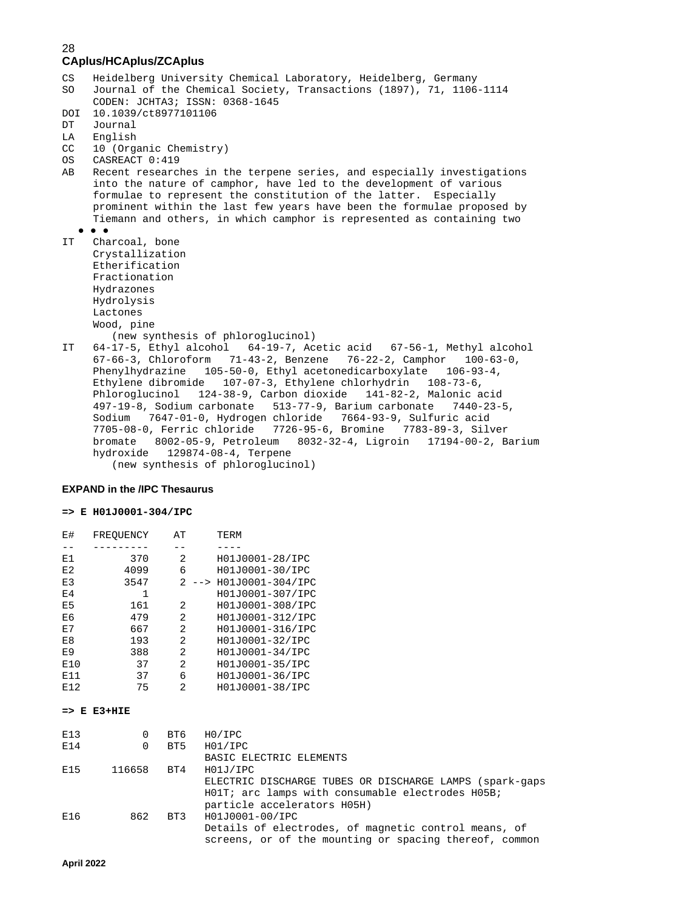```
CS Heidelberg University Chemical Laboratory, Heidelberg, Germany<br>SO Journal of the Chemical Society, Transactions (1897), 71, 1106
     Journal of the Chemical Society, Transactions (1897), 71, 1106-1114
      CODEN: JCHTA3; ISSN: 0368-1645
DOI 10.1039/ct8977101106<br>DT Journal
DT Journal<br>LA English
LA English<br>CC 10 (Orga
CC 10 (Organic Chemistry)<br>OS CASREACT 0:419
OS CASREACT 0:419<br>AB Recent researc
     Recent researches in the terpene series, and especially investigations
      into the nature of camphor, have led to the development of various
      formulae to represent the constitution of the latter. Especially
      prominent within the last few years have been the formulae proposed by
      Tiemann and others, in which camphor is represented as containing two
 ● ● ●
    Charcoal, bone
      Crystallization
      Etherification
      Fractionation
      Hydrazones
      Hydrolysis
      Lactones
      Wood, pine
(new synthesis of phloroglucinol)<br>TT 64-17-5 Ethyl alcohol 64-19-7 Act
    64-17-5, Ethyl alcohol 64-19-7, Acetic acid 67-56-1, Methyl alcohol
      67-66-3, Chloroform 71-43-2, Benzene 76-22-2, Camphor 100-63-0,
      Phenylhydrazine 105-50-0, Ethyl acetonedicarboxylate 106-93-4,
      Ethylene dibromide 107-07-3, Ethylene chlorhydrin 108-73-6,
      Phloroglucinol 124-38-9, Carbon dioxide 141-82-2, Malonic acid
      497-19-8, Sodium carbonate 513-77-9, Barium carbonate 7440-23-5,
 Sodium 7647-01-0, Hydrogen chloride 7664-93-9, Sulfuric acid
 7705-08-0, Ferric chloride 7726-95-6, Bromine 7783-89-3, Silver
      bromate 8002-05-9, Petroleum 8032-32-4, Ligroin 17194-00-2, Barium
      hydroxide 129874-08-4, Terpene
          (new synthesis of phloroglucinol)
```
#### **EXPAND in the /IPC Thesaurus**

#### **=> E H01J0001-304/IPC**

| <b>E#</b>      | FREOUENCY | AT          | TERM             |
|----------------|-----------|-------------|------------------|
|                |           |             |                  |
| E1             | 370       | 2           | H01J0001-28/IPC  |
| E2             | 4099      | 6           | H01J0001-30/IPC  |
| E3             | 3547      | 2<br>$--&>$ | H01J0001-304/IPC |
| E <sub>4</sub> | 1         |             | H01J0001-307/IPC |
| E <sub>5</sub> | 161       | 2           | H01J0001-308/IPC |
| E6             | 479       | 2           | H01J0001-312/IPC |
| E7             | 667       | 2           | H01J0001-316/IPC |
| E8             | 193       | 2           | H01J0001-32/IPC  |
| E <sub>9</sub> | 388       | 2           | H01J0001-34/IPC  |
| E10            | 37        | 2           | H01J0001-35/IPC  |
| E11            | 37        | 6           | H01J0001-36/IPC  |
| E12            | 75        | 2           | H01J0001-38/IPC  |

#### **=> E E3+HIE**

| E13<br>E14 | $\Omega$<br>$\Omega$ | BT6<br>BT5 | H0/IPC<br>H01/IPC                                                                                              |
|------------|----------------------|------------|----------------------------------------------------------------------------------------------------------------|
|            |                      |            | BASIC ELECTRIC ELEMENTS                                                                                        |
| E15        | 116658 BT4           |            | H01J/IPC                                                                                                       |
|            |                      |            | ELECTRIC DISCHARGE TUBES OR DISCHARGE LAMPS (spark-gaps<br>HO1T; arc lamps with consumable electrodes HO5B;    |
|            |                      |            | particle accelerators H05H)                                                                                    |
| E16        | 862                  |            | BT3 H01J0001-00/IPC                                                                                            |
|            |                      |            | Details of electrodes, of magnetic control means, of<br>screens, or of the mounting or spacing thereof, common |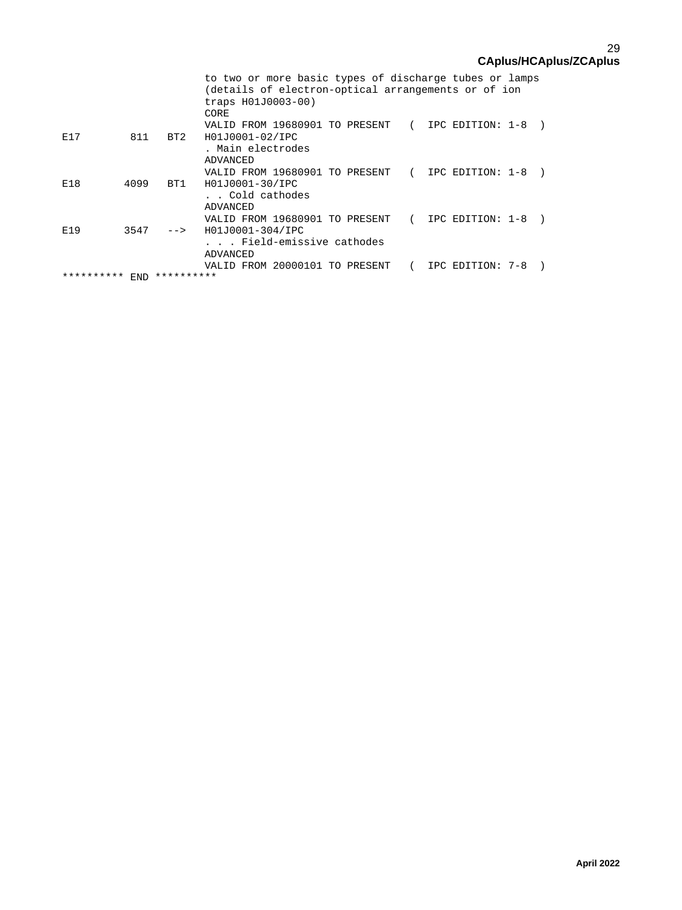|            |      |            | to two or more basic types of discharge tubes or lamps |                  |  |
|------------|------|------------|--------------------------------------------------------|------------------|--|
|            |      |            | (details of electron-optical arrangements or of ion    |                  |  |
|            |      |            | traps H01J0003-00)                                     |                  |  |
|            |      |            | CORE                                                   |                  |  |
|            |      |            | VALID FROM 19680901 TO PRESENT (                       | IPC EDITION: 1-8 |  |
| E17        | 811  | BT2        | H01J0001-02/IPC                                        |                  |  |
|            |      |            | . Main electrodes                                      |                  |  |
|            |      |            | ADVANCED                                               |                  |  |
|            |      |            | VALID FROM 19680901 TO PRESENT (IPC EDITION: 1-8)      |                  |  |
| E18        | 4099 | BT1        | H01J0001-30/IPC                                        |                  |  |
|            |      |            | . . Cold cathodes                                      |                  |  |
|            |      |            | ADVANCED                                               |                  |  |
|            |      |            | VALID FROM 19680901 TO PRESENT (IPC EDITION: 1-8)      |                  |  |
| E19        | 3547 | $--&>$     | H01J0001-304/IPC                                       |                  |  |
|            |      |            | . Field-emissive cathodes                              |                  |  |
|            |      |            | ADVANCED                                               |                  |  |
|            |      |            | VALID FROM 20000101 TO PRESENT                         | IPC EDITION: 7-8 |  |
| ********** | END  | ********** |                                                        |                  |  |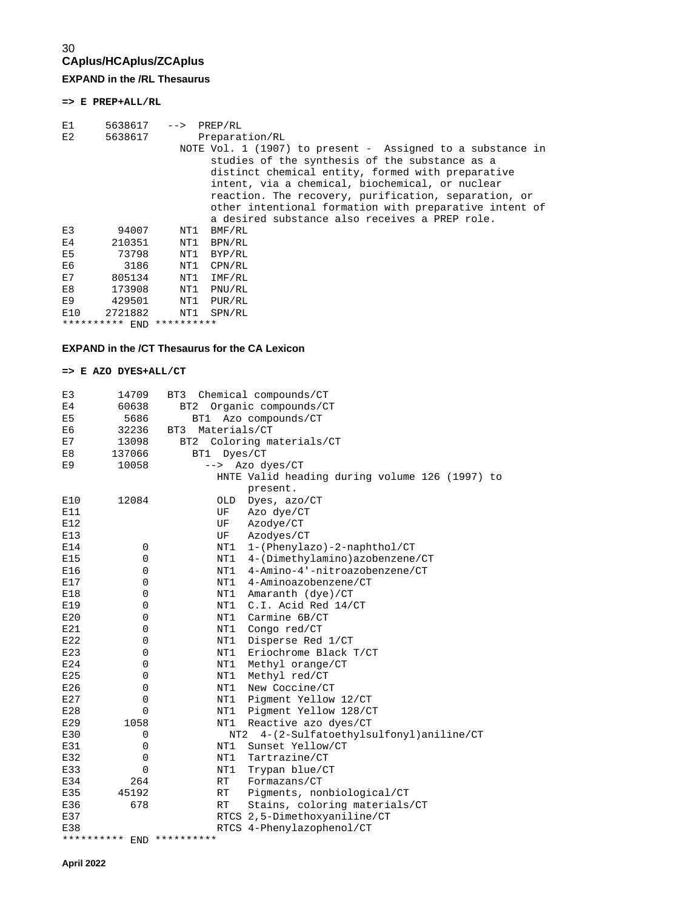### 30 **CAplus/HCAplus/ZCAplus EXPAND in the /RL Thesaurus**

**=> E PREP+ALL/RL** 

| E1             |                | 5638617 --> PREP/RL |                                                                                                                                                                                                                                                                                                                                        |
|----------------|----------------|---------------------|----------------------------------------------------------------------------------------------------------------------------------------------------------------------------------------------------------------------------------------------------------------------------------------------------------------------------------------|
| E2             | 5638617        |                     | Preparation/RL                                                                                                                                                                                                                                                                                                                         |
|                |                |                     | NOTE Vol. 1 (1907) to present - Assigned to a substance in<br>studies of the synthesis of the substance as a<br>distinct chemical entity, formed with preparative<br>intent, via a chemical, biochemical, or nuclear<br>reaction. The recovery, purification, separation, or<br>other intentional formation with preparative intent of |
|                |                |                     | a desired substance also receives a PREP role.                                                                                                                                                                                                                                                                                         |
| E.3            | 94007          | NT1                 | BMF/RL                                                                                                                                                                                                                                                                                                                                 |
| E4             | 210351         | NT1                 | BPN/RL                                                                                                                                                                                                                                                                                                                                 |
| E <sub>5</sub> | 73798          | NT1                 | BYP/RL                                                                                                                                                                                                                                                                                                                                 |
| E6             | 3186           | NT1                 | CPN/RL                                                                                                                                                                                                                                                                                                                                 |
| E7             | 805134         | NT1                 | IMF/RL                                                                                                                                                                                                                                                                                                                                 |
| E8             | 173908         | NT1                 | PNU/RL                                                                                                                                                                                                                                                                                                                                 |
| E9             | 429501         | NT1                 | PUR/RL                                                                                                                                                                                                                                                                                                                                 |
| E10            | 2721882        | NT1                 | SPN/RL                                                                                                                                                                                                                                                                                                                                 |
|                | ********** END | **********          |                                                                                                                                                                                                                                                                                                                                        |

### **EXPAND in the /CT Thesaurus for the CA Lexicon**

### **=> E AZO DYES+ALL/CT**

| E3             | 14709                     | BT3                 | Chemical compounds/CT                          |
|----------------|---------------------------|---------------------|------------------------------------------------|
| E <sub>4</sub> | 60638                     | BT <sub>2</sub>     | Organic compounds/CT                           |
| E5             | 5686                      | BT1                 | Azo compounds/CT                               |
| E6             | 32236                     | Materials/CT<br>BT3 |                                                |
| E7             | 13098                     | BT <sub>2</sub>     | Coloring materials/CT                          |
| E8             | 137066                    | BT1                 | Dyes/CT                                        |
| E9             | 10058                     | -->                 | Azo dyes/CT                                    |
|                |                           |                     | HNTE Valid heading during volume 126 (1997) to |
|                |                           |                     | present.                                       |
| E10            | 12084                     | OLD                 | Dyes, azo/CT                                   |
| E11            |                           | UF                  | Azo dye/CT                                     |
| E12            |                           | UF                  | Azodye/CT                                      |
| E13            |                           | UF                  | Azodyes/CT                                     |
| E14            | $\mathbf 0$               | NT1                 | 1-(Phenylazo)-2-naphthol/CT                    |
| E15            | 0                         | NT1                 | 4-(Dimethylamino)azobenzene/CT                 |
| E16            | 0                         | NT1                 | 4-Amino-4'-nitroazobenzene/CT                  |
| E17            | 0                         | NT1                 | 4-Aminoazobenzene/CT                           |
| E18            | 0                         | NT1                 | Amaranth (dye)/CT                              |
| E19            | 0                         | NT1                 | C.I. Acid Red 14/CT                            |
| E20            | 0                         | NT1                 | Carmine 6B/CT                                  |
| E21            | 0                         | NT1                 | Congo red/CT                                   |
| E22            | 0                         | NT1                 | Disperse Red 1/CT                              |
| E23            | $\mathbf 0$               | NT1                 | Eriochrome Black T/CT                          |
| E24            | 0                         | NT1                 | Methyl orange/CT                               |
| E25            | 0                         | NT1                 | Methyl red/CT                                  |
| E26            | 0                         | NT1                 | New Coccine/CT                                 |
| E27            | 0                         | NT1                 | Pigment Yellow 12/CT                           |
| E28            | 0                         | NT1                 | Pigment Yellow 128/CT                          |
| E29            | 1058                      | NT1                 | Reactive azo dyes/CT                           |
| E30            | 0                         | NT2                 | 4-(2-Sulfatoethylsulfonyl)aniline/CT           |
| E31            | 0                         | NT1                 | Sunset Yellow/CT                               |
| E32            | 0                         | NT1                 | Tartrazine/CT                                  |
| E33            | $\Omega$                  | NT1                 | Trypan blue/CT                                 |
| E34            | 264                       | RT                  | Formazans/CT                                   |
| E35            | 45192                     | RT                  | Pigments, nonbiological/CT                     |
| E36            | 678                       | RT                  | Stains, coloring materials/CT                  |
| E37            |                           |                     | RTCS 2,5-Dimethoxyaniline/CT                   |
| E38            |                           |                     | RTCS 4-Phenylazophenol/CT                      |
|                | ********** END ********** |                     |                                                |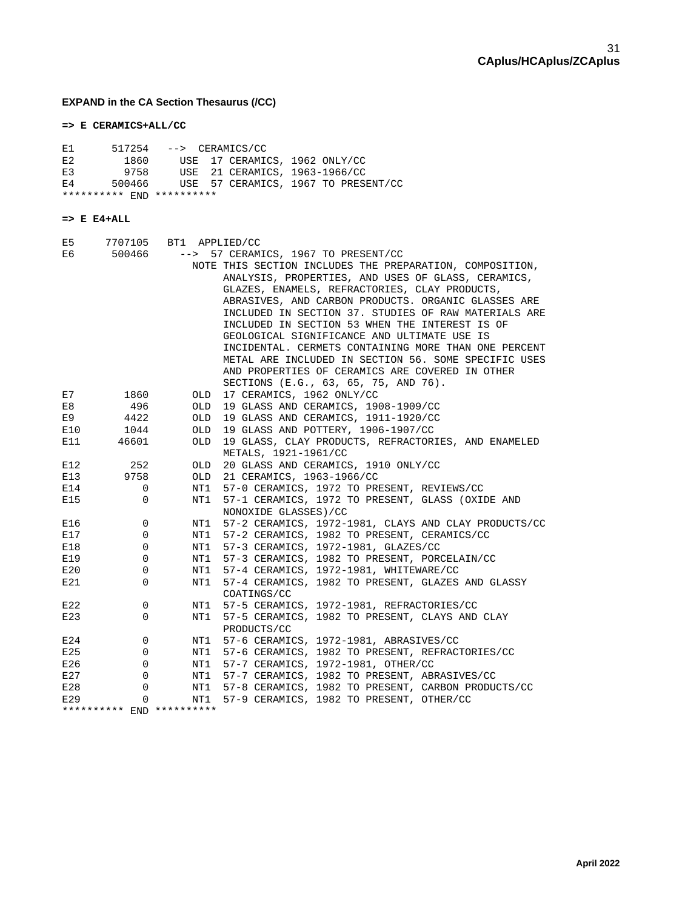## **EXPAND in the CA Section Thesaurus (/CC)**

### **=> E CERAMICS+ALL/CC**

| E1         | 517254                 | --> CERAMICS/CC           |                                                                                                              |
|------------|------------------------|---------------------------|--------------------------------------------------------------------------------------------------------------|
| E2         | 1860                   | USE                       | 17 CERAMICS, 1962 ONLY/CC                                                                                    |
| E3         | 9758                   | USE                       | 21 CERAMICS, 1963-1966/CC                                                                                    |
| E4         | 500466                 | USE                       | 57 CERAMICS, 1967 TO PRESENT/CC                                                                              |
|            |                        | ********** END ********** |                                                                                                              |
|            |                        |                           |                                                                                                              |
|            | $\Rightarrow$ E E4+ALL |                           |                                                                                                              |
| E5         | 7707105                | BT1                       | APPLIED/CC                                                                                                   |
| E6         | 500466                 | $--&>$                    | 57 CERAMICS, 1967 TO PRESENT/CC                                                                              |
|            |                        |                           | NOTE THIS SECTION INCLUDES THE PREPARATION, COMPOSITION,                                                     |
|            |                        |                           | ANALYSIS, PROPERTIES, AND USES OF GLASS, CERAMICS,                                                           |
|            |                        |                           | GLAZES, ENAMELS, REFRACTORIES, CLAY PRODUCTS,                                                                |
|            |                        |                           | ABRASIVES, AND CARBON PRODUCTS. ORGANIC GLASSES ARE                                                          |
|            |                        |                           | INCLUDED IN SECTION 37. STUDIES OF RAW MATERIALS ARE                                                         |
|            |                        |                           | INCLUDED IN SECTION 53 WHEN THE INTEREST IS OF                                                               |
|            |                        |                           | GEOLOGICAL SIGNIFICANCE AND ULTIMATE USE IS                                                                  |
|            |                        |                           | INCIDENTAL. CERMETS CONTAINING MORE THAN ONE PERCENT<br>METAL ARE INCLUDED IN SECTION 56. SOME SPECIFIC USES |
|            |                        |                           | AND PROPERTIES OF CERAMICS ARE COVERED IN OTHER                                                              |
|            |                        |                           | SECTIONS (E.G., 63, 65, 75, AND 76).                                                                         |
| E7         | 1860                   | OLD                       | 17 CERAMICS, 1962 ONLY/CC                                                                                    |
| E8         | 496                    | OLD                       | 19 GLASS AND CERAMICS, 1908-1909/CC                                                                          |
| E9         | 4422                   | <b>OLD</b>                | 19 GLASS AND CERAMICS, 1911-1920/CC                                                                          |
| E10        | 1044                   | OLD                       | 19 GLASS AND POTTERY, 1906-1907/CC                                                                           |
| E11        | 46601                  | <b>OLD</b>                | 19 GLASS, CLAY PRODUCTS, REFRACTORIES, AND ENAMELED                                                          |
|            |                        |                           | METALS, 1921-1961/CC                                                                                         |
| E12        | 252                    | OLD                       | 20 GLASS AND CERAMICS, 1910 ONLY/CC                                                                          |
| E13        | 9758                   | OLD                       | 21 CERAMICS, 1963-1966/CC                                                                                    |
| E14        | 0<br>0                 | NT1<br>NT1                | 57-0 CERAMICS, 1972 TO PRESENT, REVIEWS/CC<br>57-1 CERAMICS, 1972 TO PRESENT, GLASS (OXIDE AND               |
| E15        |                        |                           | NONOXIDE GLASSES)/CC                                                                                         |
| E16        | 0                      | NT1                       | 57-2 CERAMICS, 1972-1981, CLAYS AND CLAY PRODUCTS/CC                                                         |
| E17        | 0                      | NT1                       | 57-2 CERAMICS, 1982 TO PRESENT, CERAMICS/CC                                                                  |
| E18        | 0                      | NT1                       | 57-3 CERAMICS, 1972-1981, GLAZES/CC                                                                          |
| E19        | 0                      | NT1                       | 57-3 CERAMICS, 1982 TO PRESENT, PORCELAIN/CC                                                                 |
| E20        | 0                      | NT1                       | 57-4 CERAMICS, 1972-1981, WHITEWARE/CC                                                                       |
| E21        | $\Omega$               | NT1                       | 57-4 CERAMICS, 1982 TO PRESENT, GLAZES AND GLASSY                                                            |
|            |                        |                           | COATINGS/CC                                                                                                  |
| E22        | 0                      | NT1                       | 57-5 CERAMICS, 1972-1981, REFRACTORIES/CC                                                                    |
| E23        | 0                      | NT1                       | 57-5 CERAMICS, 1982 TO PRESENT, CLAYS AND CLAY                                                               |
|            |                        |                           | PRODUCTS/CC<br>57-6 CERAMICS, 1972-1981, ABRASIVES/CC                                                        |
| E24<br>E25 | 0<br>0                 | NT1<br>NT1                | 57-6 CERAMICS, 1982 TO PRESENT, REFRACTORIES/CC                                                              |
| E26        | 0                      | NT1                       | 57-7 CERAMICS, 1972-1981, OTHER/CC                                                                           |
| E27        | 0                      | NT1                       | 57-7 CERAMICS, 1982 TO PRESENT, ABRASIVES/CC                                                                 |
| E28        | 0                      | NT1                       | 57-8 CERAMICS, 1982 TO PRESENT, CARBON PRODUCTS/CC                                                           |
| E29        | 0                      | NT1                       | 57-9 CERAMICS, 1982 TO PRESENT, OTHER/CC                                                                     |
|            |                        | ********** END ********** |                                                                                                              |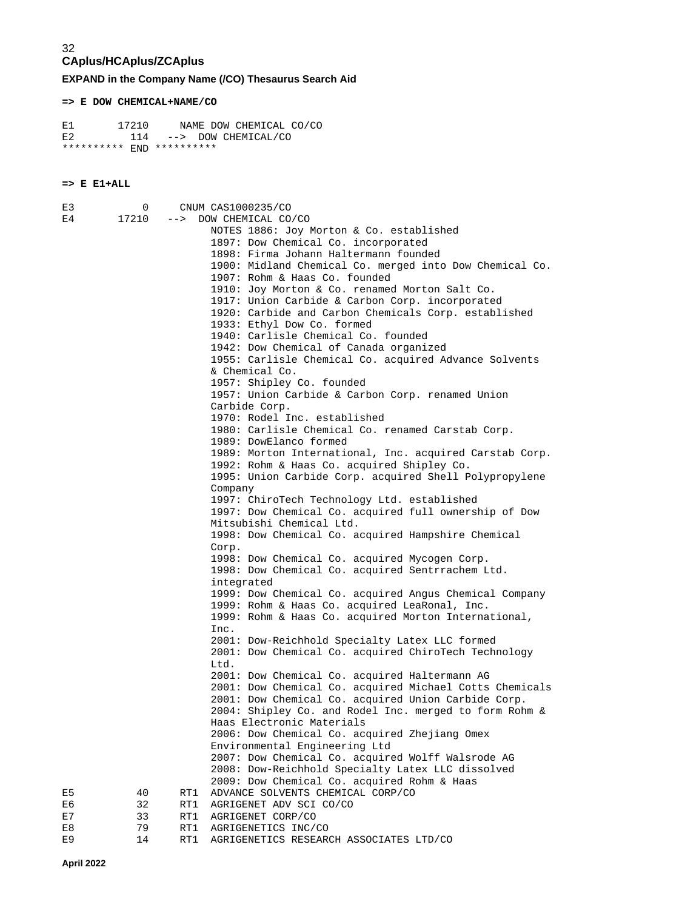**EXPAND in the Company Name (/CO) Thesaurus Search Aid** 

**=> E DOW CHEMICAL+NAME/CO**

E1 17210 NAME DOW CHEMICAL CO/CO E2 114 --> DOW CHEMICAL/CO \*\*\*\*\*\*\*\*\*\* END \*\*\*\*\*\*\*\*\*\*

### **=> E E1+ALL**

| E3 | 0     |     | CNUM CAS1000235/CO                                      |
|----|-------|-----|---------------------------------------------------------|
| E4 | 17210 |     | --> DOW CHEMICAL CO/CO                                  |
|    |       |     | NOTES 1886: Joy Morton & Co. established                |
|    |       |     | 1897: Dow Chemical Co. incorporated                     |
|    |       |     | 1898: Firma Johann Haltermann founded                   |
|    |       |     | 1900: Midland Chemical Co. merged into Dow Chemical Co. |
|    |       |     | 1907: Rohm & Haas Co. founded                           |
|    |       |     | 1910: Joy Morton & Co. renamed Morton Salt Co.          |
|    |       |     | 1917: Union Carbide & Carbon Corp. incorporated         |
|    |       |     | 1920: Carbide and Carbon Chemicals Corp. established    |
|    |       |     | 1933: Ethyl Dow Co. formed                              |
|    |       |     | 1940: Carlisle Chemical Co. founded                     |
|    |       |     | 1942: Dow Chemical of Canada organized                  |
|    |       |     | 1955: Carlisle Chemical Co. acquired Advance Solvents   |
|    |       |     | & Chemical Co.                                          |
|    |       |     | 1957: Shipley Co. founded                               |
|    |       |     | 1957: Union Carbide & Carbon Corp. renamed Union        |
|    |       |     | Carbide Corp.                                           |
|    |       |     | 1970: Rodel Inc. established                            |
|    |       |     | 1980: Carlisle Chemical Co. renamed Carstab Corp.       |
|    |       |     | 1989: DowElanco formed                                  |
|    |       |     | 1989: Morton International, Inc. acquired Carstab Corp. |
|    |       |     | 1992: Rohm & Haas Co. acquired Shipley Co.              |
|    |       |     | 1995: Union Carbide Corp. acquired Shell Polypropylene  |
|    |       |     | Company                                                 |
|    |       |     | 1997: ChiroTech Technology Ltd. established             |
|    |       |     | 1997: Dow Chemical Co. acquired full ownership of Dow   |
|    |       |     | Mitsubishi Chemical Ltd.                                |
|    |       |     | 1998: Dow Chemical Co. acquired Hampshire Chemical      |
|    |       |     | Corp.                                                   |
|    |       |     | 1998: Dow Chemical Co. acquired Mycogen Corp.           |
|    |       |     | 1998: Dow Chemical Co. acquired Sentrrachem Ltd.        |
|    |       |     | integrated                                              |
|    |       |     | 1999: Dow Chemical Co. acquired Angus Chemical Company  |
|    |       |     | 1999: Rohm & Haas Co. acquired LeaRonal, Inc.           |
|    |       |     | 1999: Rohm & Haas Co. acquired Morton International,    |
|    |       |     | Inc.                                                    |
|    |       |     | 2001: Dow-Reichhold Specialty Latex LLC formed          |
|    |       |     | 2001: Dow Chemical Co. acquired ChiroTech Technology    |
|    |       |     | Ltd.                                                    |
|    |       |     | 2001: Dow Chemical Co. acquired Haltermann AG           |
|    |       |     | 2001: Dow Chemical Co. acquired Michael Cotts Chemicals |
|    |       |     | 2001: Dow Chemical Co. acquired Union Carbide Corp.     |
|    |       |     | 2004: Shipley Co. and Rodel Inc. merged to form Rohm &  |
|    |       |     | Haas Electronic Materials                               |
|    |       |     | 2006: Dow Chemical Co. acquired Zhejiang Omex           |
|    |       |     | Environmental Engineering Ltd                           |
|    |       |     | 2007: Dow Chemical Co. acquired Wolff Walsrode AG       |
|    |       |     | 2008: Dow-Reichhold Specialty Latex LLC dissolved       |
|    |       |     | 2009: Dow Chemical Co. acquired Rohm & Haas             |
| E5 | 40    | RT1 | ADVANCE SOLVENTS CHEMICAL CORP/CO                       |
| E6 | 32    | RT1 | AGRIGENET ADV SCI CO/CO                                 |
| E7 | 33    | RT1 | AGRIGENET CORP/CO                                       |
| E8 | 79    | RT1 | AGRIGENETICS INC/CO                                     |
| E9 | 14    | RT1 | AGRIGENETICS RESEARCH ASSOCIATES LTD/CO                 |